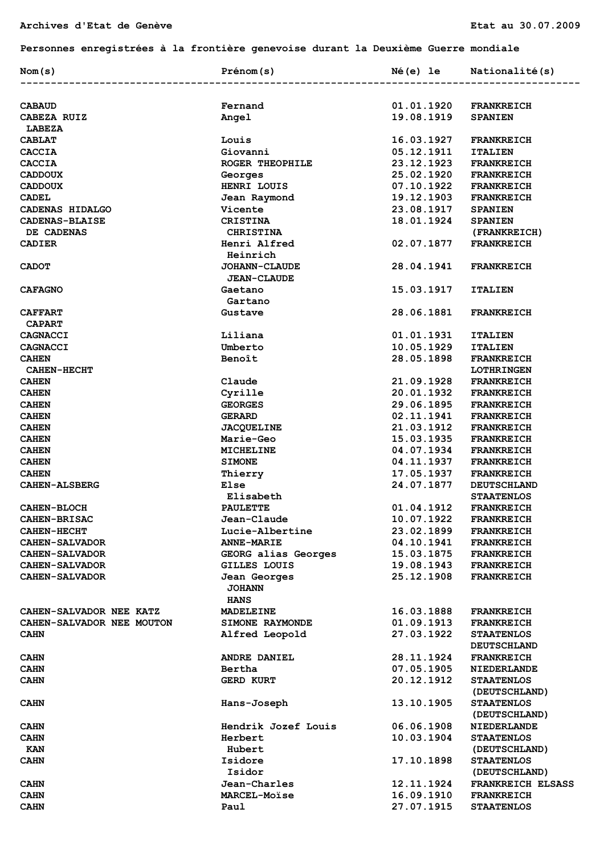## **Personnes enregistrées à la frontière genevoise durant la Deuxième Guerre mondiale**

| Nom(s)                                         | Prénom(s)                                    | Né(e) le                 | Nationalité(s)                          |
|------------------------------------------------|----------------------------------------------|--------------------------|-----------------------------------------|
|                                                |                                              |                          |                                         |
| <b>CABAUD</b>                                  | Fernand                                      | 01.01.1920               | <b>FRANKREICH</b>                       |
| CABEZA RUIZ<br><b>LABEZA</b>                   | Angel                                        | 19.08.1919               | <b>SPANIEN</b>                          |
| <b>CABLAT</b>                                  | Louis                                        | 16.03.1927               | <b>FRANKREICH</b>                       |
| <b>CACCIA</b>                                  | Giovanni                                     | 05.12.1911               | <b>ITALIEN</b>                          |
| <b>CACCIA</b>                                  | ROGER THEOPHILE                              | 23.12.1923               | <b>FRANKREICH</b>                       |
| <b>CADDOUX</b>                                 | Georges                                      | 25.02.1920               | <b>FRANKREICH</b>                       |
| <b>CADDOUX</b>                                 | HENRI LOUIS                                  | 07.10.1922               | <b>FRANKREICH</b>                       |
| <b>CADEL</b>                                   | Jean Raymond                                 | 19.12.1903               | <b>FRANKREICH</b>                       |
| CADENAS HIDALGO                                | <b>Vicente</b>                               | 23.08.1917               | <b>SPANIEN</b>                          |
| <b>CADENAS-BLAISE</b>                          | <b>CRISTINA</b>                              | 18.01.1924               | <b>SPANIEN</b>                          |
| DE CADENAS                                     | <b>CHRISTINA</b>                             |                          | (FRANKREICH)                            |
| <b>CADIER</b>                                  | Henri Alfred                                 | 02.07.1877               | <b>FRANKREICH</b>                       |
|                                                | Heinrich                                     |                          |                                         |
| <b>CADOT</b>                                   | <b>JOHANN-CLAUDE</b>                         | 28.04.1941               | <b>FRANKREICH</b>                       |
|                                                | <b>JEAN-CLAUDE</b>                           |                          |                                         |
| <b>CAFAGNO</b>                                 | Gaetano                                      | 15.03.1917               | <b>ITALIEN</b>                          |
|                                                | Gartano                                      |                          |                                         |
| <b>CAFFART</b>                                 | Gustave                                      | 28.06.1881               | <b>FRANKREICH</b>                       |
| <b>CAPART</b>                                  |                                              |                          |                                         |
| <b>CAGNACCI</b>                                | Liliana                                      | 01.01.1931               | <b>ITALIEN</b>                          |
| <b>CAGNACCI</b>                                | Umberto                                      | 10.05.1929               | <b>ITALIEN</b>                          |
| <b>CAHEN</b>                                   | Benoît                                       | 28.05.1898               | <b>FRANKREICH</b>                       |
| <b>CAHEN-HECHT</b>                             |                                              |                          | <b>LOTHRINGEN</b>                       |
| <b>CAHEN</b>                                   | Claude                                       | 21.09.1928               | <b>FRANKREICH</b>                       |
| <b>CAHEN</b>                                   | Cyrille                                      | 20.01.1932               | <b>FRANKREICH</b>                       |
| <b>CAHEN</b>                                   | <b>GEORGES</b>                               | 29.06.1895               | <b>FRANKREICH</b>                       |
| <b>CAHEN</b>                                   | <b>GERARD</b>                                | 02.11.1941               | <b>FRANKREICH</b>                       |
| <b>CAHEN</b>                                   | <b>JACQUELINE</b>                            | 21.03.1912               | <b>FRANKREICH</b>                       |
| <b>CAHEN</b>                                   | <b>Marie-Geo</b>                             | 15.03.1935               | <b>FRANKREICH</b>                       |
| <b>CAHEN</b>                                   | MICHELINE                                    | 04.07.1934               | <b>FRANKREICH</b>                       |
| <b>CAHEN</b>                                   | <b>SIMONE</b>                                | 04.11.1937               | <b>FRANKREICH</b>                       |
| <b>CAHEN</b>                                   |                                              | 17.05.1937               | <b>FRANKREICH</b>                       |
| <b>CAHEN-ALSBERG</b>                           | Thierry<br>Else                              | 24.07.1877               | <b>DEUTSCHLAND</b>                      |
|                                                | Elisabeth                                    |                          | <b>STAATENLOS</b>                       |
| <b>CAHEN-BLOCH</b>                             | <b>PAULETTE</b>                              | 01.04.1912               | <b>FRANKREICH</b>                       |
|                                                | Jean-Claude                                  | 10.07.1922               | <b>FRANKREICH</b>                       |
| <b>CAHEN-BRISAC</b><br><b>CAHEN-HECHT</b>      |                                              | 23.02.1899               | <b>FRANKREICH</b>                       |
|                                                | Lucie-Albertine<br><b>ANNE-MARIE</b>         | 04.10.1941               |                                         |
| <b>CAHEN-SALVADOR</b>                          |                                              |                          | <b>FRANKREICH</b>                       |
| <b>CAHEN-SALVADOR</b><br><b>CAHEN-SALVADOR</b> | GEORG alias Georges<br>GILLES LOUIS          | 15.03.1875<br>19.08.1943 | <b>FRANKREICH</b>                       |
| <b>CAHEN-SALVADOR</b>                          |                                              | 25.12.1908               | <b>FRANKREICH</b><br><b>FRANKREICH</b>  |
|                                                | Jean Georges<br><b>JOHANN</b><br><b>HANS</b> |                          |                                         |
| CAHEN-SALVADOR NEE KATZ                        | <b>MADELEINE</b>                             | 16.03.1888               | <b>FRANKREICH</b>                       |
| CAHEN-SALVADOR NEE MOUTON                      | <b>SIMONE RAYMONDE</b>                       | 01.09.1913               | <b>FRANKREICH</b>                       |
| <b>CAHN</b>                                    | Alfred Leopold                               | 27.03.1922               | <b>STAATENLOS</b><br><b>DEUTSCHLAND</b> |
| <b>CAHN</b>                                    | <b>ANDRE DANIEL</b>                          | 28.11.1924               | <b>FRANKREICH</b>                       |
| <b>CAHN</b>                                    | Bertha                                       | 07.05.1905               | <b>NIEDERLANDE</b>                      |
| <b>CAHN</b>                                    | <b>GERD KURT</b>                             | 20.12.1912               | <b>STAATENLOS</b>                       |
|                                                |                                              |                          | (DEUTSCHLAND)                           |
| <b>CAHN</b>                                    | Hans-Joseph                                  | 13.10.1905               | <b>STAATENLOS</b>                       |
|                                                |                                              |                          | (DEUTSCHLAND)                           |
| <b>CAHN</b>                                    | Hendrik Jozef Louis                          | 06.06.1908               | <b>NIEDERLANDE</b>                      |
| <b>CAHN</b>                                    | Herbert                                      | 10.03.1904               | <b>STAATENLOS</b>                       |
| <b>KAN</b>                                     | Hubert                                       |                          | (DEUTSCHLAND)                           |
| <b>CAHN</b>                                    | Isidore                                      | 17.10.1898               | <b>STAATENLOS</b>                       |
|                                                | Isidor                                       |                          | (DEUTSCHLAND)                           |
| CAHN                                           | Jean-Charles                                 | 12.11.1924               | FRANKREICH ELSASS                       |
| <b>CAHN</b>                                    | <b>MARCEL-Moise</b>                          | 16.09.1910               | <b>FRANKREICH</b>                       |
| <b>CAHN</b>                                    | Paul                                         | 27.07.1915               | <b>STAATENLOS</b>                       |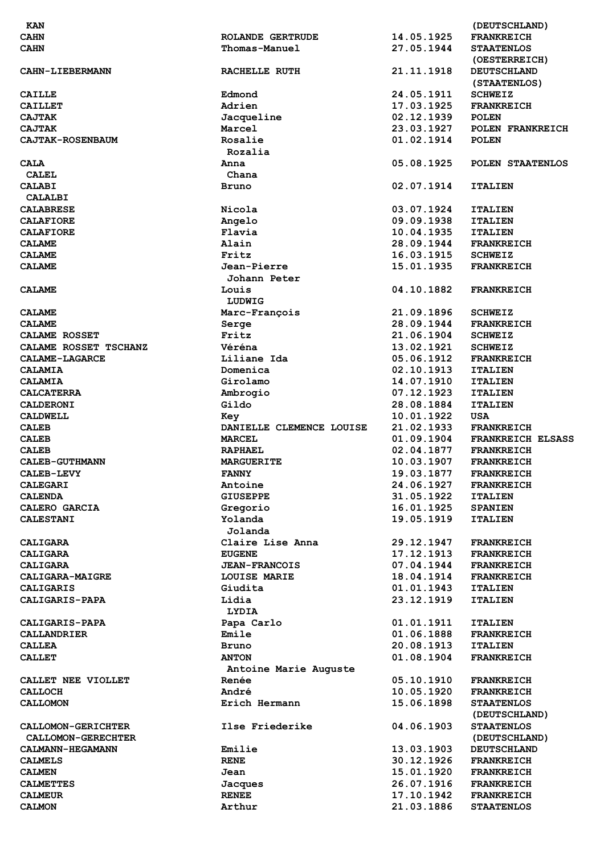| <b>KAN</b>                |                          |            | (DEUTSCHLAND)      |
|---------------------------|--------------------------|------------|--------------------|
| <b>CAHN</b>               | <b>ROLANDE GERTRUDE</b>  | 14.05.1925 | <b>FRANKREICH</b>  |
| <b>CAHN</b>               | Thomas-Manuel            | 27.05.1944 | <b>STAATENLOS</b>  |
|                           |                          |            | (OESTERREICH)      |
| <b>CAHN-LIEBERMANN</b>    | RACHELLE RUTH            | 21.11.1918 | <b>DEUTSCHLAND</b> |
|                           |                          |            |                    |
|                           |                          |            | (STAATENLOS)       |
| <b>CAILLE</b>             | Edmond                   | 24.05.1911 | <b>SCHWEIZ</b>     |
| <b>CAILLET</b>            | Adrien                   | 17.03.1925 | <b>FRANKREICH</b>  |
| <b>CAJTAK</b>             | Jacqueline               | 02.12.1939 | <b>POLEN</b>       |
| <b>CAJTAK</b>             | Marcel                   | 23.03.1927 | POLEN FRANKREICH   |
| <b>CAJTAK-ROSENBAUM</b>   | Rosalie                  | 01.02.1914 | <b>POLEN</b>       |
|                           |                          |            |                    |
|                           | Rozalia                  |            |                    |
| <b>CALA</b>               | Anna                     | 05.08.1925 | POLEN STAATENLOS   |
| <b>CALEL</b>              | Chana                    |            |                    |
| <b>CALABI</b>             | Bruno                    | 02.07.1914 | <b>ITALIEN</b>     |
| CALALBI                   |                          |            |                    |
| <b>CALABRESE</b>          | Nicola                   | 03.07.1924 | <b>ITALIEN</b>     |
|                           |                          |            |                    |
| <b>CALAFIORE</b>          | Angelo                   | 09.09.1938 | <b>ITALIEN</b>     |
| <b>CALAFIORE</b>          | Flavia                   | 10.04.1935 | <b>ITALIEN</b>     |
| <b>CALAME</b>             | Alain                    | 28.09.1944 | <b>FRANKREICH</b>  |
| <b>CALAME</b>             | Fritz                    | 16.03.1915 | <b>SCHWEIZ</b>     |
| <b>CALAME</b>             | Jean-Pierre              | 15.01.1935 | <b>FRANKREICH</b>  |
|                           | Johann Peter             |            |                    |
|                           |                          |            |                    |
| <b>CALAME</b>             | Louis                    | 04.10.1882 | <b>FRANKREICH</b>  |
|                           | LUDWIG                   |            |                    |
| <b>CALAME</b>             | Marc-Francois            | 21.09.1896 | <b>SCHWEIZ</b>     |
| <b>CALAME</b>             | Serge                    | 28.09.1944 | <b>FRANKREICH</b>  |
| CALAME ROSSET             | Fritz                    | 21.06.1904 | <b>SCHWEIZ</b>     |
|                           |                          |            |                    |
| CALAME ROSSET TSCHANZ     | Véréna                   | 13.02.1921 | <b>SCHWEIZ</b>     |
| CALAME-LAGARCE            | Liliane Ida              | 05.06.1912 | <b>FRANKREICH</b>  |
| <b>CALAMIA</b>            | Domenica                 | 02.10.1913 | <b>ITALIEN</b>     |
| <b>CALAMIA</b>            | Girolamo                 | 14.07.1910 | <b>ITALIEN</b>     |
| <b>CALCATERRA</b>         | Ambrogio                 | 07.12.1923 | <b>ITALIEN</b>     |
| <b>CALDERONI</b>          | Gildo                    | 28.08.1884 | <b>ITALIEN</b>     |
|                           |                          |            |                    |
| <b>CALDWELL</b>           | Key                      | 10.01.1922 | <b>USA</b>         |
|                           |                          |            |                    |
| <b>CALEB</b>              | DANIELLE CLEMENCE LOUISE | 21.02.1933 | <b>FRANKREICH</b>  |
| <b>CALEB</b>              | <b>MARCEL</b>            | 01.09.1904 | FRANKREICH ELSASS  |
| <b>CALEB</b>              | <b>RAPHAEL</b>           | 02.04.1877 | <b>FRANKREICH</b>  |
|                           |                          |            |                    |
| <b>CALEB-GUTHMANN</b>     | <b>MARGUERITE</b>        | 10.03.1907 | <b>FRANKREICH</b>  |
| CALEB-LEVY                | <b>FANNY</b>             | 19.03.1877 | <b>FRANKREICH</b>  |
| <b>CALEGARI</b>           | Antoine                  | 24.06.1927 | <b>FRANKREICH</b>  |
| <b>CALENDA</b>            | <b>GIUSEPPE</b>          | 31.05.1922 | <b>ITALIEN</b>     |
| CALERO GARCIA             | Gregorio                 | 16.01.1925 | <b>SPANIEN</b>     |
| <b>CALESTANI</b>          |                          | 19.05.1919 | <b>ITALIEN</b>     |
|                           | Yolanda                  |            |                    |
|                           | Jolanda                  |            |                    |
| <b>CALIGARA</b>           | Claire Lise Anna         | 29.12.1947 | <b>FRANKREICH</b>  |
| <b>CALIGARA</b>           | <b>EUGENE</b>            | 17.12.1913 | <b>FRANKREICH</b>  |
| CALIGARA                  | <b>JEAN-FRANCOIS</b>     | 07.04.1944 | <b>FRANKREICH</b>  |
| CALIGARA-MAIGRE           | LOUISE MARIE             | 18.04.1914 | <b>FRANKREICH</b>  |
|                           |                          |            |                    |
| <b>CALIGARIS</b>          | Giudita                  | 01.01.1943 | <b>ITALIEN</b>     |
| CALIGARIS-PAPA            | Lidia                    | 23.12.1919 | <b>ITALIEN</b>     |
|                           | LYDIA                    |            |                    |
| <b>CALIGARIS-PAPA</b>     | Papa Carlo               | 01.01.1911 | <b>ITALIEN</b>     |
| <b>CALLANDRIER</b>        | Emile                    | 01.06.1888 | <b>FRANKREICH</b>  |
| <b>CALLEA</b>             | Bruno                    | 20.08.1913 | <b>ITALIEN</b>     |
|                           |                          |            |                    |
| <b>CALLET</b>             | <b>ANTON</b>             | 01.08.1904 | <b>FRANKREICH</b>  |
|                           | Antoine Marie Auguste    |            |                    |
| CALLET NEE VIOLLET        | Renée                    | 05.10.1910 | <b>FRANKREICH</b>  |
| <b>CALLOCH</b>            | André                    | 10.05.1920 | <b>FRANKREICH</b>  |
| <b>CALLOMON</b>           | Erich Hermann            | 15.06.1898 | <b>STAATENLOS</b>  |
|                           |                          |            | (DEUTSCHLAND)      |
|                           | Ilse Friederike          |            |                    |
| <b>CALLOMON-GERICHTER</b> |                          | 04.06.1903 | <b>STAATENLOS</b>  |
| <b>CALLOMON-GERECHTER</b> |                          |            | (DEUTSCHLAND)      |
| <b>CALMANN-HEGAMANN</b>   | Emilie                   | 13.03.1903 | <b>DEUTSCHLAND</b> |
| <b>CALMELS</b>            | <b>RENE</b>              | 30.12.1926 | <b>FRANKREICH</b>  |
| <b>CALMEN</b>             | Jean                     | 15.01.1920 | <b>FRANKREICH</b>  |
| <b>CALMETTES</b>          | Jacques                  | 26.07.1916 | <b>FRANKREICH</b>  |
| <b>CALMEUR</b>            | <b>RENEE</b>             | 17.10.1942 | <b>FRANKREICH</b>  |
| <b>CALMON</b>             | Arthur                   | 21.03.1886 | <b>STAATENLOS</b>  |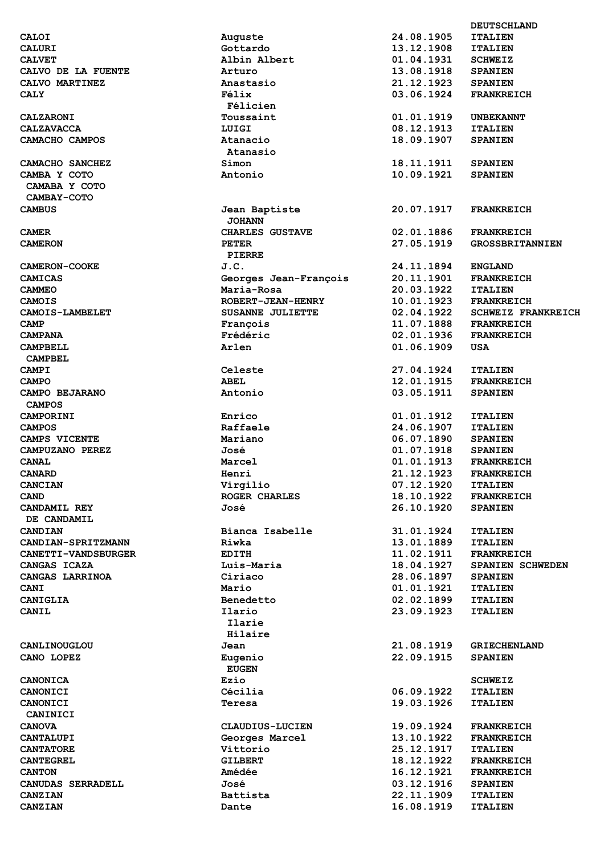| <b>CALOI</b>               | Auguste                  | 24.08.1905 | <b>ITALIEN</b>       |
|----------------------------|--------------------------|------------|----------------------|
| <b>CALURI</b>              | Gottardo                 | 13.12.1908 | <b>ITALIEN</b>       |
| <b>CALVET</b>              | Albin Albert             | 01.04.1931 | <b>SCHWEIZ</b>       |
| CALVO DE LA FUENTE         | Arturo                   | 13.08.1918 | <b>SPANIEN</b>       |
| CALVO MARTINEZ             | Anastasio                | 21.12.1923 | <b>SPANIEN</b>       |
| <b>CALY</b>                | Félix<br>Félicien        | 03.06.1924 | <b>FRANKREICH</b>    |
|                            |                          |            |                      |
| <b>CALZARONI</b>           | Toussaint                | 01.01.1919 | <b>UNBEKANNT</b>     |
| <b>CALZAVACCA</b>          | LUIGI                    | 08.12.1913 | <b>ITALIEN</b>       |
| CAMACHO CAMPOS             | Atanacio                 | 18.09.1907 | <b>SPANIEN</b>       |
|                            | Atanasio                 |            |                      |
| CAMACHO SANCHEZ            | Simon                    | 18.11.1911 | <b>SPANIEN</b>       |
| CAMBA Y COTO               | Antonio                  | 10.09.1921 | <b>SPANIEN</b>       |
| CAMABA Y COTO              |                          |            |                      |
| CAMBAY-COTO                |                          |            |                      |
| <b>CAMBUS</b>              |                          | 20.07.1917 |                      |
|                            | Jean Baptiste            |            | <b>FRANKREICH</b>    |
|                            | <b>JOHANN</b>            |            |                      |
| <b>CAMER</b>               | <b>CHARLES GUSTAVE</b>   | 02.01.1886 | <b>FRANKREICH</b>    |
| <b>CAMERON</b>             | <b>PETER</b>             | 27.05.1919 | <b>GROSSBRITANNI</b> |
|                            | PIERRE                   |            |                      |
| <b>CAMERON-COOKE</b>       | J.C.                     | 24.11.1894 | <b>ENGLAND</b>       |
| <b>CAMICAS</b>             | Georges Jean-François    | 20.11.1901 | <b>FRANKREICH</b>    |
|                            | Maria-Rosa               | 20.03.1922 |                      |
| <b>CAMMEO</b>              |                          |            | <b>ITALIEN</b>       |
| <b>CAMOIS</b>              | <b>ROBERT-JEAN-HENRY</b> | 10.01.1923 | <b>FRANKREICH</b>    |
| CAMOIS-LAMBELET            | <b>SUSANNE JULIETTE</b>  | 02.04.1922 | <b>SCHWEIZ FRANK</b> |
| CAMP                       | François                 | 11.07.1888 | <b>FRANKREICH</b>    |
| <b>CAMPANA</b>             | Frédéric                 | 02.01.1936 | <b>FRANKREICH</b>    |
| <b>CAMPBELL</b>            | Arlen                    | 01.06.1909 | <b>USA</b>           |
| <b>CAMPBEL</b>             |                          |            |                      |
| CAMPI                      | Celeste                  | 27.04.1924 | <b>ITALIEN</b>       |
|                            |                          |            |                      |
| <b>CAMPO</b>               | <b>ABEL</b>              | 12.01.1915 | <b>FRANKREICH</b>    |
| CAMPO BEJARANO             | Antonio                  | 03.05.1911 | <b>SPANIEN</b>       |
| <b>CAMPOS</b>              |                          |            |                      |
| CAMPORINI                  | Enrico                   | 01.01.1912 | <b>ITALIEN</b>       |
| <b>CAMPOS</b>              | Raffaele                 | 24.06.1907 | <b>ITALIEN</b>       |
| CAMPS VICENTE              | Mariano                  | 06.07.1890 | <b>SPANIEN</b>       |
| CAMPUZANO PEREZ            | José                     | 01.07.1918 | <b>SPANIEN</b>       |
|                            |                          |            |                      |
| <b>CANAL</b>               | Marcel                   | 01.01.1913 | <b>FRANKREICH</b>    |
| <b>CANARD</b>              | Henri                    | 21.12.1923 | <b>FRANKREICH</b>    |
| <b>CANCIAN</b>             | Virgilio                 | 07.12.1920 | <b>ITALIEN</b>       |
| <b>CAND</b>                | ROGER CHARLES            | 18.10.1922 | <b>FRANKREICH</b>    |
| CANDAMIL REY               | José                     | 26.10.1920 | <b>SPANIEN</b>       |
| DE CANDAMIL                |                          |            |                      |
| CANDIAN                    | Bianca Isabelle          | 31.01.1924 | <b>ITALIEN</b>       |
|                            |                          |            |                      |
| CANDIAN-SPRITZMANN         | Riwka                    | 13.01.1889 | <b>ITALIEN</b>       |
| <b>CANETTI-VANDSBURGER</b> | <b>EDITH</b>             | 11.02.1911 | <b>FRANKREICH</b>    |
| CANGAS ICAZA               | Luis-Maria               | 18.04.1927 | <b>SPANIEN SCHWE</b> |
| CANGAS LARRINOA            | Ciriaco                  | 28.06.1897 | <b>SPANIEN</b>       |
| <b>CANI</b>                | Mario                    | 01.01.1921 | <b>ITALIEN</b>       |
| CANIGLIA                   | Benedetto                | 02.02.1899 | <b>ITALIEN</b>       |
| CANIL                      | Ilario                   | 23.09.1923 | <b>ITALIEN</b>       |
|                            |                          |            |                      |
|                            | Ilarie                   |            |                      |
|                            | Hilaire                  |            |                      |
| CANLINOUGLOU               | Jean                     | 21.08.1919 | <b>GRIECHENLAND</b>  |
| CANO LOPEZ                 | Eugenio                  | 22.09.1915 | <b>SPANIEN</b>       |
|                            | <b>EUGEN</b>             |            |                      |
| <b>CANONICA</b>            | Ezio                     |            | <b>SCHWEIZ</b>       |
| <b>CANONICI</b>            | Cécilia                  | 06.09.1922 | <b>ITALIEN</b>       |
|                            |                          |            |                      |
| CANONICI                   | Teresa                   | 19.03.1926 | <b>ITALIEN</b>       |
| CANINICI                   |                          |            |                      |
| <b>CANOVA</b>              | <b>CLAUDIUS-LUCIEN</b>   | 19.09.1924 | <b>FRANKREICH</b>    |
| CANTALUPI                  | Georges Marcel           | 13.10.1922 | <b>FRANKREICH</b>    |
| <b>CANTATORE</b>           | Vittorio                 | 25.12.1917 | <b>ITALIEN</b>       |
| <b>CANTEGREL</b>           | <b>GILBERT</b>           | 18.12.1922 | <b>FRANKREICH</b>    |
| <b>CANTON</b>              | Amédée                   | 16.12.1921 | <b>FRANKREICH</b>    |
|                            | José                     | 03.12.1916 |                      |
| CANUDAS SERRADELL          |                          |            | <b>SPANIEN</b>       |
| <b>CANZIAN</b>             | Battista                 | 22.11.1909 | <b>ITALIEN</b>       |
| C <sub>AB</sub> T T R      | $D \sim L \sim$          | 16.09.1010 | <b>THAT TEM</b>      |

| <b>CALOI</b>               | Auguste                  | 24.08.1905 | <b>ITALIEN</b>  |
|----------------------------|--------------------------|------------|-----------------|
| CALURI                     | Gottardo                 | 13.12.1908 | <b>ITALIEN</b>  |
| <b>CALVET</b>              | Albin Albert             | 01.04.1931 | <b>SCHWEIZ</b>  |
| CALVO DE LA FUENTE         | Arturo                   | 13.08.1918 | <b>SPANIEN</b>  |
| CALVO MARTINEZ             | Anastasio                | 21.12.1923 | <b>SPANIEN</b>  |
|                            |                          | 03.06.1924 | <b>FRANKREI</b> |
| CALY                       | Félix                    |            |                 |
|                            | Félicien                 |            |                 |
| <b>CALZARONI</b>           | Toussaint                | 01.01.1919 | UNBEKANN        |
| <b>CALZAVACCA</b>          | LUIGI                    | 08.12.1913 | <b>ITALIEN</b>  |
| CAMACHO CAMPOS             | Atanacio                 | 18.09.1907 | <b>SPANIEN</b>  |
|                            | Atanasio                 |            |                 |
| <b>CAMACHO SANCHEZ</b>     | Simon                    | 18.11.1911 | <b>SPANIEN</b>  |
| CAMBA Y COTO               | Antonio                  | 10.09.1921 |                 |
|                            |                          |            | <b>SPANIEN</b>  |
| CAMABA Y COTO              |                          |            |                 |
| <b>CAMBAY-COTO</b>         |                          |            |                 |
| <b>CAMBUS</b>              | Jean Baptiste            | 20.07.1917 | <b>FRANKREI</b> |
|                            | <b>JOHANN</b>            |            |                 |
| CAMER                      | CHARLES GUSTAVE          | 02.01.1886 | <b>FRANKREI</b> |
| <b>CAMERON</b>             | <b>PETER</b>             | 27.05.1919 | <b>GROSSBRI</b> |
|                            | <b>PIERRE</b>            |            |                 |
|                            |                          |            |                 |
| <b>CAMERON-COOKE</b>       | J.C.                     | 24.11.1894 | <b>ENGLAND</b>  |
| CAMICAS                    | Georges Jean-François    | 20.11.1901 | <b>FRANKREI</b> |
| CAMMEO                     | Maria-Rosa               | 20.03.1922 | <b>ITALIEN</b>  |
| CAMOIS                     | <b>ROBERT-JEAN-HENRY</b> | 10.01.1923 | <b>FRANKREI</b> |
| <b>CAMOIS-LAMBELET</b>     | <b>SUSANNE JULIETTE</b>  | 02.04.1922 | <b>SCHWEIZ</b>  |
| CAMP                       | François                 | 11.07.1888 | <b>FRANKREI</b> |
|                            |                          |            |                 |
| <b>CAMPANA</b>             | Frédéric                 | 02.01.1936 | <b>FRANKREI</b> |
| CAMPBELL                   | Arlen                    | 01.06.1909 | USA             |
| <b>CAMPBEL</b>             |                          |            |                 |
| <b>CAMPI</b>               | Celeste                  | 27.04.1924 | <b>ITALIEN</b>  |
| CAMPO                      | <b>ABEL</b>              | 12.01.1915 | <b>FRANKREI</b> |
| CAMPO BEJARANO             | Antonio                  | 03.05.1911 | <b>SPANIEN</b>  |
|                            |                          |            |                 |
| <b>CAMPOS</b>              |                          |            |                 |
| <b>CAMPORINI</b>           | Enrico                   | 01.01.1912 | <b>ITALIEN</b>  |
| <b>CAMPOS</b>              | Raffaele                 | 24.06.1907 | <b>ITALIEN</b>  |
| CAMPS VICENTE              | Mariano                  | 06.07.1890 | <b>SPANIEN</b>  |
| <b>CAMPUZANO PEREZ</b>     | José                     | 01.07.1918 | <b>SPANIEN</b>  |
| CANAL                      | Marcel                   | 01.01.1913 | <b>FRANKREI</b> |
| CANARD                     | Henri                    | 21.12.1923 | <b>FRANKREI</b> |
|                            |                          |            |                 |
| <b>CANCIAN</b>             | Virgilio                 | 07.12.1920 | <b>ITALIEN</b>  |
| CAND                       | <b>ROGER CHARLES</b>     | 18.10.1922 | <b>FRANKREI</b> |
| <b>CANDAMIL REY</b>        | José                     | 26.10.1920 | <b>SPANIEN</b>  |
| DE CANDAMIL                |                          |            |                 |
| <b>CANDIAN</b>             | Bianca Isabelle          | 31.01.1924 | <b>ITALIEN</b>  |
| <b>CANDIAN-SPRITZMANN</b>  | Riwka                    | 13.01.1889 | <b>ITALIEN</b>  |
| <b>CANETTI-VANDSBURGER</b> | EDITH                    | 11.02.1911 | <b>FRANKREI</b> |
|                            |                          |            |                 |
| <b>CANGAS ICAZA</b>        | Luis-Maria               | 18.04.1927 | <b>SPANIEN</b>  |
| <b>CANGAS LARRINOA</b>     | Ciriaco                  | 28.06.1897 | <b>SPANIEN</b>  |
| <b>CANI</b>                | Mario                    | 01.01.1921 | <b>ITALIEN</b>  |
| <b>CANIGLIA</b>            | Benedetto                | 02.02.1899 | <b>ITALIEN</b>  |
| <b>CANIL</b>               | Ilario                   | 23.09.1923 | <b>ITALIEN</b>  |
|                            | <b>Ilarie</b>            |            |                 |
|                            |                          |            |                 |
|                            | Hilaire                  |            |                 |
| <b>CANLINOUGLOU</b>        | Jean                     | 21.08.1919 | <b>GRIECHEN</b> |
| CANO LOPEZ                 | Eugenio                  | 22.09.1915 | <b>SPANIEN</b>  |
|                            | <b>EUGEN</b>             |            |                 |
| <b>CANONICA</b>            | Ezio                     |            | <b>SCHWEIZ</b>  |
| <b>CANONICI</b>            | Cécilia                  | 06.09.1922 |                 |
|                            |                          |            | <b>ITALIEN</b>  |
| <b>CANONICI</b>            | Teresa                   | 19.03.1926 | <b>ITALIEN</b>  |
| CANINICI                   |                          |            |                 |
| <b>CANOVA</b>              | CLAUDIUS-LUCIEN          | 19.09.1924 | <b>FRANKREI</b> |
| <b>CANTALUPI</b>           | Georges Marcel           | 13.10.1922 | <b>FRANKREI</b> |
| <b>CANTATORE</b>           | Vittorio                 | 25.12.1917 | <b>ITALIEN</b>  |
| <b>CANTEGREL</b>           | GILBERT                  | 18.12.1922 | <b>FRANKREI</b> |
|                            |                          |            |                 |
| <b>CANTON</b>              | Amédée                   | 16.12.1921 | <b>FRANKREI</b> |
| <b>CANUDAS SERRADELL</b>   | José                     | 03.12.1916 | <b>SPANIEN</b>  |
| <b>CANZIAN</b>             | Battista                 | 22.11.1909 | <b>ITALIEN</b>  |
| <b>CANZIAN</b>             | Dante                    | 16.08.1919 | <b>ITALIEN</b>  |
|                            |                          |            |                 |
|                            |                          |            |                 |

|                            |                          |            | <b>DEUTSCHLAND</b>        |
|----------------------------|--------------------------|------------|---------------------------|
| CALOI                      | Auguste                  | 24.08.1905 | <b>ITALIEN</b>            |
| CALURI                     | Gottardo                 | 13.12.1908 | <b>ITALIEN</b>            |
| <b>CALVET</b>              | Albin Albert             | 01.04.1931 | <b>SCHWEIZ</b>            |
| CALVO DE LA FUENTE         | Arturo                   | 13.08.1918 | <b>SPANIEN</b>            |
| <b>CALVO MARTINEZ</b>      | Anastasio                | 21.12.1923 | <b>SPANIEN</b>            |
| <b>CALY</b>                | Félix                    | 03.06.1924 | <b>FRANKREICH</b>         |
|                            | Félicien                 |            |                           |
| <b>CALZARONI</b>           | Toussaint                | 01.01.1919 | <b>UNBEKANNT</b>          |
|                            |                          |            |                           |
| <b>CALZAVACCA</b>          | LUIGI                    | 08.12.1913 | <b>ITALIEN</b>            |
| <b>CAMACHO CAMPOS</b>      | Atanacio                 | 18.09.1907 | <b>SPANIEN</b>            |
|                            | Atanasio                 |            |                           |
| <b>CAMACHO SANCHEZ</b>     | Simon                    | 18.11.1911 | <b>SPANIEN</b>            |
| CAMBA Y COTO               | Antonio                  | 10.09.1921 | <b>SPANIEN</b>            |
| CAMABA Y COTO              |                          |            |                           |
| CAMBAY-COTO                |                          |            |                           |
| CAMBUS                     | Jean Baptiste            | 20.07.1917 | <b>FRANKREICH</b>         |
|                            | <b>JOHANN</b>            |            |                           |
| CAMER                      | <b>CHARLES GUSTAVE</b>   | 02.01.1886 | <b>FRANKREICH</b>         |
| <b>CAMERON</b>             | <b>PETER</b>             | 27.05.1919 | <b>GROSSBRITANNIEN</b>    |
|                            | <b>PIERRE</b>            |            |                           |
|                            | J.C.                     | 24.11.1894 |                           |
| <b>CAMERON-COOKE</b>       |                          |            | <b>ENGLAND</b>            |
| CAMICAS                    | Georges Jean-François    | 20.11.1901 | <b>FRANKREICH</b>         |
| CAMMEO                     | Maria-Rosa               | 20.03.1922 | <b>ITALIEN</b>            |
| CAMOIS                     | <b>ROBERT-JEAN-HENRY</b> | 10.01.1923 | <b>FRANKREICH</b>         |
| <b>CAMOIS-LAMBELET</b>     | <b>SUSANNE JULIETTE</b>  | 02.04.1922 | <b>SCHWEIZ FRANKREICH</b> |
| CAMP                       | François                 | 11.07.1888 | <b>FRANKREICH</b>         |
| <b>CAMPANA</b>             | Frédéric                 | 02.01.1936 | <b>FRANKREICH</b>         |
| <b>CAMPBELL</b>            | Arlen                    | 01.06.1909 | USA                       |
| <b>CAMPBEL</b>             |                          |            |                           |
| <b>CAMPI</b>               | Celeste                  | 27.04.1924 | <b>ITALIEN</b>            |
| <b>CAMPO</b>               | <b>ABEL</b>              | 12.01.1915 | <b>FRANKREICH</b>         |
|                            | Antonio                  | 03.05.1911 |                           |
| <b>CAMPO BEJARANO</b>      |                          |            | <b>SPANIEN</b>            |
| <b>CAMPOS</b>              |                          |            |                           |
| <b>CAMPORINI</b>           | Enrico                   | 01.01.1912 | <b>ITALIEN</b>            |
| CAMPOS                     | Raffaele                 | 24.06.1907 | <b>ITALIEN</b>            |
| <b>CAMPS VICENTE</b>       | Mariano                  | 06.07.1890 | <b>SPANIEN</b>            |
| <b>CAMPUZANO PEREZ</b>     | José                     | 01.07.1918 | <b>SPANIEN</b>            |
| <b>CANAL</b>               | Marcel                   | 01.01.1913 | <b>FRANKREICH</b>         |
| CANARD                     | Henri                    | 21.12.1923 | <b>FRANKREICH</b>         |
| <b>CANCIAN</b>             | Virgilio                 | 07.12.1920 | <b>ITALIEN</b>            |
| CAND                       | ROGER CHARLES            | 18.10.1922 | <b>FRANKREICH</b>         |
| <b>CANDAMIL REY</b>        | José                     | 26.10.1920 | <b>SPANIEN</b>            |
| <b>DE CANDAMIL</b>         |                          |            |                           |
| <b>CANDIAN</b>             | Bianca Isabelle          | 31.01.1924 | <b>ITALIEN</b>            |
| <b>CANDIAN-SPRITZMANN</b>  |                          |            |                           |
|                            | Riwka                    | 13.01.1889 | <b>ITALIEN</b>            |
| <b>CANETTI-VANDSBURGER</b> | <b>EDITH</b>             | 11.02.1911 | <b>FRANKREICH</b>         |
| <b>CANGAS ICAZA</b>        | Luis-Maria               | 18.04.1927 | SPANIEN SCHWEDEN          |
| <b>CANGAS LARRINOA</b>     | Ciriaco                  | 28.06.1897 | <b>SPANIEN</b>            |
| <b>CANI</b>                | Mario                    | 01.01.1921 | <b>ITALIEN</b>            |
| <b>CANIGLIA</b>            | <b>Benedetto</b>         | 02.02.1899 | <b>ITALIEN</b>            |
| <b>CANIL</b>               | Ilario                   | 23.09.1923 | <b>ITALIEN</b>            |
|                            | Ilarie                   |            |                           |
|                            | Hilaire                  |            |                           |
| <b>CANLINOUGLOU</b>        | Jean                     | 21.08.1919 | <b>GRIECHENLAND</b>       |
| <b>CANO LOPEZ</b>          | Eugenio                  | 22.09.1915 | <b>SPANIEN</b>            |
|                            | <b>EUGEN</b>             |            |                           |
|                            |                          |            |                           |
| <b>CANONICA</b>            | Ezio                     |            | <b>SCHWEIZ</b>            |
| <b>CANONICI</b>            | Cécilia                  | 06.09.1922 | <b>ITALIEN</b>            |
| <b>CANONICI</b>            | Teresa                   | 19.03.1926 | <b>ITALIEN</b>            |
| CANINICI                   |                          |            |                           |
| <b>CANOVA</b>              | <b>CLAUDIUS-LUCIEN</b>   | 19.09.1924 | <b>FRANKREICH</b>         |
| <b>CANTALUPI</b>           | Georges Marcel           | 13.10.1922 | <b>FRANKREICH</b>         |
| <b>CANTATORE</b>           | Vittorio                 | 25.12.1917 | <b>ITALIEN</b>            |
| <b>CANTEGREL</b>           | GILBERT                  | 18.12.1922 | <b>FRANKREICH</b>         |
| <b>CANTON</b>              | Amédée                   | 16.12.1921 | <b>FRANKREICH</b>         |
| <b>CANUDAS SERRADELL</b>   | José                     | 03.12.1916 | <b>SPANIEN</b>            |
| <b>CANZIAN</b>             | Battista                 | 22.11.1909 | <b>ITALIEN</b>            |
|                            |                          | 16.08.1919 |                           |
| <b>CANZIAN</b>             | Dante                    |            | <b>ITALIEN</b>            |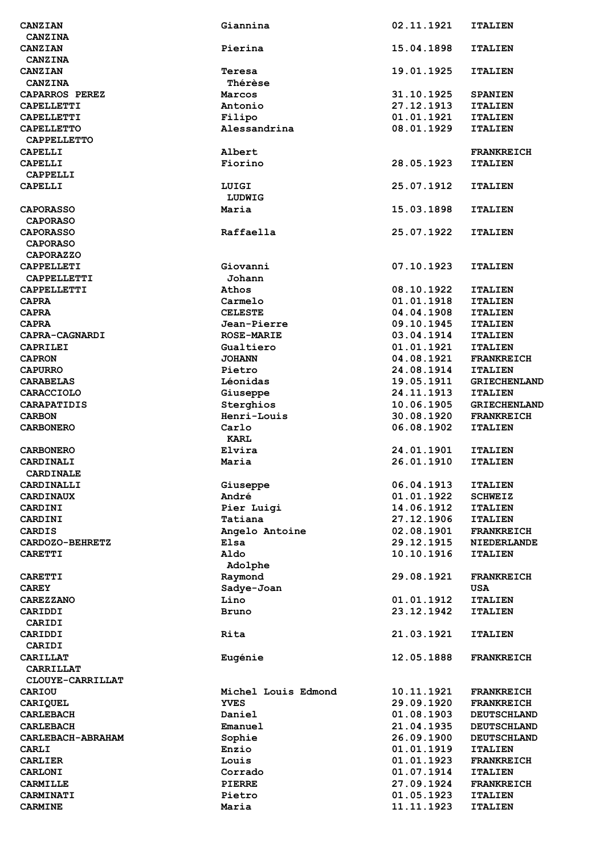| CANZIAN                           | Giannina                 | 02.11.1921               | <b>ITALIEN</b>                      |
|-----------------------------------|--------------------------|--------------------------|-------------------------------------|
| <b>CANZINA</b>                    |                          |                          |                                     |
| CANZIAN                           | Pierina                  | 15.04.1898               | <b>ITALIEN</b>                      |
| <b>CANZINA</b>                    |                          |                          |                                     |
| CANZIAN                           | Teresa                   | 19.01.1925               | <b>ITALIEN</b>                      |
| <b>CANZINA</b>                    | Thérèse                  |                          |                                     |
| CAPARROS PEREZ                    | Marcos                   | 31.10.1925               | <b>SPANIEN</b>                      |
| <b>CAPELLETTI</b>                 | Antonio                  | 27.12.1913               | <b>ITALIEN</b>                      |
| CAPELLETTI<br><b>CAPELLETTO</b>   | Filipo<br>Alessandrina   | 01.01.1921<br>08.01.1929 | <b>ITALIEN</b>                      |
| <b>CAPPELLETTO</b>                |                          |                          | <b>ITALIEN</b>                      |
| CAPELLI                           | Albert                   |                          | <b>FRANKREICH</b>                   |
| <b>CAPELLI</b>                    | Fiorino                  | 28.05.1923               | <b>ITALIEN</b>                      |
| CAPPELLI                          |                          |                          |                                     |
| <b>CAPELLI</b>                    | LUIGI                    | 25.07.1912               | <b>ITALIEN</b>                      |
|                                   | LUDWIG                   |                          |                                     |
| <b>CAPORASSO</b>                  | Maria                    | 15.03.1898               | <b>ITALIEN</b>                      |
| <b>CAPORASO</b>                   |                          |                          |                                     |
| <b>CAPORASSO</b>                  | Raffaella                | 25.07.1922               | <b>ITALIEN</b>                      |
| <b>CAPORASO</b>                   |                          |                          |                                     |
| <b>CAPORAZZO</b>                  |                          |                          |                                     |
| CAPPELLETI                        | Giovanni                 | 07.10.1923               | <b>ITALIEN</b>                      |
| <b>CAPPELLETTI</b>                | Johann                   |                          |                                     |
| CAPPELLETTI                       | Athos                    | 08.10.1922               | <b>ITALIEN</b>                      |
| <b>CAPRA</b>                      | Carmelo                  | 01.01.1918               | <b>ITALIEN</b>                      |
| <b>CAPRA</b>                      | <b>CELESTE</b>           | 04.04.1908               | <b>ITALIEN</b>                      |
| <b>CAPRA</b>                      | Jean-Pierre              | 09.10.1945               | <b>ITALIEN</b>                      |
| CAPRA-CAGNARDI                    | <b>ROSE-MARIE</b>        | 03.04.1914               | <b>ITALIEN</b>                      |
| <b>CAPRILEI</b>                   | Gualtiero                | 01.01.1921               | <b>ITALIEN</b>                      |
| <b>CAPRON</b>                     | <b>JOHANN</b>            | 04.08.1921               | <b>FRANKREICH</b>                   |
| <b>CAPURRO</b>                    | Pietro                   | 24.08.1914               | <b>ITALIEN</b>                      |
| <b>CARABELAS</b>                  | Léonidas                 | 19.05.1911               | <b>GRIECHENLAND</b>                 |
| <b>CARACCIOLO</b>                 | Giuseppe                 | 24.11.1913               | <b>ITALIEN</b>                      |
| <b>CARAPATIDIS</b>                | Sterghios                | 10.06.1905               | <b>GRIECHENLAND</b>                 |
| <b>CARBON</b>                     | Henri-Louis              | 30.08.1920               | <b>FRANKREICH</b>                   |
| <b>CARBONERO</b>                  | Carlo                    | 06.08.1902               | <b>ITALIEN</b>                      |
|                                   | <b>KARL</b>              |                          |                                     |
| <b>CARBONERO</b>                  | Elvira<br>Maria          | 24.01.1901<br>26.01.1910 | <b>ITALIEN</b>                      |
| CARDINALI<br><b>CARDINALE</b>     |                          |                          | <b>ITALIEN</b>                      |
| CARDINALLI                        | Giuseppe                 | 06.04.1913               | <b>ITALIEN</b>                      |
| <b>CARDINAUX</b>                  | André                    | 01.01.1922               | <b>SCHWEIZ</b>                      |
| CARDINI                           | Pier Luigi               | 14.06.1912               | <b>ITALIEN</b>                      |
| CARDINI                           | Tatiana                  | 27.12.1906               | <b>ITALIEN</b>                      |
| <b>CARDIS</b>                     | Angelo Antoine           | 02.08.1901               | <b>FRANKREICH</b>                   |
| CARDOZO-BEHRETZ                   | Elsa                     | 29.12.1915               | <b>NIEDERLANDE</b>                  |
| <b>CARETTI</b>                    | Aldo                     | 10.10.1916               | <b>ITALIEN</b>                      |
|                                   | Adolphe                  |                          |                                     |
| <b>CARETTI</b>                    | Raymond                  | 29.08.1921               | <b>FRANKREICH</b>                   |
| <b>CAREY</b>                      | Sadye-Joan               |                          | <b>USA</b>                          |
| <b>CAREZZANO</b>                  | Lino                     | 01.01.1912               | <b>ITALIEN</b>                      |
| CARIDDI                           | Bruno                    | 23.12.1942               | <b>ITALIEN</b>                      |
| CARIDI                            |                          |                          |                                     |
| CARIDDI                           | Rita                     | 21.03.1921               | <b>ITALIEN</b>                      |
| CARIDI                            |                          |                          |                                     |
| <b>CARILLAT</b>                   | Eugénie                  | 12.05.1888               | <b>FRANKREICH</b>                   |
| CARRILLAT                         |                          |                          |                                     |
| CLOUYE-CARRILLAT                  |                          |                          |                                     |
| <b>CARIOU</b>                     | Michel Louis Edmond      | 10.11.1921               | <b>FRANKREICH</b>                   |
| CARIQUEL                          | <b>YVES</b>              | 29.09.1920               | <b>FRANKREICH</b>                   |
| <b>CARLEBACH</b>                  | Daniel                   | 01.08.1903               | <b>DEUTSCHLAND</b>                  |
| <b>CARLEBACH</b>                  | Emanuel                  | 21.04.1935               | <b>DEUTSCHLAND</b>                  |
| CARLEBACH-ABRAHAM                 | Sophie                   | 26.09.1900               | <b>DEUTSCHLAND</b>                  |
| <b>CARLI</b>                      | Enzio                    | 01.01.1919               | <b>ITALIEN</b>                      |
| <b>CARLIER</b>                    | Louis                    | 01.01.1923<br>01.07.1914 | <b>FRANKREICH</b>                   |
| <b>CARLONI</b><br><b>CARMILLE</b> | Corrado<br><b>PIERRE</b> | 27.09.1924               | <b>ITALIEN</b><br><b>FRANKREICH</b> |
| <b>CARMINATI</b>                  | Pietro                   | 01.05.1923               | <b>ITALIEN</b>                      |
| <b>CARMINE</b>                    | Maria                    | 11.11.1923               | <b>ITALIEN</b>                      |
|                                   |                          |                          |                                     |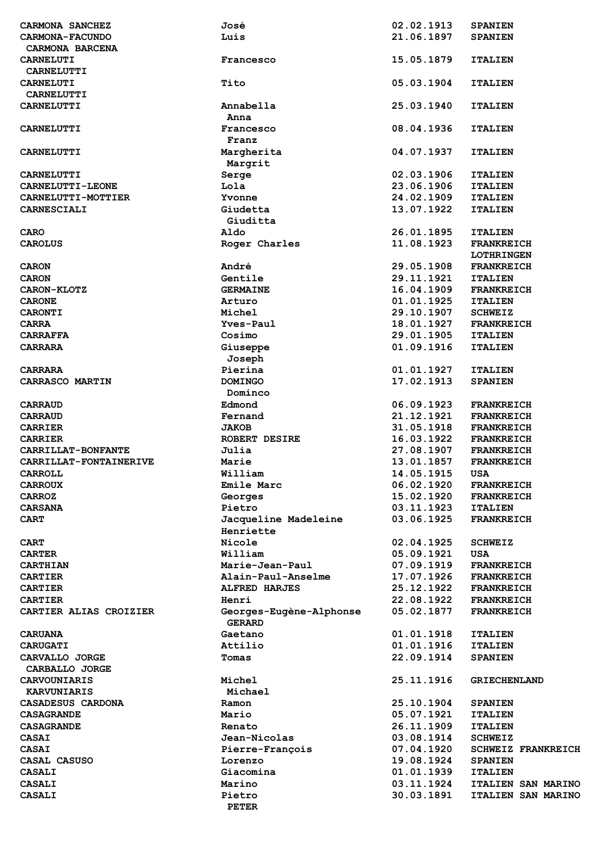| CARMONA SANCHEZ           | José                                     | 02.02.1913 | <b>SPANIEN</b>            |
|---------------------------|------------------------------------------|------------|---------------------------|
| <b>CARMONA-FACUNDO</b>    | Luis                                     | 21.06.1897 | <b>SPANIEN</b>            |
| CARMONA BARCENA           |                                          |            |                           |
| <b>CARNELUTI</b>          | Francesco                                | 15.05.1879 | <b>ITALIEN</b>            |
| <b>CARNELUTTI</b>         |                                          |            |                           |
|                           |                                          |            |                           |
| <b>CARNELUTI</b>          | Tito                                     | 05.03.1904 | <b>ITALIEN</b>            |
| <b>CARNELUTTI</b>         |                                          |            |                           |
| <b>CARNELUTTI</b>         | Annabella                                | 25.03.1940 | <b>ITALIEN</b>            |
|                           | Anna                                     |            |                           |
| <b>CARNELUTTI</b>         | Francesco                                | 08.04.1936 | <b>ITALIEN</b>            |
|                           | Franz                                    |            |                           |
| <b>CARNELUTTI</b>         | Margherita                               | 04.07.1937 | <b>ITALIEN</b>            |
|                           | Margrit                                  |            |                           |
|                           |                                          | 02.03.1906 | <b>ITALIEN</b>            |
| <b>CARNELUTTI</b>         | Serge                                    |            |                           |
| <b>CARNELUTTI-LEONE</b>   | Lola                                     | 23.06.1906 | <b>ITALIEN</b>            |
| <b>CARNELUTTI-MOTTIER</b> | Yvonne                                   | 24.02.1909 | <b>ITALIEN</b>            |
| CARNESCIALI               | Giudetta                                 | 13.07.1922 | <b>ITALIEN</b>            |
|                           | Giuditta                                 |            |                           |
| <b>CARO</b>               | Aldo                                     | 26.01.1895 | <b>ITALIEN</b>            |
| <b>CAROLUS</b>            | Roger Charles                            | 11.08.1923 | <b>FRANKREICH</b>         |
|                           |                                          |            | <b>LOTHRINGEN</b>         |
| <b>CARON</b>              | André                                    | 29.05.1908 | <b>FRANKREICH</b>         |
| <b>CARON</b>              | Gentile                                  | 29.11.1921 | <b>ITALIEN</b>            |
|                           |                                          |            |                           |
| <b>CARON-KLOTZ</b>        | <b>GERMAINE</b>                          | 16.04.1909 | <b>FRANKREICH</b>         |
| <b>CARONE</b>             | Arturo                                   | 01.01.1925 | <b>ITALIEN</b>            |
| <b>CARONTI</b>            | Michel                                   | 29.10.1907 | <b>SCHWEIZ</b>            |
| <b>CARRA</b>              | Yves-Paul                                | 18.01.1927 | <b>FRANKREICH</b>         |
| <b>CARRAFFA</b>           | Cosimo                                   | 29.01.1905 | <b>ITALIEN</b>            |
| <b>CARRARA</b>            | Giuseppe                                 | 01.09.1916 | <b>ITALIEN</b>            |
|                           | Joseph                                   |            |                           |
| <b>CARRARA</b>            | Pierina                                  | 01.01.1927 |                           |
|                           |                                          |            | <b>ITALIEN</b>            |
| CARRASCO MARTIN           | <b>DOMINGO</b>                           | 17.02.1913 | <b>SPANIEN</b>            |
|                           | Dominco                                  |            |                           |
| <b>CARRAUD</b>            | Edmond                                   | 06.09.1923 | <b>FRANKREICH</b>         |
| <b>CARRAUD</b>            | Fernand                                  | 21.12.1921 | <b>FRANKREICH</b>         |
| <b>CARRIER</b>            | <b>JAKOB</b>                             | 31.05.1918 | <b>FRANKREICH</b>         |
| <b>CARRIER</b>            | <b>ROBERT DESIRE</b>                     | 16.03.1922 | <b>FRANKREICH</b>         |
| CARRILLAT-BONFANTE        | Julia                                    | 27.08.1907 | <b>FRANKREICH</b>         |
| CARRILLAT-FONTAINERIVE    | Marie                                    | 13.01.1857 | <b>FRANKREICH</b>         |
|                           |                                          |            |                           |
| <b>CARROLL</b>            | William                                  | 14.05.1915 | USA                       |
| <b>CARROUX</b>            | Emile Marc                               | 06.02.1920 | <b>FRANKREICH</b>         |
| <b>CARROZ</b>             | Georges                                  | 15.02.1920 | <b>FRANKREICH</b>         |
| <b>CARSANA</b>            | Pietro                                   | 03.11.1923 | <b>ITALIEN</b>            |
| <b>CART</b>               | Jacqueline Madeleine                     | 03.06.1925 | <b>FRANKREICH</b>         |
|                           | Henriette                                |            |                           |
| <b>CART</b>               | Nicole                                   | 02.04.1925 | <b>SCHWEIZ</b>            |
| <b>CARTER</b>             | William                                  | 05.09.1921 | USA                       |
| <b>CARTHIAN</b>           | Marie-Jean-Paul                          | 07.09.1919 | <b>FRANKREICH</b>         |
|                           |                                          |            |                           |
| <b>CARTIER</b>            | Alain-Paul-Anselme                       | 17.07.1926 | <b>FRANKREICH</b>         |
| <b>CARTIER</b>            | <b>ALFRED HARJES</b>                     | 25.12.1922 | <b>FRANKREICH</b>         |
| <b>CARTIER</b>            | Henri                                    | 22.08.1922 | <b>FRANKREICH</b>         |
| CARTIER ALIAS CROIZIER    | Georges-Eugène-Alphonse<br><b>GERARD</b> | 05.02.1877 | <b>FRANKREICH</b>         |
| <b>CARUANA</b>            | Gaetano                                  | 01.01.1918 | <b>ITALIEN</b>            |
| <b>CARUGATI</b>           | Attilio                                  | 01.01.1916 | <b>ITALIEN</b>            |
| CARVALLO JORGE            | Tomas                                    | 22.09.1914 | <b>SPANIEN</b>            |
| CARBALLO JORGE            |                                          |            |                           |
|                           |                                          |            |                           |
| <b>CARVOUNIARIS</b>       | Michel                                   | 25.11.1916 | <b>GRIECHENLAND</b>       |
| <b>KARVUNIARIS</b>        | Michael                                  |            |                           |
| CASADESUS CARDONA         | Ramon                                    | 25.10.1904 | <b>SPANIEN</b>            |
| <b>CASAGRANDE</b>         | Mario                                    | 05.07.1921 | <b>ITALIEN</b>            |
| <b>CASAGRANDE</b>         | Renato                                   | 26.11.1909 | <b>ITALIEN</b>            |
| <b>CASAI</b>              | Jean-Nicolas                             | 03.08.1914 | <b>SCHWEIZ</b>            |
| <b>CASAI</b>              | Pierre-François                          | 07.04.1920 | <b>SCHWEIZ FRANKREICH</b> |
| CASAL CASUSO              | Lorenzo                                  | 19.08.1924 | <b>SPANIEN</b>            |
| <b>CASALI</b>             | Giacomina                                | 01.01.1939 | <b>ITALIEN</b>            |
| <b>CASALI</b>             | Marino                                   | 03.11.1924 | ITALIEN SAN MARINO        |
|                           |                                          |            |                           |
| <b>CASALI</b>             | Pietro                                   | 30.03.1891 | ITALIEN SAN MARINO        |
|                           | <b>PETER</b>                             |            |                           |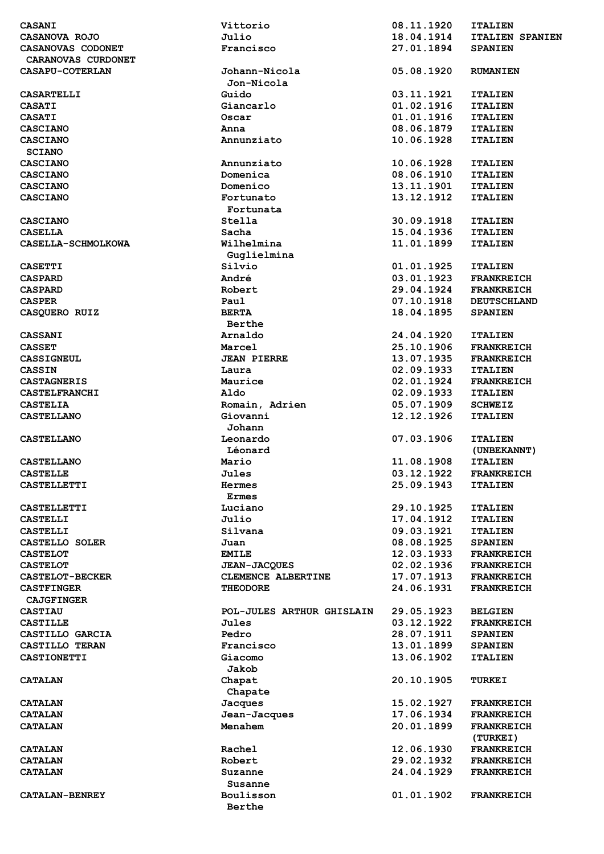| <b>CASANI</b>          | Vittorio                  | 08.11.1920 | <b>ITALIEN</b>         |
|------------------------|---------------------------|------------|------------------------|
| CASANOVA ROJO          | Julio                     | 18.04.1914 | <b>ITALIEN SPANIEN</b> |
| CASANOVAS CODONET      | Francisco                 | 27.01.1894 | <b>SPANIEN</b>         |
| CARANOVAS CURDONET     |                           |            |                        |
| CASAPU-COTERLAN        | Johann-Nicola             | 05.08.1920 | <b>RUMANIEN</b>        |
|                        | Jon-Nicola                |            |                        |
| <b>CASARTELLI</b>      | Guido                     | 03.11.1921 | <b>ITALIEN</b>         |
| <b>CASATI</b>          | Giancarlo                 | 01.02.1916 | <b>ITALIEN</b>         |
| <b>CASATI</b>          | Oscar                     | 01.01.1916 | <b>ITALIEN</b>         |
| CASCIANO               | Anna                      | 08.06.1879 | <b>ITALIEN</b>         |
| <b>CASCIANO</b>        | Annunziato                | 10.06.1928 | <b>ITALIEN</b>         |
| <b>SCIANO</b>          |                           |            |                        |
| <b>CASCIANO</b>        | Annunziato                | 10.06.1928 | <b>ITALIEN</b>         |
| <b>CASCIANO</b>        | Domenica                  | 08.06.1910 | <b>ITALIEN</b>         |
| <b>CASCIANO</b>        | Domenico                  | 13.11.1901 | <b>ITALIEN</b>         |
| <b>CASCIANO</b>        | Fortunato                 | 13.12.1912 | <b>ITALIEN</b>         |
|                        | Fortunata                 |            |                        |
| <b>CASCIANO</b>        | Stella                    | 30.09.1918 | <b>ITALIEN</b>         |
| <b>CASELLA</b>         | Sacha                     | 15.04.1936 | <b>ITALIEN</b>         |
| CASELLA-SCHMOLKOWA     | Wilhelmina                | 11.01.1899 | <b>ITALIEN</b>         |
|                        | Guglielmina               |            |                        |
| <b>CASETTI</b>         | Silvio                    | 01.01.1925 | <b>ITALIEN</b>         |
|                        |                           | 03.01.1923 |                        |
| <b>CASPARD</b>         | André                     |            | <b>FRANKREICH</b>      |
| <b>CASPARD</b>         | Robert                    | 29.04.1924 | <b>FRANKREICH</b>      |
| <b>CASPER</b>          | Paul                      | 07.10.1918 | <b>DEUTSCHLAND</b>     |
| CASOUERO RUIZ          | <b>BERTA</b>              | 18.04.1895 | <b>SPANIEN</b>         |
|                        | Berthe                    |            |                        |
| <b>CASSANI</b>         | Arnaldo                   | 24.04.1920 | <b>ITALIEN</b>         |
| <b>CASSET</b>          | Marcel                    | 25.10.1906 | <b>FRANKREICH</b>      |
| <b>CASSIGNEUL</b>      | <b>JEAN PIERRE</b>        | 13.07.1935 | <b>FRANKREICH</b>      |
| <b>CASSIN</b>          | Laura                     | 02.09.1933 | <b>ITALIEN</b>         |
| <b>CASTAGNERIS</b>     | Maurice                   | 02.01.1924 | <b>FRANKREICH</b>      |
| <b>CASTELFRANCHI</b>   | Aldo                      | 02.09.1933 | <b>ITALIEN</b>         |
| <b>CASTELIA</b>        | Romain, Adrien            | 05.07.1909 | <b>SCHWEIZ</b>         |
| <b>CASTELLANO</b>      | Giovanni                  | 12.12.1926 | <b>ITALIEN</b>         |
|                        | Johann                    |            |                        |
| <b>CASTELLANO</b>      | Leonardo                  | 07.03.1906 | <b>ITALIEN</b>         |
|                        | Léonard                   |            | (UNBEKANNT)            |
| <b>CASTELLANO</b>      | Mario                     | 11.08.1908 | <b>ITALIEN</b>         |
| <b>CASTELLE</b>        | <b>Jules</b>              | 03.12.1922 | <b>FRANKREICH</b>      |
| <b>CASTELLETTI</b>     | Hermes                    | 25.09.1943 | <b>ITALIEN</b>         |
|                        | <b>Ermes</b>              |            |                        |
| <b>CASTELLETTI</b>     | Luciano                   | 29.10.1925 | <b>ITALIEN</b>         |
| <b>CASTELLI</b>        | Julio                     | 17.04.1912 | <b>ITALIEN</b>         |
| <b>CASTELLI</b>        | Silvana                   | 09.03.1921 | <b>ITALIEN</b>         |
| CASTELLO SOLER         | Juan                      | 08.08.1925 | <b>SPANIEN</b>         |
| <b>CASTELOT</b>        | <b>EMILE</b>              | 12.03.1933 | <b>FRANKREICH</b>      |
| <b>CASTELOT</b>        | <b>JEAN-JACQUES</b>       | 02.02.1936 | <b>FRANKREICH</b>      |
| <b>CASTELOT-BECKER</b> | CLEMENCE ALBERTINE        | 17.07.1913 | <b>FRANKREICH</b>      |
| <b>CASTFINGER</b>      | <b>THEODORE</b>           | 24.06.1931 | <b>FRANKREICH</b>      |
| <b>CAJGFINGER</b>      |                           |            |                        |
| <b>CASTIAU</b>         | POL-JULES ARTHUR GHISLAIN | 29.05.1923 |                        |
|                        |                           | 03.12.1922 | <b>BELGIEN</b>         |
| <b>CASTILLE</b>        | Jules                     |            | <b>FRANKREICH</b>      |
| CASTILLO GARCIA        | Pedro                     | 28.07.1911 | <b>SPANIEN</b>         |
| CASTILLO TERAN         | Francisco                 | 13.01.1899 | <b>SPANIEN</b>         |
| <b>CASTIONETTI</b>     | Giacomo                   | 13.06.1902 | <b>ITALIEN</b>         |
|                        | Jakob                     |            |                        |
| <b>CATALAN</b>         | Chapat                    | 20.10.1905 | <b>TURKEI</b>          |
|                        | Chapate                   |            |                        |
| <b>CATALAN</b>         | <b>Jacques</b>            | 15.02.1927 | <b>FRANKREICH</b>      |
| <b>CATALAN</b>         | Jean-Jacques              | 17.06.1934 | <b>FRANKREICH</b>      |
| <b>CATALAN</b>         | Menahem                   | 20.01.1899 | <b>FRANKREICH</b>      |
|                        |                           |            | (TURKEI)               |
| <b>CATALAN</b>         | Rachel                    | 12.06.1930 | <b>FRANKREICH</b>      |
| <b>CATALAN</b>         | Robert                    | 29.02.1932 | <b>FRANKREICH</b>      |
| <b>CATALAN</b>         | Suzanne                   | 24.04.1929 | <b>FRANKREICH</b>      |
|                        | Susanne                   |            |                        |
| <b>CATALAN-BENREY</b>  | Boulisson                 | 01.01.1902 | <b>FRANKREICH</b>      |
|                        | Berthe                    |            |                        |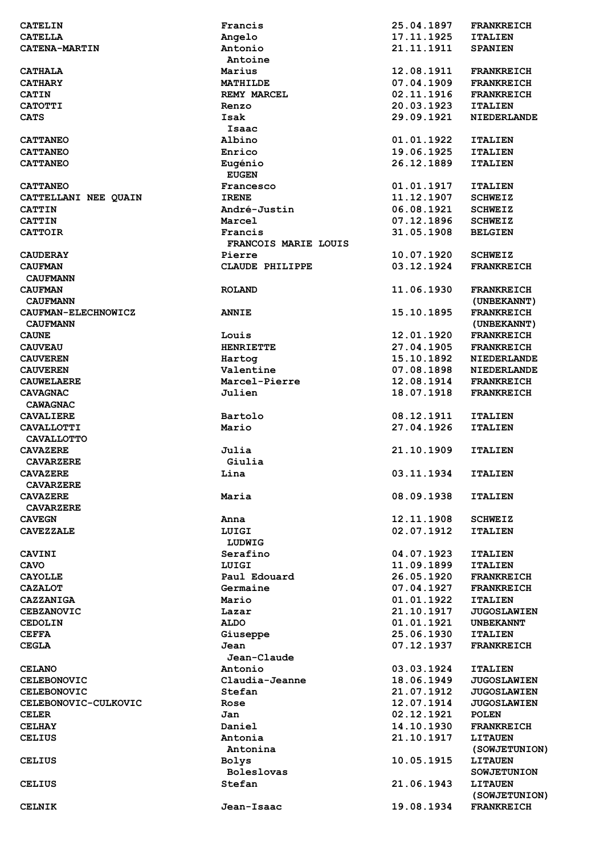| <b>CATELIN</b>                     | Francis                   | 25.04.1897               | <b>FRANKREICH</b>                 |
|------------------------------------|---------------------------|--------------------------|-----------------------------------|
| <b>CATELLA</b>                     | Angelo                    | 17.11.1925               | <b>ITALIEN</b>                    |
| <b>CATENA-MARTIN</b>               | Antonio                   | 21.11.1911               | <b>SPANIEN</b>                    |
|                                    | Antoine                   |                          |                                   |
| <b>CATHALA</b>                     | Marius                    | 12.08.1911               | <b>FRANKREICH</b>                 |
| <b>CATHARY</b>                     | MATHILDE                  | 07.04.1909               | <b>FRANKREICH</b>                 |
| <b>CATIN</b>                       | <b>REMY MARCEL</b>        | 02.11.1916               | <b>FRANKREICH</b>                 |
| <b>CATOTTI</b>                     | Renzo                     | 20.03.1923               | <b>ITALIEN</b>                    |
| <b>CATS</b>                        | Isak                      | 29.09.1921               | <b>NIEDERLANDE</b>                |
|                                    | Isaac                     |                          |                                   |
| <b>CATTANEO</b>                    | Albino                    | 01.01.1922               | <b>ITALIEN</b>                    |
| <b>CATTANEO</b>                    | Enrico                    | 19.06.1925               | <b>ITALIEN</b>                    |
| <b>CATTANEO</b>                    | Eugénio                   | 26.12.1889               | <b>ITALIEN</b>                    |
|                                    | <b>EUGEN</b>              |                          |                                   |
| <b>CATTANEO</b>                    | Francesco                 | 01.01.1917               | <b>ITALIEN</b>                    |
| CATTELLANI NEE QUAIN               | <b>IRENE</b>              | 11.12.1907               | <b>SCHWEIZ</b>                    |
| <b>CATTIN</b>                      | André-Justin              | 06.08.1921               | <b>SCHWEIZ</b>                    |
| <b>CATTIN</b>                      | Marcel                    | 07.12.1896               | <b>SCHWEIZ</b>                    |
| <b>CATTOIR</b>                     | Francis                   | 31.05.1908               | <b>BELGIEN</b>                    |
|                                    | FRANCOIS MARIE LOUIS      |                          |                                   |
| <b>CAUDERAY</b>                    | Pierre                    | 10.07.1920               | <b>SCHWEIZ</b>                    |
| <b>CAUFMAN</b>                     | CLAUDE PHILIPPE           | 03.12.1924               | <b>FRANKREICH</b>                 |
| <b>CAUFMANN</b>                    |                           |                          |                                   |
| <b>CAUFMAN</b>                     | <b>ROLAND</b>             | 11.06.1930               | <b>FRANKREICH</b>                 |
| <b>CAUFMANN</b>                    |                           |                          | (UNBEKANNT)                       |
| CAUFMAN-ELECHNOWICZ                | <b>ANNIE</b>              | 15.10.1895               | <b>FRANKREICH</b>                 |
| <b>CAUFMANN</b>                    |                           |                          | (UNBEKANNT)                       |
| <b>CAUNE</b>                       | Louis<br><b>HENRIETTE</b> | 12.01.1920<br>27.04.1905 | <b>FRANKREICH</b>                 |
| <b>CAUVEAU</b>                     |                           | 15.10.1892               | <b>FRANKREICH</b>                 |
| <b>CAUVEREN</b><br><b>CAUVEREN</b> | Hartog<br>Valentine       | 07.08.1898               | NIEDERLANDE<br><b>NIEDERLANDE</b> |
| <b>CAUWELAERE</b>                  | Marcel-Pierre             | 12.08.1914               | <b>FRANKREICH</b>                 |
| <b>CAVAGNAC</b>                    | Julien                    | 18.07.1918               | <b>FRANKREICH</b>                 |
| <b>CAWAGNAC</b>                    |                           |                          |                                   |
| <b>CAVALIERE</b>                   | Bartolo                   | 08.12.1911               | <b>ITALIEN</b>                    |
| <b>CAVALLOTTI</b>                  | Mario                     | 27.04.1926               | <b>ITALIEN</b>                    |
| <b>CAVALLOTTO</b>                  |                           |                          |                                   |
| <b>CAVAZERE</b>                    | Julia                     | 21.10.1909               | <b>ITALIEN</b>                    |
| <b>CAVARZERE</b>                   | Giulia                    |                          |                                   |
| <b>CAVAZERE</b>                    | Lina                      | 03.11.1934               | <b>ITALIEN</b>                    |
| <b>CAVARZERE</b>                   |                           |                          |                                   |
| <b>CAVAZERE</b>                    | Maria                     | 08.09.1938               | <b>ITALIEN</b>                    |
| <b>CAVARZERE</b>                   |                           |                          |                                   |
| <b>CAVEGN</b>                      | Anna                      | 12.11.1908               | <b>SCHWEIZ</b>                    |
| <b>CAVEZZALE</b>                   | LUIGI                     | 02.07.1912               | <b>ITALIEN</b>                    |
|                                    | LUDWIG                    |                          |                                   |
| <b>CAVINI</b>                      | Serafino                  | 04.07.1923               | <b>ITALIEN</b>                    |
| CAVO                               | LUIGI                     | 11.09.1899               | <b>ITALIEN</b>                    |
| <b>CAYOLLE</b>                     | Paul Edouard              | 26.05.1920               | <b>FRANKREICH</b>                 |
| <b>CAZALOT</b>                     | Germaine                  | 07.04.1927               | <b>FRANKREICH</b>                 |
| CAZZANIGA                          | Mario                     | 01.01.1922               | <b>ITALIEN</b>                    |
| <b>CEBZANOVIC</b>                  | Lazar                     | 21.10.1917               | <b>JUGOSLAWIEN</b>                |
| <b>CEDOLIN</b>                     | <b>ALDO</b>               | 01.01.1921               | <b>UNBEKANNT</b>                  |
| <b>CEFFA</b>                       | Giuseppe                  | 25.06.1930               | <b>ITALIEN</b>                    |
| <b>CEGLA</b>                       | Jean                      | 07.12.1937               | <b>FRANKREICH</b>                 |
|                                    | Jean-Claude               |                          |                                   |
| <b>CELANO</b>                      | Antonio                   | 03.03.1924               | <b>ITALIEN</b>                    |
| <b>CELEBONOVIC</b>                 | Claudia-Jeanne            | 18.06.1949               | <b>JUGOSLAWIEN</b>                |
| <b>CELEBONOVIC</b>                 | Stefan                    | 21.07.1912               | <b>JUGOSLAWIEN</b>                |
| CELEBONOVIC-CULKOVIC               | Rose                      | 12.07.1914               | <b>JUGOSLAWIEN</b>                |
| <b>CELER</b>                       | Jan                       | 02.12.1921               | <b>POLEN</b>                      |
| <b>CELHAY</b>                      | Daniel                    | 14.10.1930               | <b>FRANKREICH</b>                 |
| <b>CELIUS</b>                      | Antonia                   | 21.10.1917               | <b>LITAUEN</b>                    |
|                                    | Antonina                  |                          | (SOWJETUNION)                     |
| <b>CELIUS</b>                      | <b>Bolys</b>              | 10.05.1915               | <b>LITAUEN</b>                    |
|                                    | <b>Boleslovas</b>         |                          | <b>SOWJETUNION</b>                |
| <b>CELIUS</b>                      | Stefan                    | 21.06.1943               | <b>LITAUEN</b>                    |
|                                    |                           |                          | (SOWJETUNION)                     |
| <b>CELNIK</b>                      | Jean-Isaac                | 19.08.1934               | <b>FRANKREICH</b>                 |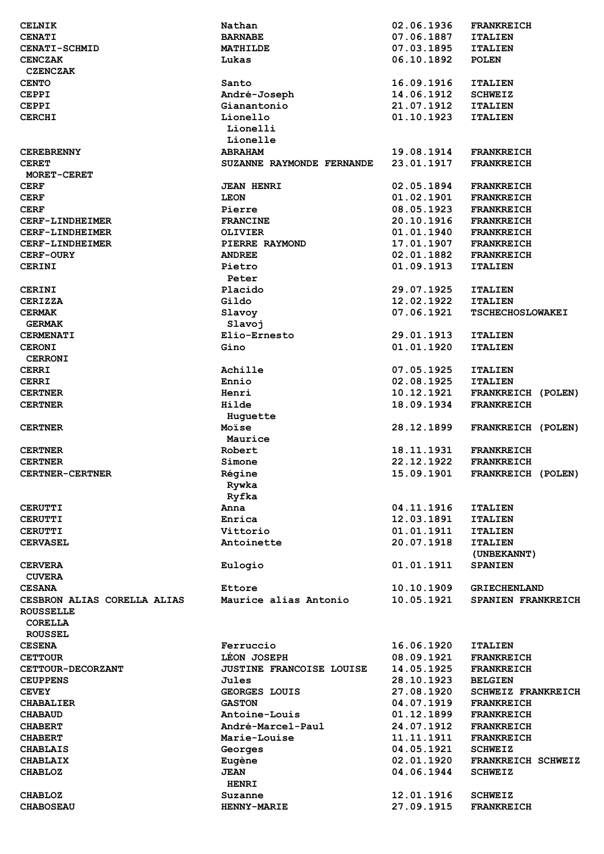| <b>CELNIK</b>                     | Nathan                          | 02.06.1936               | <b>FRANKREICH</b>                    |
|-----------------------------------|---------------------------------|--------------------------|--------------------------------------|
| <b>CENATI</b>                     | <b>BARNABE</b>                  | 07.06.1887               | <b>ITALIEN</b>                       |
| <b>CENATI-SCHMID</b>              | MATHILDE                        | 07.03.1895               | <b>ITALIEN</b>                       |
| <b>CENCZAK</b>                    | Lukas                           | 06.10.1892               | <b>POLEN</b>                         |
| <b>CZENCZAK</b>                   |                                 |                          |                                      |
| <b>CENTO</b>                      | Santo                           | 16.09.1916               | <b>ITALIEN</b>                       |
| <b>CEPPI</b>                      | André-Joseph                    | 14.06.1912               | <b>SCHWEIZ</b>                       |
| <b>CEPPI</b>                      | Gianantonio                     | 21.07.1912               | <b>ITALIEN</b>                       |
| <b>CERCHI</b>                     | Lionello                        | 01.10.1923               | <b>ITALIEN</b>                       |
|                                   | Lionelli                        |                          |                                      |
|                                   | Lionelle                        |                          |                                      |
| <b>CEREBRENNY</b>                 | <b>ABRAHAM</b>                  | 19.08.1914               | <b>FRANKREICH</b>                    |
| <b>CERET</b>                      | SUZANNE RAYMONDE FERNANDE       | 23.01.1917               | <b>FRANKREICH</b>                    |
| MORET-CERET                       |                                 |                          |                                      |
| <b>CERF</b>                       | <b>JEAN HENRI</b>               | 02.05.1894               | <b>FRANKREICH</b>                    |
| <b>CERF</b>                       | <b>LEON</b>                     | 01.02.1901               | <b>FRANKREICH</b>                    |
| <b>CERF</b>                       | Pierre                          | 08.05.1923               | <b>FRANKREICH</b>                    |
| CERF-LINDHEIMER                   | <b>FRANCINE</b>                 | 20.10.1916               | <b>FRANKREICH</b>                    |
| CERF-LINDHEIMER                   | <b>OLIVIER</b>                  | 01.01.1940               | <b>FRANKREICH</b>                    |
| CERF-LINDHEIMER                   | PIERRE RAYMOND                  | 17.01.1907               | <b>FRANKREICH</b>                    |
| <b>CERF-OURY</b>                  | <b>ANDREE</b>                   | 02.01.1882               | <b>FRANKREICH</b>                    |
| <b>CERINI</b>                     | Pietro                          | 01.09.1913               | <b>ITALIEN</b>                       |
|                                   | Peter                           |                          |                                      |
| <b>CERINI</b>                     | Placido                         | 29.07.1925               | <b>ITALIEN</b>                       |
| <b>CERIZZA</b>                    | Gildo                           | 12.02.1922               | <b>ITALIEN</b>                       |
| <b>CERMAK</b>                     | Slavoy                          | 07.06.1921               | <b>TSCHECHOSLOWAKEI</b>              |
| <b>GERMAK</b>                     | Slavoj                          |                          |                                      |
| <b>CERMENATI</b>                  | Elio-Ernesto                    | 29.01.1913               | <b>ITALIEN</b>                       |
| <b>CERONI</b>                     | Gino                            | 01.01.1920               | <b>ITALIEN</b>                       |
| <b>CERRONI</b>                    |                                 |                          |                                      |
| <b>CERRI</b>                      | Achille<br>Ennio                | 07.05.1925<br>02.08.1925 | <b>ITALIEN</b>                       |
| <b>CERRI</b><br><b>CERTNER</b>    | Henri                           | 10.12.1921               | <b>ITALIEN</b><br>FRANKREICH (POLEN) |
| <b>CERTNER</b>                    | Hilde                           | 18.09.1934               | <b>FRANKREICH</b>                    |
|                                   | Huguette                        |                          |                                      |
| <b>CERTNER</b>                    | Moïse                           | 28.12.1899               | FRANKREICH (POLEN)                   |
|                                   | Maurice                         |                          |                                      |
| <b>CERTNER</b>                    | Robert                          | 18.11.1931               | <b>FRANKREICH</b>                    |
| <b>CERTNER</b>                    | Simone                          | 22.12.1922               | <b>FRANKREICH</b>                    |
| <b>CERTNER-CERTNER</b>            | Régine                          | 15.09.1901               | FRANKREICH (POLEN)                   |
|                                   | Rywka                           |                          |                                      |
|                                   | Ryfka                           |                          |                                      |
| <b>CERUTTI</b>                    | Anna                            | 04.11.1916               | <b>ITALIEN</b>                       |
| <b>CERUTTI</b>                    | Enrica                          | 12.03.1891               | <b>ITALIEN</b>                       |
| <b>CERUTTI</b>                    | Vittorio                        | 01.01.1911               | <b>ITALIEN</b>                       |
| <b>CERVASEL</b>                   | Antoinette                      | 20.07.1918               | <b>ITALIEN</b>                       |
|                                   |                                 |                          | (UNBEKANNT)                          |
| <b>CERVERA</b>                    | Eulogio                         | 01.01.1911               | <b>SPANIEN</b>                       |
| <b>CUVERA</b>                     |                                 |                          |                                      |
| <b>CESANA</b>                     | Ettore                          | 10.10.1909               | <b>GRIECHENLAND</b>                  |
| CESBRON ALIAS CORELLA ALIAS       | Maurice alias Antonio           | 10.05.1921               | SPANIEN FRANKREICH                   |
| <b>ROUSSELLE</b>                  |                                 |                          |                                      |
| <b>CORELLA</b>                    |                                 |                          |                                      |
| <b>ROUSSEL</b>                    |                                 |                          |                                      |
| <b>CESENA</b>                     | Ferruccio                       | 16.06.1920               | <b>ITALIEN</b>                       |
| <b>CETTOUR</b>                    | LEON JOSEPH                     | 08.09.1921               | <b>FRANKREICH</b>                    |
| CETTOUR-DECORZANT                 | <b>JUSTINE FRANCOISE LOUISE</b> | 14.05.1925               | <b>FRANKREICH</b>                    |
| <b>CEUPPENS</b>                   | Jules                           | 28.10.1923               | <b>BELGIEN</b>                       |
| <b>CEVEY</b>                      | GEORGES LOUIS                   | 27.08.1920               | <b>SCHWEIZ FRANKREICH</b>            |
| <b>CHABALIER</b>                  | <b>GASTON</b>                   | 04.07.1919               | <b>FRANKREICH</b>                    |
| <b>CHABAUD</b>                    | <b>Antoine-Louis</b>            | 01.12.1899               | <b>FRANKREICH</b>                    |
| <b>CHABERT</b>                    | André-Marcel-Paul               | 24.07.1912               | <b>FRANKREICH</b>                    |
| <b>CHABERT</b>                    | <b>Marie-Louise</b>             | 11.11.1911               | <b>FRANKREICH</b>                    |
| <b>CHABLAIS</b>                   | Georges                         | 04.05.1921               | <b>SCHWEIZ</b>                       |
| <b>CHABLAIX</b><br><b>CHABLOZ</b> | Eugène<br><b>JEAN</b>           | 02.01.1920<br>04.06.1944 | FRANKREICH SCHWEIZ<br><b>SCHWEIZ</b> |
|                                   | <b>HENRI</b>                    |                          |                                      |
| <b>CHABLOZ</b>                    | Suzanne                         | 12.01.1916               | <b>SCHWEIZ</b>                       |
| <b>CHABOSEAU</b>                  | <b>HENNY-MARIE</b>              | 27.09.1915               | <b>FRANKREICH</b>                    |
|                                   |                                 |                          |                                      |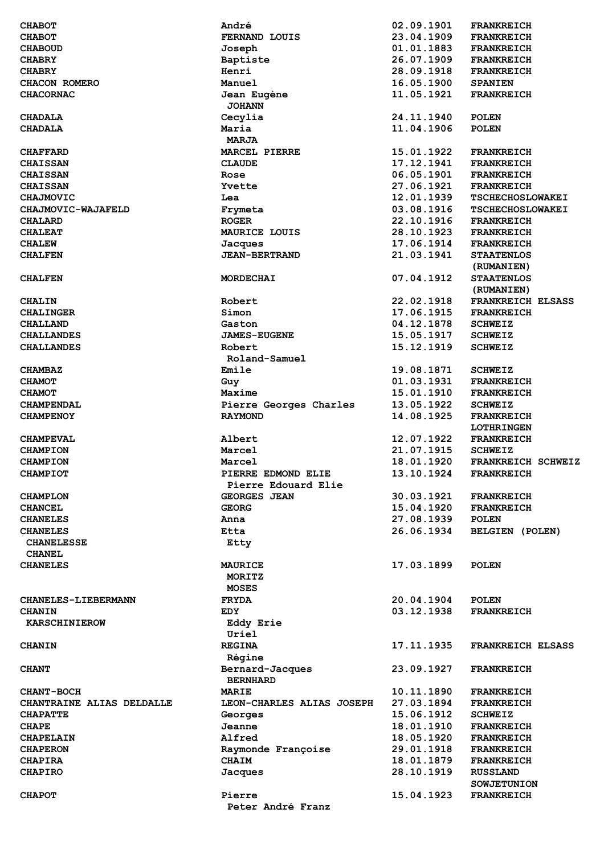| <b>CHABOT</b>              | André                      | 02.09.1901 | <b>FRANKREICH</b>        |
|----------------------------|----------------------------|------------|--------------------------|
| <b>CHABOT</b>              | FERNAND LOUIS              | 23.04.1909 | <b>FRANKREICH</b>        |
| <b>CHABOUD</b>             | Joseph                     | 01.01.1883 | <b>FRANKREICH</b>        |
| <b>CHABRY</b>              | Baptiste                   | 26.07.1909 | <b>FRANKREICH</b>        |
| <b>CHABRY</b>              | Henri                      | 28.09.1918 | <b>FRANKREICH</b>        |
| CHACON ROMERO              | Manuel                     | 16.05.1900 | <b>SPANIEN</b>           |
| <b>CHACORNAC</b>           | Jean Eugène                | 11.05.1921 | <b>FRANKREICH</b>        |
|                            | <b>JOHANN</b>              |            |                          |
| <b>CHADALA</b>             | Cecylia                    | 24.11.1940 | <b>POLEN</b>             |
| <b>CHADALA</b>             | Maria                      | 11.04.1906 | <b>POLEN</b>             |
|                            | <b>MARJA</b>               |            |                          |
| <b>CHAFFARD</b>            | <b>MARCEL PIERRE</b>       | 15.01.1922 | <b>FRANKREICH</b>        |
| <b>CHAISSAN</b>            | <b>CLAUDE</b>              | 17.12.1941 | <b>FRANKREICH</b>        |
| <b>CHAISSAN</b>            | Rose                       | 06.05.1901 | <b>FRANKREICH</b>        |
| <b>CHAISSAN</b>            | Yvette                     | 27.06.1921 | <b>FRANKREICH</b>        |
| <b>CHAJMOVIC</b>           | Lea                        | 12.01.1939 | <b>TSCHECHOSLOWAKEI</b>  |
| CHAJMOVIC-WAJAFELD         | Frymeta                    | 03.08.1916 | <b>TSCHECHOSLOWAKEI</b>  |
| <b>CHALARD</b>             | <b>ROGER</b>               | 22.10.1916 | <b>FRANKREICH</b>        |
| <b>CHALEAT</b>             | MAURICE LOUIS              | 28.10.1923 | <b>FRANKREICH</b>        |
| <b>CHALEW</b>              | Jacques                    | 17.06.1914 | <b>FRANKREICH</b>        |
| <b>CHALFEN</b>             | <b>JEAN-BERTRAND</b>       | 21.03.1941 | <b>STAATENLOS</b>        |
|                            |                            |            | (RUMANIEN)               |
| <b>CHALFEN</b>             | MORDECHAI                  | 07.04.1912 | <b>STAATENLOS</b>        |
|                            |                            |            | (RUMANIEN)               |
| <b>CHALIN</b>              | Robert                     | 22.02.1918 | <b>FRANKREICH ELSASS</b> |
| <b>CHALINGER</b>           | Simon                      | 17.06.1915 | <b>FRANKREICH</b>        |
| <b>CHALLAND</b>            | Gaston                     | 04.12.1878 | <b>SCHWEIZ</b>           |
| <b>CHALLANDES</b>          | <b>JAMES-EUGENE</b>        | 15.05.1917 | <b>SCHWEIZ</b>           |
| <b>CHALLANDES</b>          | Robert                     | 15.12.1919 | <b>SCHWEIZ</b>           |
|                            | Roland-Samuel              |            |                          |
|                            |                            | 19.08.1871 |                          |
| <b>CHAMBAZ</b>             | Emile                      |            | <b>SCHWEIZ</b>           |
| <b>CHAMOT</b>              | Guy                        | 01.03.1931 | <b>FRANKREICH</b>        |
| <b>CHAMOT</b>              | Maxime                     | 15.01.1910 | <b>FRANKREICH</b>        |
| <b>CHAMPENDAL</b>          | Pierre Georges Charles     | 13.05.1922 | <b>SCHWEIZ</b>           |
| <b>CHAMPENOY</b>           | <b>RAYMOND</b>             | 14.08.1925 | <b>FRANKREICH</b>        |
|                            |                            |            | <b>LOTHRINGEN</b>        |
| <b>CHAMPEVAL</b>           | Albert                     | 12.07.1922 | <b>FRANKREICH</b>        |
| <b>CHAMPION</b>            | Marcel                     | 21.07.1915 | <b>SCHWEIZ</b>           |
| <b>CHAMPION</b>            | Marcel                     | 18.01.1920 | FRANKREICH SCHWEIZ       |
| <b>CHAMPIOT</b>            | PIERRE EDMOND ELIE         | 13.10.1924 | <b>FRANKREICH</b>        |
|                            | <b>Pierre Edouard Elie</b> |            |                          |
| <b>CHAMPLON</b>            | <b>GEORGES JEAN</b>        | 30.03.1921 | <b>FRANKREICH</b>        |
| <b>CHANCEL</b>             | <b>GEORG</b>               | 15.04.1920 | <b>FRANKREICH</b>        |
| <b>CHANELES</b>            | Anna                       | 27.08.1939 | <b>POLEN</b>             |
| <b>CHANELES</b>            | Etta                       | 26.06.1934 | <b>BELGIEN (POLEN)</b>   |
| <b>CHANELESSE</b>          | Etty                       |            |                          |
| <b>CHANEL</b>              |                            |            |                          |
| <b>CHANELES</b>            | <b>MAURICE</b>             | 17.03.1899 | <b>POLEN</b>             |
|                            | MORITZ                     |            |                          |
|                            | <b>MOSES</b>               |            |                          |
| <b>CHANELES-LIEBERMANN</b> | <b>FRYDA</b>               | 20.04.1904 | <b>POLEN</b>             |
| <b>CHANIN</b>              | EDY                        | 03.12.1938 | <b>FRANKREICH</b>        |
| <b>KARSCHINIEROW</b>       | Eddy Erie                  |            |                          |
|                            | Uriel                      |            |                          |
| <b>CHANIN</b>              | <b>REGINA</b>              | 17.11.1935 | <b>FRANKREICH ELSASS</b> |
|                            | Régine                     |            |                          |
| <b>CHANT</b>               | Bernard-Jacques            | 23.09.1927 | <b>FRANKREICH</b>        |
|                            | <b>BERNHARD</b>            |            |                          |
| <b>CHANT-BOCH</b>          | MARIE                      | 10.11.1890 | <b>FRANKREICH</b>        |
| CHANTRAINE ALIAS DELDALLE  | LEON-CHARLES ALIAS JOSEPH  | 27.03.1894 | <b>FRANKREICH</b>        |
| <b>CHAPATTE</b>            | Georges                    | 15.06.1912 | <b>SCHWEIZ</b>           |
| <b>CHAPE</b>               | Jeanne                     | 18.01.1910 | <b>FRANKREICH</b>        |
| <b>CHAPELAIN</b>           | Alfred                     | 18.05.1920 | <b>FRANKREICH</b>        |
| <b>CHAPERON</b>            | Raymonde Françoise         | 29.01.1918 | <b>FRANKREICH</b>        |
| <b>CHAPIRA</b>             | <b>CHAIM</b>               | 18.01.1879 | <b>FRANKREICH</b>        |
| <b>CHAPIRO</b>             | Jacques                    | 28.10.1919 | <b>RUSSLAND</b>          |
|                            |                            |            | <b>SOWJETUNION</b>       |
| <b>CHAPOT</b>              | Pierre                     | 15.04.1923 | <b>FRANKREICH</b>        |
|                            |                            |            |                          |
|                            | Peter André Franz          |            |                          |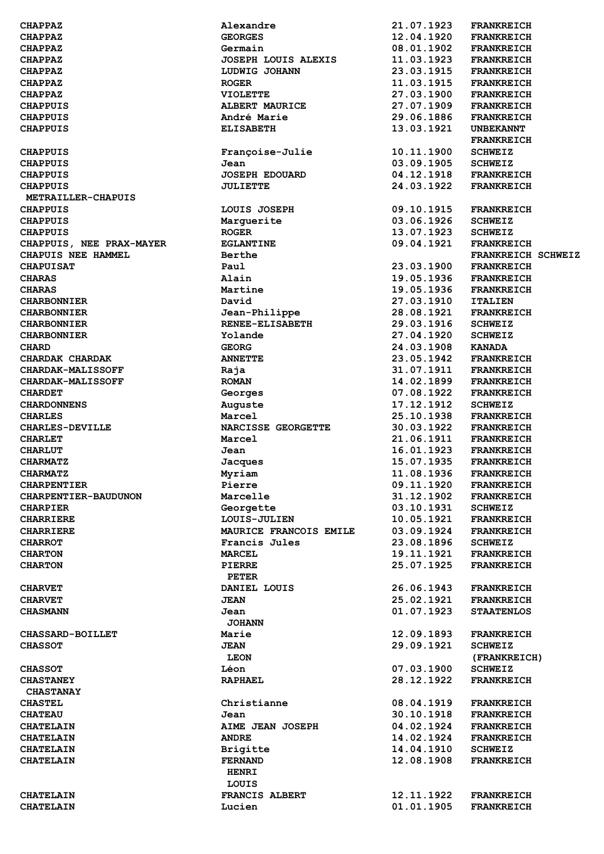| <b>CHAPPAZ</b>           | Alexandre                  | 21.07.1923 | <b>FRANKREICH</b>  |
|--------------------------|----------------------------|------------|--------------------|
| <b>CHAPPAZ</b>           | <b>GEORGES</b>             | 12.04.1920 | <b>FRANKREICH</b>  |
| <b>CHAPPAZ</b>           | Germain                    | 08.01.1902 | <b>FRANKREICH</b>  |
| <b>CHAPPAZ</b>           | <b>JOSEPH LOUIS ALEXIS</b> | 11.03.1923 | <b>FRANKREICH</b>  |
| <b>CHAPPAZ</b>           | LUDWIG JOHANN              | 23.03.1915 | <b>FRANKREICH</b>  |
| <b>CHAPPAZ</b>           | <b>ROGER</b>               | 11.03.1915 | <b>FRANKREICH</b>  |
| <b>CHAPPAZ</b>           | <b>VIOLETTE</b>            | 27.03.1900 | <b>FRANKREICH</b>  |
| <b>CHAPPUIS</b>          | <b>ALBERT MAURICE</b>      | 27.07.1909 | <b>FRANKREICH</b>  |
| <b>CHAPPUIS</b>          | André Marie                | 29.06.1886 | <b>FRANKREICH</b>  |
| <b>CHAPPUIS</b>          | <b>ELISABETH</b>           | 13.03.1921 | <b>UNBEKANNT</b>   |
|                          |                            |            | <b>FRANKREICH</b>  |
| <b>CHAPPUIS</b>          | Françoise-Julie            | 10.11.1900 | <b>SCHWEIZ</b>     |
| <b>CHAPPUIS</b>          | Jean                       | 03.09.1905 | <b>SCHWEIZ</b>     |
| <b>CHAPPUIS</b>          | <b>JOSEPH EDOUARD</b>      | 04.12.1918 | <b>FRANKREICH</b>  |
|                          |                            | 24.03.1922 |                    |
| <b>CHAPPUIS</b>          | <b>JULIETTE</b>            |            | <b>FRANKREICH</b>  |
| METRAILLER-CHAPUIS       |                            |            |                    |
| <b>CHAPPUIS</b>          | LOUIS JOSEPH               | 09.10.1915 | <b>FRANKREICH</b>  |
| <b>CHAPPUIS</b>          | Marguerite                 | 03.06.1926 | <b>SCHWEIZ</b>     |
| <b>CHAPPUIS</b>          | <b>ROGER</b>               | 13.07.1923 | <b>SCHWEIZ</b>     |
| CHAPPUIS, NEE PRAX-MAYER | <b>EGLANTINE</b>           | 09.04.1921 | <b>FRANKREICH</b>  |
| CHAPUIS NEE HAMMEL       | Berthe                     |            | FRANKREICH SCHWEIZ |
| <b>CHAPUISAT</b>         | Paul                       | 23.03.1900 | <b>FRANKREICH</b>  |
| <b>CHARAS</b>            | Alain                      | 19.05.1936 | <b>FRANKREICH</b>  |
| <b>CHARAS</b>            | Martine                    | 19.05.1936 | <b>FRANKREICH</b>  |
| <b>CHARBONNIER</b>       | David                      | 27.03.1910 | <b>ITALIEN</b>     |
| <b>CHARBONNIER</b>       | Jean-Philippe              | 28.08.1921 | <b>FRANKREICH</b>  |
| <b>CHARBONNIER</b>       | <b>RENEE-ELISABETH</b>     | 29.03.1916 | <b>SCHWEIZ</b>     |
| <b>CHARBONNIER</b>       | Yolande                    | 27.04.1920 | <b>SCHWEIZ</b>     |
| <b>CHARD</b>             | <b>GEORG</b>               | 24.03.1908 | <b>KANADA</b>      |
| CHARDAK CHARDAK          | <b>ANNETTE</b>             | 23.05.1942 | <b>FRANKREICH</b>  |
| <b>CHARDAK-MALISSOFF</b> | Raja                       | 31.07.1911 | <b>FRANKREICH</b>  |
| <b>CHARDAK-MALISSOFF</b> | <b>ROMAN</b>               | 14.02.1899 | <b>FRANKREICH</b>  |
| <b>CHARDET</b>           | Georges                    | 07.08.1922 | <b>FRANKREICH</b>  |
| <b>CHARDONNENS</b>       | Auguste                    | 17.12.1912 | <b>SCHWEIZ</b>     |
| <b>CHARLES</b>           | Marcel                     | 25.10.1938 | <b>FRANKREICH</b>  |
| <b>CHARLES-DEVILLE</b>   | NARCISSE GEORGETTE         | 30.03.1922 | <b>FRANKREICH</b>  |
|                          | Marcel                     | 21.06.1911 | <b>FRANKREICH</b>  |
| <b>CHARLET</b>           |                            |            |                    |
| <b>CHARLUT</b>           | Jean                       | 16.01.1923 | <b>FRANKREICH</b>  |
| <b>CHARMATZ</b>          | Jacques                    | 15.07.1935 | <b>FRANKREICH</b>  |
| <b>CHARMATZ</b>          | Myriam                     | 11.08.1936 | <b>FRANKREICH</b>  |
| <b>CHARPENTIER</b>       | Pierre                     | 09.11.1920 | <b>FRANKREICH</b>  |
| CHARPENTIER-BAUDUNON     | Marcelle                   | 31.12.1902 | <b>FRANKREICH</b>  |
| <b>CHARPIER</b>          | Georgette                  | 03.10.1931 | <b>SCHWEIZ</b>     |
| <b>CHARRIERE</b>         | <b>LOUIS-JULIEN</b>        | 10.05.1921 | <b>FRANKREICH</b>  |
| <b>CHARRIERE</b>         | MAURICE FRANCOIS EMILE     | 03.09.1924 | <b>FRANKREICH</b>  |
| <b>CHARROT</b>           | Francis Jules              | 23.08.1896 | <b>SCHWEIZ</b>     |
| <b>CHARTON</b>           | <b>MARCEL</b>              | 19.11.1921 | <b>FRANKREICH</b>  |
| <b>CHARTON</b>           | <b>PIERRE</b>              | 25.07.1925 | <b>FRANKREICH</b>  |
|                          | PETER                      |            |                    |
| <b>CHARVET</b>           | DANIEL LOUIS               | 26.06.1943 | <b>FRANKREICH</b>  |
| <b>CHARVET</b>           | <b>JEAN</b>                | 25.02.1921 | <b>FRANKREICH</b>  |
| <b>CHASMANN</b>          | Jean                       | 01.07.1923 | <b>STAATENLOS</b>  |
|                          | <b>JOHANN</b>              |            |                    |
| <b>CHASSARD-BOILLET</b>  | Marie                      | 12.09.1893 | <b>FRANKREICH</b>  |
| <b>CHASSOT</b>           | <b>JEAN</b>                | 29.09.1921 | <b>SCHWEIZ</b>     |
|                          | <b>LEON</b>                |            | (FRANKREICH)       |
|                          | Léon                       | 07.03.1900 |                    |
| <b>CHASSOT</b>           |                            |            | <b>SCHWEIZ</b>     |
| <b>CHASTANEY</b>         | <b>RAPHAEL</b>             | 28.12.1922 | <b>FRANKREICH</b>  |
| <b>CHASTANAY</b>         |                            |            |                    |
| <b>CHASTEL</b>           | Christianne                | 08.04.1919 | <b>FRANKREICH</b>  |
| <b>CHATEAU</b>           | Jean                       | 30.10.1918 | <b>FRANKREICH</b>  |
| <b>CHATELAIN</b>         | AIME JEAN JOSEPH           | 04.02.1924 | <b>FRANKREICH</b>  |
| <b>CHATELAIN</b>         | <b>ANDRE</b>               | 14.02.1924 | <b>FRANKREICH</b>  |
| <b>CHATELAIN</b>         | <b>Brigitte</b>            | 14.04.1910 | <b>SCHWEIZ</b>     |
| <b>CHATELAIN</b>         | <b>FERNAND</b>             | 12.08.1908 | <b>FRANKREICH</b>  |
|                          | <b>HENRI</b>               |            |                    |
|                          | LOUIS                      |            |                    |
| <b>CHATELAIN</b>         | FRANCIS ALBERT             | 12.11.1922 | <b>FRANKREICH</b>  |
| <b>CHATELAIN</b>         | Lucien                     | 01.01.1905 | <b>FRANKREICH</b>  |
|                          |                            |            |                    |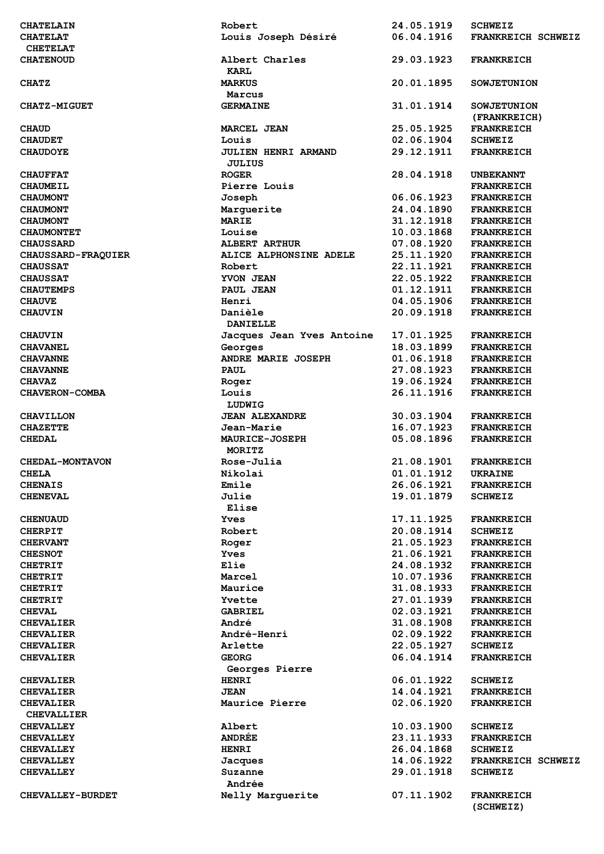| <b>CHATELAIN</b>          | Robert                     | 24.05.1919 | <b>SCHWEIZ</b>     |
|---------------------------|----------------------------|------------|--------------------|
| <b>CHATELAT</b>           | Louis Joseph Désiré        | 06.04.1916 | FRANKREICH SCHWEIZ |
| <b>CHETELAT</b>           |                            |            |                    |
| <b>CHATENOUD</b>          | Albert Charles             | 29.03.1923 | <b>FRANKREICH</b>  |
|                           | <b>KARL</b>                |            |                    |
| <b>CHATZ</b>              | <b>MARKUS</b>              | 20.01.1895 | <b>SOWJETUNION</b> |
|                           | Marcus                     |            |                    |
| <b>CHATZ-MIGUET</b>       | <b>GERMAINE</b>            | 31.01.1914 | <b>SOWJETUNION</b> |
|                           |                            |            | (FRANKREICH)       |
| <b>CHAUD</b>              | <b>MARCEL JEAN</b>         | 25.05.1925 | <b>FRANKREICH</b>  |
| <b>CHAUDET</b>            | Louis                      | 02.06.1904 | <b>SCHWEIZ</b>     |
| <b>CHAUDOYE</b>           | <b>JULIEN HENRI ARMAND</b> | 29.12.1911 | <b>FRANKREICH</b>  |
|                           | <b>JULIUS</b>              |            |                    |
| <b>CHAUFFAT</b>           | <b>ROGER</b>               | 28.04.1918 | <b>UNBEKANNT</b>   |
| <b>CHAUMEIL</b>           | Pierre Louis               |            | <b>FRANKREICH</b>  |
| <b>CHAUMONT</b>           | Joseph                     | 06.06.1923 | <b>FRANKREICH</b>  |
|                           |                            | 24.04.1890 |                    |
| <b>CHAUMONT</b>           | Marguerite<br><b>MARIE</b> | 31.12.1918 | <b>FRANKREICH</b>  |
| <b>CHAUMONT</b>           |                            |            | <b>FRANKREICH</b>  |
| <b>CHAUMONTET</b>         | Louise                     | 10.03.1868 | <b>FRANKREICH</b>  |
| <b>CHAUSSARD</b>          | <b>ALBERT ARTHUR</b>       | 07.08.1920 | <b>FRANKREICH</b>  |
| <b>CHAUSSARD-FRAQUIER</b> | ALICE ALPHONSINE ADELE     | 25.11.1920 | <b>FRANKREICH</b>  |
| <b>CHAUSSAT</b>           | Robert                     | 22.11.1921 | <b>FRANKREICH</b>  |
| <b>CHAUSSAT</b>           | YVON JEAN                  | 22.05.1922 | <b>FRANKREICH</b>  |
| <b>CHAUTEMPS</b>          | PAUL JEAN                  | 01.12.1911 | <b>FRANKREICH</b>  |
| <b>CHAUVE</b>             | Henri                      | 04.05.1906 | <b>FRANKREICH</b>  |
| <b>CHAUVIN</b>            | Danièle                    | 20.09.1918 | <b>FRANKREICH</b>  |
|                           | <b>DANIELLE</b>            |            |                    |
| <b>CHAUVIN</b>            | Jacques Jean Yves Antoine  | 17.01.1925 | <b>FRANKREICH</b>  |
| <b>CHAVANEL</b>           | Georges                    | 18.03.1899 | <b>FRANKREICH</b>  |
| <b>CHAVANNE</b>           | ANDRE MARIE JOSEPH         | 01.06.1918 | <b>FRANKREICH</b>  |
| <b>CHAVANNE</b>           | <b>PAUL</b>                | 27.08.1923 | <b>FRANKREICH</b>  |
| <b>CHAVAZ</b>             | Roger                      | 19.06.1924 | <b>FRANKREICH</b>  |
| CHAVERON-COMBA            | Louis                      | 26.11.1916 | <b>FRANKREICH</b>  |
|                           | LUDWIG                     |            |                    |
| <b>CHAVILLON</b>          | <b>JEAN ALEXANDRE</b>      | 30.03.1904 | <b>FRANKREICH</b>  |
| <b>CHAZETTE</b>           | Jean-Marie                 | 16.07.1923 | <b>FRANKREICH</b>  |
| <b>CHEDAL</b>             | <b>MAURICE-JOSEPH</b>      | 05.08.1896 | <b>FRANKREICH</b>  |
|                           | MORITZ                     |            |                    |
| <b>CHEDAL-MONTAVON</b>    | Rose-Julia                 | 21.08.1901 | <b>FRANKREICH</b>  |
| <b>CHELA</b>              | Nikolai                    | 01.01.1912 | UKRAINE            |
| <b>CHENAIS</b>            | Emile                      | 26.06.1921 | <b>FRANKREICH</b>  |
| <b>CHENEVAL</b>           | Julie                      | 19.01.1879 | <b>SCHWEIZ</b>     |
|                           | Elise                      |            |                    |
| <b>CHENUAUD</b>           | Yves                       | 17.11.1925 | <b>FRANKREICH</b>  |
| <b>CHERPIT</b>            | Robert                     | 20.08.1914 | <b>SCHWEIZ</b>     |
| <b>CHERVANT</b>           | Roger                      | 21.05.1923 | <b>FRANKREICH</b>  |
| <b>CHESNOT</b>            | Yves                       | 21.06.1921 | <b>FRANKREICH</b>  |
| <b>CHETRIT</b>            | Elie                       | 24.08.1932 | <b>FRANKREICH</b>  |
| <b>CHETRIT</b>            | Marcel                     | 10.07.1936 | <b>FRANKREICH</b>  |
| <b>CHETRIT</b>            | Maurice                    | 31.08.1933 | <b>FRANKREICH</b>  |
| <b>CHETRIT</b>            | Yvette                     | 27.01.1939 | <b>FRANKREICH</b>  |
| <b>CHEVAL</b>             | GABRIEL                    | 02.03.1921 | <b>FRANKREICH</b>  |
|                           | André                      | 31.08.1908 |                    |
| <b>CHEVALIER</b>          |                            |            | <b>FRANKREICH</b>  |
| <b>CHEVALIER</b>          | André-Henri                | 02.09.1922 | <b>FRANKREICH</b>  |
| <b>CHEVALIER</b>          | Arlette                    | 22.05.1927 | <b>SCHWEIZ</b>     |
| <b>CHEVALIER</b>          | <b>GEORG</b>               | 06.04.1914 | <b>FRANKREICH</b>  |
|                           | Georges Pierre             |            |                    |
| <b>CHEVALIER</b>          | <b>HENRI</b>               | 06.01.1922 | <b>SCHWEIZ</b>     |
| <b>CHEVALIER</b>          | <b>JEAN</b>                | 14.04.1921 | <b>FRANKREICH</b>  |
| <b>CHEVALIER</b>          | Maurice Pierre             | 02.06.1920 | <b>FRANKREICH</b>  |
| <b>CHEVALLIER</b>         |                            |            |                    |
| <b>CHEVALLEY</b>          | Albert                     | 10.03.1900 | <b>SCHWEIZ</b>     |
| <b>CHEVALLEY</b>          | <b>ANDRÉE</b>              | 23.11.1933 | <b>FRANKREICH</b>  |
| <b>CHEVALLEY</b>          | <b>HENRI</b>               | 26.04.1868 | <b>SCHWEIZ</b>     |
| <b>CHEVALLEY</b>          | Jacques                    | 14.06.1922 | FRANKREICH SCHWEIZ |
| <b>CHEVALLEY</b>          | Suzanne                    | 29.01.1918 | <b>SCHWEIZ</b>     |
|                           | Andrée                     |            |                    |
| <b>CHEVALLEY-BURDET</b>   | Nelly Marguerite           | 07.11.1902 | <b>FRANKREICH</b>  |
|                           |                            |            | (SCHWEIZ)          |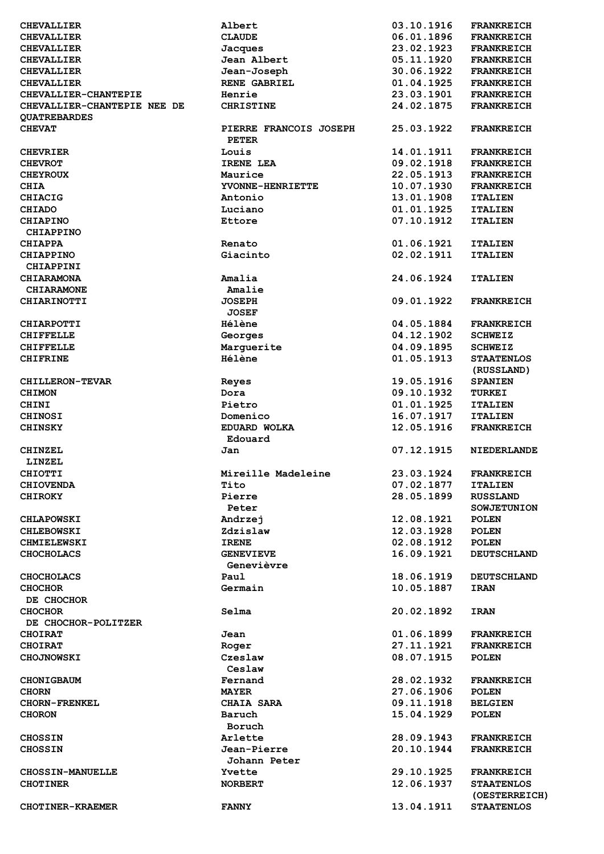| <b>CHEVALLIER</b>           | Albert                                 | 03.10.1916 | <b>FRANKREICH</b>  |
|-----------------------------|----------------------------------------|------------|--------------------|
| <b>CHEVALLIER</b>           | <b>CLAUDE</b>                          | 06.01.1896 | <b>FRANKREICH</b>  |
| <b>CHEVALLIER</b>           | Jacques                                | 23.02.1923 | <b>FRANKREICH</b>  |
| <b>CHEVALLIER</b>           | Jean Albert                            | 05.11.1920 | <b>FRANKREICH</b>  |
| <b>CHEVALLIER</b>           | Jean-Joseph                            | 30.06.1922 | <b>FRANKREICH</b>  |
| <b>CHEVALLIER</b>           | <b>RENE GABRIEL</b>                    | 01.04.1925 | <b>FRANKREICH</b>  |
| CHEVALLIER-CHANTEPIE        | Henrie                                 | 23.03.1901 | <b>FRANKREICH</b>  |
| CHEVALLIER-CHANTEPIE NEE DE | <b>CHRISTINE</b>                       | 24.02.1875 | <b>FRANKREICH</b>  |
| <b>OUATREBARDES</b>         |                                        |            |                    |
| <b>CHEVAT</b>               | PIERRE FRANCOIS JOSEPH<br><b>PETER</b> | 25.03.1922 | <b>FRANKREICH</b>  |
| <b>CHEVRIER</b>             | Louis                                  | 14.01.1911 | <b>FRANKREICH</b>  |
| <b>CHEVROT</b>              | IRENE LEA                              | 09.02.1918 | <b>FRANKREICH</b>  |
|                             |                                        | 22.05.1913 |                    |
| <b>CHEYROUX</b>             | Maurice                                |            | <b>FRANKREICH</b>  |
| <b>CHIA</b>                 | YVONNE-HENRIETTE                       | 10.07.1930 | <b>FRANKREICH</b>  |
| <b>CHIACIG</b>              | Antonio                                | 13.01.1908 | <b>ITALIEN</b>     |
| CHIADO                      | Luciano                                | 01.01.1925 | <b>ITALIEN</b>     |
| <b>CHIAPINO</b>             | Ettore                                 | 07.10.1912 | <b>ITALIEN</b>     |
| CHIAPPINO                   |                                        |            |                    |
| <b>CHIAPPA</b>              | Renato                                 | 01.06.1921 | <b>ITALIEN</b>     |
| <b>CHIAPPINO</b>            | Giacinto                               | 02.02.1911 | <b>ITALIEN</b>     |
| CHIAPPINI                   |                                        |            |                    |
| <b>CHIARAMONA</b>           | Amalia                                 | 24.06.1924 | <b>ITALIEN</b>     |
| <b>CHIARAMONE</b>           | Amalie                                 |            |                    |
| <b>CHIARINOTTI</b>          | <b>JOSEPH</b>                          | 09.01.1922 | <b>FRANKREICH</b>  |
|                             | <b>JOSEF</b>                           |            |                    |
| <b>CHIARPOTTI</b>           | Hélène                                 | 04.05.1884 | <b>FRANKREICH</b>  |
| <b>CHIFFELLE</b>            | Georges                                | 04.12.1902 | <b>SCHWEIZ</b>     |
| <b>CHIFFELLE</b>            | Marguerite                             | 04.09.1895 | <b>SCHWEIZ</b>     |
| <b>CHIFRINE</b>             | <b>Hélène</b>                          | 01.05.1913 | <b>STAATENLOS</b>  |
|                             |                                        |            | (RUSSLAND)         |
| <b>CHILLERON-TEVAR</b>      | Reyes                                  | 19.05.1916 | <b>SPANIEN</b>     |
| <b>CHIMON</b>               | Dora                                   | 09.10.1932 | <b>TURKEI</b>      |
|                             | Pietro                                 | 01.01.1925 |                    |
| <b>CHINI</b>                |                                        |            | <b>ITALIEN</b>     |
| <b>CHINOSI</b>              | Domenico                               | 16.07.1917 | <b>ITALIEN</b>     |
| <b>CHINSKY</b>              | EDUARD WOLKA                           | 12.05.1916 | <b>FRANKREICH</b>  |
|                             | Edouard                                |            |                    |
| <b>CHINZEL</b>              | Jan                                    | 07.12.1915 | <b>NIEDERLANDE</b> |
| <b>LINZEL</b>               |                                        |            |                    |
| <b>CHIOTTI</b>              | Mireille Madeleine                     | 23.03.1924 | <b>FRANKREICH</b>  |
| <b>CHIOVENDA</b>            | Tito                                   | 07.02.1877 | <b>ITALIEN</b>     |
| <b>CHIROKY</b>              | Pierre                                 | 28.05.1899 | <b>RUSSLAND</b>    |
|                             | Peter                                  |            | <b>SOWJETUNION</b> |
| <b>CHLAPOWSKI</b>           | Andrzej                                | 12.08.1921 | <b>POLEN</b>       |
| <b>CHLEBOWSKI</b>           | Zdzislaw                               | 12.03.1928 | <b>POLEN</b>       |
| <b>CHMIELEWSKI</b>          | <b>IRENE</b>                           | 02.08.1912 | <b>POLEN</b>       |
| <b>CHOCHOLACS</b>           | <b>GENEVIEVE</b>                       | 16.09.1921 | <b>DEUTSCHLAND</b> |
|                             | Genevièvre                             |            |                    |
| <b>CHOCHOLACS</b>           | Paul                                   | 18.06.1919 | <b>DEUTSCHLAND</b> |
| <b>CHOCHOR</b>              | Germain                                | 10.05.1887 | <b>IRAN</b>        |
| DE CHOCHOR                  |                                        |            |                    |
| <b>CHOCHOR</b>              | Selma                                  | 20.02.1892 | <b>IRAN</b>        |
| DE CHOCHOR-POLITZER         |                                        |            |                    |
|                             | Jean                                   | 01.06.1899 |                    |
| <b>CHOIRAT</b>              |                                        | 27.11.1921 | <b>FRANKREICH</b>  |
| <b>CHOIRAT</b>              | Roger                                  |            | <b>FRANKREICH</b>  |
| <b>CHOJNOWSKI</b>           | Czeslaw                                | 08.07.1915 | <b>POLEN</b>       |
|                             | Ceslaw                                 |            |                    |
| <b>CHONIGBAUM</b>           | Fernand                                | 28.02.1932 | <b>FRANKREICH</b>  |
| <b>CHORN</b>                | <b>MAYER</b>                           | 27.06.1906 | <b>POLEN</b>       |
| <b>CHORN-FRENKEL</b>        | <b>CHAIA SARA</b>                      | 09.11.1918 | <b>BELGIEN</b>     |
| <b>CHORON</b>               | Baruch                                 | 15.04.1929 | <b>POLEN</b>       |
|                             | Boruch                                 |            |                    |
| <b>CHOSSIN</b>              | Arlette                                | 28.09.1943 | <b>FRANKREICH</b>  |
| <b>CHOSSIN</b>              | Jean-Pierre                            | 20.10.1944 | <b>FRANKREICH</b>  |
|                             | Johann Peter                           |            |                    |
| <b>CHOSSIN-MANUELLE</b>     | Yvette                                 | 29.10.1925 | <b>FRANKREICH</b>  |
| <b>CHOTINER</b>             | <b>NORBERT</b>                         | 12.06.1937 | <b>STAATENLOS</b>  |
|                             |                                        |            | (OESTERREICH)      |
| <b>CHOTINER-KRAEMER</b>     | <b>FANNY</b>                           | 13.04.1911 | <b>STAATENLOS</b>  |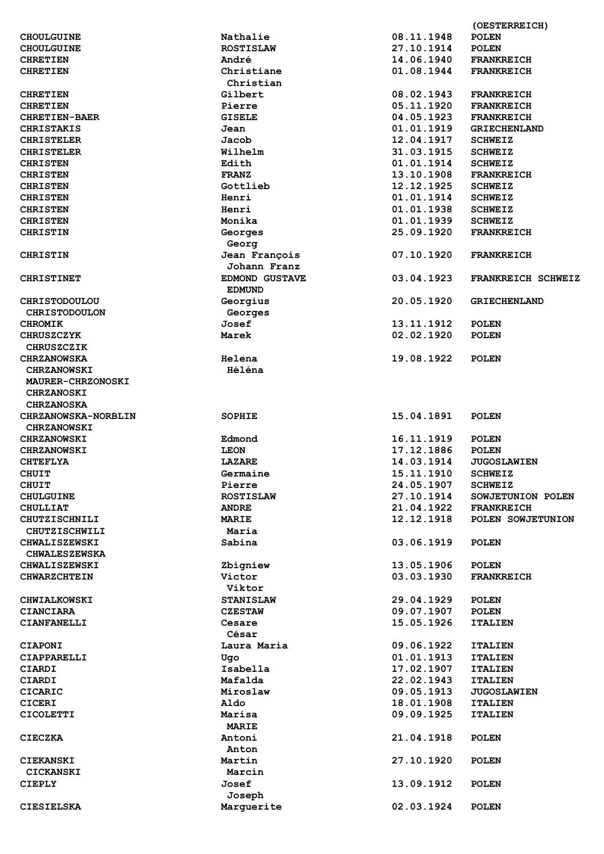|                            |                       |                          | (OESTERREICH)                    |
|----------------------------|-----------------------|--------------------------|----------------------------------|
| <b>CHOULGUINE</b>          | Nathalie              | 08.11.1948               | <b>POLEN</b>                     |
| <b>CHOULGUINE</b>          | <b>ROSTISLAW</b>      | 27.10.1914               | <b>POLEN</b>                     |
| <b>CHRETIEN</b>            | André                 | 14.06.1940               | <b>FRANKREICH</b>                |
| <b>CHRETIEN</b>            | Christiane            | 01.08.1944               | <b>FRANKREICH</b>                |
|                            | Christian             |                          |                                  |
| <b>CHRETIEN</b>            | Gilbert               | 08.02.1943               | <b>FRANKREICH</b>                |
| <b>CHRETIEN</b>            | Pierre                | 05.11.1920               | <b>FRANKREICH</b>                |
| <b>CHRETIEN-BAER</b>       | <b>GISELE</b>         | 04.05.1923               | <b>FRANKREICH</b>                |
| <b>CHRISTAKIS</b>          | Jean                  | 01.01.1919               | <b>GRIECHENLAND</b>              |
| <b>CHRISTELER</b>          | Jacob                 | 12.04.1917               | <b>SCHWEIZ</b>                   |
| <b>CHRISTELER</b>          | Wilhelm               | 31.03.1915               | <b>SCHWEIZ</b>                   |
| <b>CHRISTEN</b>            | Edith                 | 01.01.1914               | <b>SCHWEIZ</b>                   |
| <b>CHRISTEN</b>            | <b>FRANZ</b>          | 13.10.1908               | <b>FRANKREICH</b>                |
| <b>CHRISTEN</b>            | Gottlieb              | 12.12.1925               | <b>SCHWEIZ</b>                   |
| <b>CHRISTEN</b>            | Henri                 | 01.01.1914               | <b>SCHWEIZ</b>                   |
|                            |                       | 01.01.1938               |                                  |
| <b>CHRISTEN</b>            | Henri                 |                          | <b>SCHWEIZ</b><br><b>SCHWEIZ</b> |
| <b>CHRISTEN</b>            | Monika                | 01.01.1939<br>25.09.1920 |                                  |
| <b>CHRISTIN</b>            | Georges               |                          | <b>FRANKREICH</b>                |
|                            | Georg                 |                          |                                  |
| <b>CHRISTIN</b>            | Jean François         | 07.10.1920               | <b>FRANKREICH</b>                |
|                            | Johann Franz          |                          |                                  |
| <b>CHRISTINET</b>          | <b>EDMOND GUSTAVE</b> | 03.04.1923               | FRANKREICH SCHWEIZ               |
|                            | <b>EDMUND</b>         |                          |                                  |
| <b>CHRISTODOULOU</b>       | Georgius              | 20.05.1920               | <b>GRIECHENLAND</b>              |
| <b>CHRISTODOULON</b>       | Georges               |                          |                                  |
| <b>CHROMIK</b>             | Josef                 | 13.11.1912               | <b>POLEN</b>                     |
| <b>CHRUSZCZYK</b>          | Marek                 | 02.02.1920               | <b>POLEN</b>                     |
| <b>CHRUSZCZIK</b>          |                       |                          |                                  |
| <b>CHRZANOWSKA</b>         | Helena                | 19.08.1922               | <b>POLEN</b>                     |
| <b>CHRZANOWSKI</b>         | Héléna                |                          |                                  |
| <b>MAURER-CHRZONOSKI</b>   |                       |                          |                                  |
| <b>CHRZANOSKI</b>          |                       |                          |                                  |
| <b>CHRZANOSKA</b>          |                       |                          |                                  |
| <b>CHRZANOWSKA-NORBLIN</b> | SOPHIE                | 15.04.1891               | <b>POLEN</b>                     |
| <b>CHRZANOWSKI</b>         |                       |                          |                                  |
| <b>CHRZANOWSKI</b>         | Edmond                | 16.11.1919               | <b>POLEN</b>                     |
| <b>CHRZANOWSKI</b>         | <b>LEON</b>           | 17.12.1886               | <b>POLEN</b>                     |
| <b>CHTEFLYA</b>            | <b>LAZARE</b>         | 14.03.1914               | <b>JUGOSLAWIEN</b>               |
| <b>CHUIT</b>               | Germaine              | 15.11.1910               | <b>SCHWEIZ</b>                   |
| <b>CHUIT</b>               | Pierre                | 24.05.1907               | <b>SCHWEIZ</b>                   |
| <b>CHULGUINE</b>           | <b>ROSTISLAW</b>      | 27.10.1914               | SOWJETUNION POLEN                |
| <b>CHULLIAT</b>            | <b>ANDRE</b>          | 21.04.1922               | <b>FRANKREICH</b>                |
| CHUTZISCHNILI              | <b>MARIE</b>          | 12.12.1918               | POLEN SOWJETUNION                |
| CHUTZISCHWILI              | Maria                 |                          |                                  |
| CHWALISZEWSKI              | Sabina                | 03.06.1919               | <b>POLEN</b>                     |
| <b>CHWALESZEWSKA</b>       |                       |                          |                                  |
| <b>CHWALISZEWSKI</b>       | Zbigniew              | 13.05.1906               | <b>POLEN</b>                     |
|                            | Victor                | 03.03.1930               | <b>FRANKREICH</b>                |
| <b>CHWARZCHTEIN</b>        |                       |                          |                                  |
|                            | Viktor                |                          |                                  |
| <b>CHWIALKOWSKI</b>        | <b>STANISLAW</b>      | 29.04.1929               | <b>POLEN</b>                     |
| CIANCIARA                  | <b>CZESTAW</b>        | 09.07.1907               | <b>POLEN</b>                     |
| CIANFANELLI                | Cesare                | 15.05.1926               | <b>ITALIEN</b>                   |
|                            | César                 |                          |                                  |
| <b>CIAPONI</b>             | Laura Maria           | 09.06.1922               | <b>ITALIEN</b>                   |
| CIAPPARELLI                | Ugo                   | 01.01.1913               | <b>ITALIEN</b>                   |
| CIARDI                     | Isabella              | 17.02.1907               | <b>ITALIEN</b>                   |
| CIARDI                     | Mafalda               | 22.02.1943               | <b>ITALIEN</b>                   |
| CICARIC                    | Miroslaw              | 09.05.1913               | <b>JUGOSLAWIEN</b>               |
| <b>CICERI</b>              | Aldo                  | 18.01.1908               | <b>ITALIEN</b>                   |
| <b>CICOLETTI</b>           | Marisa                | 09.09.1925               | <b>ITALIEN</b>                   |
|                            | <b>MARIE</b>          |                          |                                  |
| <b>CIECZKA</b>             | Antoni                | 21.04.1918               | <b>POLEN</b>                     |
|                            | Anton                 |                          |                                  |
| CIEKANSKI                  | Martin                | 27.10.1920               | <b>POLEN</b>                     |
| <b>CICKANSKI</b>           | Marcin                |                          |                                  |
| <b>CIEPLY</b>              | Josef                 | 13.09.1912               | <b>POLEN</b>                     |
|                            | Joseph                |                          |                                  |
| CIESIELSKA                 | Marguerite            | 02.03.1924               | <b>POLEN</b>                     |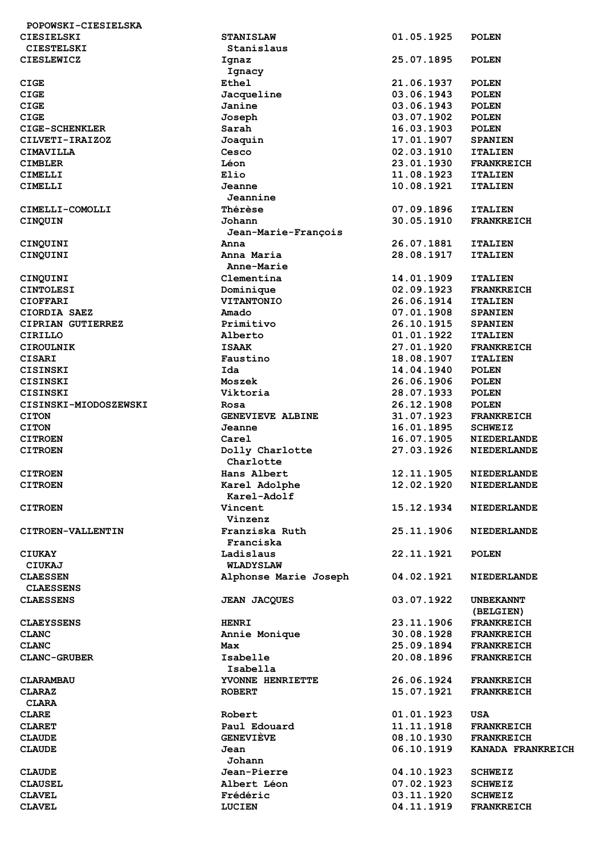| POPOWSKI-CIESIELSKA   |                       |            |                    |
|-----------------------|-----------------------|------------|--------------------|
| CIESIELSKI            | <b>STANISLAW</b>      | 01.05.1925 | <b>POLEN</b>       |
| <b>CIESTELSKI</b>     | Stanislaus            |            |                    |
| <b>CIESLEWICZ</b>     | Ignaz                 | 25.07.1895 | <b>POLEN</b>       |
|                       | Ignacy                |            |                    |
| <b>CIGE</b>           | Ethel                 | 21.06.1937 | <b>POLEN</b>       |
|                       |                       |            | <b>POLEN</b>       |
| <b>CIGE</b>           | Jacqueline            | 03.06.1943 |                    |
| <b>CIGE</b>           | Janine                | 03.06.1943 | <b>POLEN</b>       |
| <b>CIGE</b>           | Joseph                | 03.07.1902 | <b>POLEN</b>       |
| <b>CIGE-SCHENKLER</b> | Sarah                 | 16.03.1903 | <b>POLEN</b>       |
| CILVETI-IRAIZOZ       | Joaquin               | 17.01.1907 | <b>SPANIEN</b>     |
| CIMAVILLA             | Cesco                 | 02.03.1910 | <b>ITALIEN</b>     |
| <b>CIMBLER</b>        | Léon                  | 23.01.1930 | <b>FRANKREICH</b>  |
| CIMELLI               | Elio                  | 11.08.1923 | <b>ITALIEN</b>     |
| CIMELLI               | Jeanne                | 10.08.1921 | <b>ITALIEN</b>     |
|                       | Jeannine              |            |                    |
|                       |                       |            |                    |
| CIMELLI-COMOLLI       | <b>Thérèse</b>        | 07.09.1896 | <b>ITALIEN</b>     |
| CINQUIN               | Johann                | 30.05.1910 | <b>FRANKREICH</b>  |
|                       | Jean-Marie-François   |            |                    |
| CINQUINI              | Anna                  | 26.07.1881 | <b>ITALIEN</b>     |
| CINQUINI              | Anna Maria            | 28.08.1917 | <b>ITALIEN</b>     |
|                       | Anne-Marie            |            |                    |
| CINQUINI              | Clementina            | 14.01.1909 | <b>ITALIEN</b>     |
| <b>CINTOLESI</b>      | Dominique             | 02.09.1923 | <b>FRANKREICH</b>  |
| <b>CIOFFARI</b>       | VITANTONIO            | 26.06.1914 | <b>ITALIEN</b>     |
| CIORDIA SAEZ          | Amado                 | 07.01.1908 | <b>SPANIEN</b>     |
|                       |                       |            |                    |
| CIPRIAN GUTIERREZ     | Primitivo             | 26.10.1915 | <b>SPANIEN</b>     |
| <b>CIRILLO</b>        | Alberto               | 01.01.1922 | <b>ITALIEN</b>     |
| <b>CIROULNIK</b>      | <b>ISAAK</b>          | 27.01.1920 | <b>FRANKREICH</b>  |
| <b>CISARI</b>         | Faustino              | 18.08.1907 | <b>ITALIEN</b>     |
| CISINSKI              | Ida                   | 14.04.1940 | <b>POLEN</b>       |
| CISINSKI              | Moszek                | 26.06.1906 | <b>POLEN</b>       |
| CISINSKI              | Viktoria              | 28.07.1933 | <b>POLEN</b>       |
| CISINSKI-MIODOSZEWSKI | Rosa                  | 26.12.1908 | <b>POLEN</b>       |
| <b>CITON</b>          | GENEVIEVE ALBINE      | 31.07.1923 | <b>FRANKREICH</b>  |
|                       |                       |            |                    |
| <b>CITON</b>          | Jeanne                | 16.01.1895 | <b>SCHWEIZ</b>     |
| <b>CITROEN</b>        | Carel                 | 16.07.1905 | <b>NIEDERLANDE</b> |
| <b>CITROEN</b>        | Dolly Charlotte       | 27.03.1926 | <b>NIEDERLANDE</b> |
|                       | Charlotte             |            |                    |
| <b>CITROEN</b>        | Hans Albert           | 12.11.1905 | NIEDERLANDE        |
| <b>CITROEN</b>        | Karel Adolphe         | 12.02.1920 | NIEDERLANDE        |
|                       | Karel-Adolf           |            |                    |
| <b>CITROEN</b>        | Vincent               | 15.12.1934 | <b>NIEDERLANDE</b> |
|                       | Vinzenz               |            |                    |
| CITROEN-VALLENTIN     | Franziska Ruth        | 25.11.1906 | <b>NIEDERLANDE</b> |
|                       |                       |            |                    |
|                       | Franciska             |            |                    |
| <b>CIUKAY</b>         | Ladislaus             | 22.11.1921 | <b>POLEN</b>       |
| CIUKAJ                | WLADYSLAW             |            |                    |
| <b>CLAESSEN</b>       | Alphonse Marie Joseph | 04.02.1921 | <b>NIEDERLANDE</b> |
| <b>CLAESSENS</b>      |                       |            |                    |
| <b>CLAESSENS</b>      | <b>JEAN JACQUES</b>   | 03.07.1922 | <b>UNBEKANNT</b>   |
|                       |                       |            | (BELGIEN)          |
| <b>CLAEYSSENS</b>     | <b>HENRI</b>          | 23.11.1906 | <b>FRANKREICH</b>  |
| <b>CLANC</b>          | Annie Monique         | 30.08.1928 | <b>FRANKREICH</b>  |
|                       |                       |            |                    |
| <b>CLANC</b>          | Max                   | 25.09.1894 | <b>FRANKREICH</b>  |
| <b>CLANC-GRUBER</b>   | Isabelle              | 20.08.1896 | <b>FRANKREICH</b>  |
|                       | Isabella              |            |                    |
| <b>CLARAMBAU</b>      | YVONNE HENRIETTE      | 26.06.1924 | <b>FRANKREICH</b>  |
| <b>CLARAZ</b>         | <b>ROBERT</b>         | 15.07.1921 | <b>FRANKREICH</b>  |
| <b>CLARA</b>          |                       |            |                    |
| <b>CLARE</b>          | Robert                | 01.01.1923 | <b>USA</b>         |
| <b>CLARET</b>         | Paul Edouard          | 11.11.1918 | <b>FRANKREICH</b>  |
| <b>CLAUDE</b>         | <b>GENEVIÈVE</b>      | 08.10.1930 | <b>FRANKREICH</b>  |
|                       |                       |            |                    |
| <b>CLAUDE</b>         | Jean                  | 06.10.1919 | KANADA FRANKREICH  |
|                       | Johann                |            |                    |
| <b>CLAUDE</b>         | Jean-Pierre           | 04.10.1923 | <b>SCHWEIZ</b>     |
| <b>CLAUSEL</b>        | Albert Léon           | 07.02.1923 | <b>SCHWEIZ</b>     |
| <b>CLAVEL</b>         | Frédéric              | 03.11.1920 | <b>SCHWEIZ</b>     |
| <b>CLAVEL</b>         | <b>LUCIEN</b>         | 04.11.1919 | <b>FRANKREICH</b>  |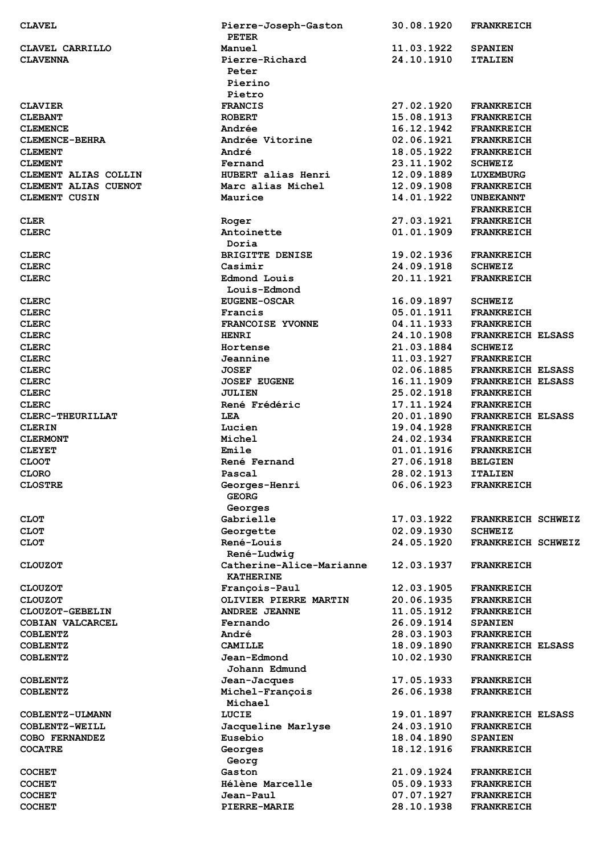| <b>CLAVEL</b>         | Pierre-Joseph-Gaston<br><b>PETER</b> | 30.08.1920               | <b>FRANKREICH</b>        |
|-----------------------|--------------------------------------|--------------------------|--------------------------|
| CLAVEL CARRILLO       | Manuel                               | 11.03.1922               | <b>SPANIEN</b>           |
| <b>CLAVENNA</b>       | Pierre-Richard                       | 24.10.1910               | <b>ITALIEN</b>           |
|                       | Peter                                |                          |                          |
|                       | Pierino                              |                          |                          |
|                       | Pietro                               |                          |                          |
| <b>CLAVIER</b>        | <b>FRANCIS</b>                       | 27.02.1920               | <b>FRANKREICH</b>        |
| <b>CLEBANT</b>        | <b>ROBERT</b>                        | 15.08.1913               | <b>FRANKREICH</b>        |
| <b>CLEMENCE</b>       | Andrée                               | 16.12.1942               | <b>FRANKREICH</b>        |
| <b>CLEMENCE-BEHRA</b> | Andrée Vitorine                      | 02.06.1921               | <b>FRANKREICH</b>        |
| <b>CLEMENT</b>        | André                                | 18.05.1922               | <b>FRANKREICH</b>        |
| <b>CLEMENT</b>        | Fernand                              | 23.11.1902               | <b>SCHWEIZ</b>           |
| CLEMENT ALIAS COLLIN  | HUBERT alias Henri                   | 12.09.1889               | LUXEMBURG                |
| CLEMENT ALIAS CUENOT  | Marc alias Michel                    | 12.09.1908               | <b>FRANKREICH</b>        |
| CLEMENT CUSIN         | Maurice                              | 14.01.1922               | <b>UNBEKANNT</b>         |
|                       |                                      |                          | <b>FRANKREICH</b>        |
| <b>CLER</b>           | Roger                                | 27.03.1921               | <b>FRANKREICH</b>        |
| <b>CLERC</b>          | Antoinette                           | 01.01.1909               | <b>FRANKREICH</b>        |
|                       | Doria                                |                          |                          |
| <b>CLERC</b>          | <b>BRIGITTE DENISE</b>               | 19.02.1936               | <b>FRANKREICH</b>        |
| <b>CLERC</b>          | Casimir                              | 24.09.1918               | <b>SCHWEIZ</b>           |
| <b>CLERC</b>          | <b>Edmond Louis</b>                  | 20.11.1921               | <b>FRANKREICH</b>        |
|                       | Louis-Edmond                         |                          |                          |
| <b>CLERC</b>          | <b>EUGENE-OSCAR</b>                  | 16.09.1897               | <b>SCHWEIZ</b>           |
| <b>CLERC</b>          | Francis                              | 05.01.1911               | <b>FRANKREICH</b>        |
| <b>CLERC</b>          | FRANCOISE YVONNE                     | 04.11.1933               | <b>FRANKREICH</b>        |
| <b>CLERC</b>          | <b>HENRI</b>                         | 24.10.1908               | <b>FRANKREICH ELSASS</b> |
| <b>CLERC</b>          | Hortense                             | 21.03.1884               | <b>SCHWEIZ</b>           |
| <b>CLERC</b>          | Jeannine                             | 11.03.1927               | <b>FRANKREICH</b>        |
| <b>CLERC</b>          | <b>JOSEF</b>                         | 02.06.1885               | <b>FRANKREICH ELSASS</b> |
| <b>CLERC</b>          | <b>JOSEF EUGENE</b>                  | 16.11.1909               | FRANKREICH ELSASS        |
| <b>CLERC</b>          | <b>JULIEN</b>                        | 25.02.1918               | <b>FRANKREICH</b>        |
| <b>CLERC</b>          | René Frédéric                        | 17.11.1924               | <b>FRANKREICH</b>        |
| CLERC-THEURILLAT      | LEA                                  | 20.01.1890               | <b>FRANKREICH ELSASS</b> |
| <b>CLERIN</b>         | Lucien                               | 19.04.1928               | <b>FRANKREICH</b>        |
| <b>CLERMONT</b>       | Michel                               | 24.02.1934               | <b>FRANKREICH</b>        |
| <b>CLEYET</b>         | Emile                                | 01.01.1916               | <b>FRANKREICH</b>        |
| <b>CLOOT</b>          | René Fernand                         | 27.06.1918               | <b>BELGIEN</b>           |
| <b>CLORO</b>          | Pascal                               | 28.02.1913               | <b>ITALIEN</b>           |
| <b>CLOSTRE</b>        | Georges-Henri                        | 06.06.1923               | <b>FRANKREICH</b>        |
|                       | <b>GEORG</b>                         |                          |                          |
|                       | Georges                              |                          |                          |
| <b>CLOT</b>           | Gabrielle                            | 17.03.1922               | FRANKREICH SCHWEIZ       |
| <b>CLOT</b>           | Georgette                            | 02.09.1930               | <b>SCHWEIZ</b>           |
| <b>CLOT</b>           | René-Louis                           | 24.05.1920               | FRANKREICH SCHWEIZ       |
|                       | René-Ludwig                          |                          |                          |
| <b>CLOUZOT</b>        | Catherine-Alice-Marianne             | 12.03.1937               | <b>FRANKREICH</b>        |
|                       | <b>KATHERINE</b>                     |                          |                          |
| <b>CLOUZOT</b>        | François-Paul                        | 12.03.1905               | <b>FRANKREICH</b>        |
| <b>CLOUZOT</b>        | OLIVIER PIERRE MARTIN                | 20.06.1935               | <b>FRANKREICH</b>        |
| CLOUZOT-GEBELIN       | <b>ANDREE JEANNE</b>                 | 11.05.1912               | <b>FRANKREICH</b>        |
|                       | Fernando                             |                          |                          |
| COBIAN VALCARCEL      | André                                | 26.09.1914               | <b>SPANIEN</b>           |
| <b>COBLENTZ</b>       | <b>CAMILLE</b>                       | 28.03.1903               | <b>FRANKREICH</b>        |
| <b>COBLENTZ</b>       | Jean-Edmond                          | 18.09.1890<br>10.02.1930 | <b>FRANKREICH ELSASS</b> |
| <b>COBLENTZ</b>       | Johann Edmund                        |                          | <b>FRANKREICH</b>        |
|                       |                                      |                          |                          |
| <b>COBLENTZ</b>       | Jean-Jacques                         | 17.05.1933               | <b>FRANKREICH</b>        |
| <b>COBLENTZ</b>       | Michel-François<br>Michael           | 26.06.1938               | <b>FRANKREICH</b>        |
|                       |                                      |                          |                          |
| COBLENTZ-ULMANN       | LUCIE                                | 19.01.1897               | <b>FRANKREICH ELSASS</b> |
| COBLENTZ-WEILL        | Jacqueline Marlyse                   | 24.03.1910               | <b>FRANKREICH</b>        |
| COBO FERNANDEZ        | Eusebio                              | 18.04.1890               | <b>SPANIEN</b>           |
| <b>COCATRE</b>        | Georges                              | 18.12.1916               | <b>FRANKREICH</b>        |
|                       | Georg                                |                          |                          |
| <b>COCHET</b>         | Gaston                               | 21.09.1924               | <b>FRANKREICH</b>        |
| <b>COCHET</b>         | Hélène Marcelle                      | 05.09.1933               | <b>FRANKREICH</b>        |
| <b>COCHET</b>         | Jean-Paul                            | 07.07.1927               | <b>FRANKREICH</b>        |
| <b>COCHET</b>         | PIERRE-MARIE                         | 28.10.1938               | <b>FRANKREICH</b>        |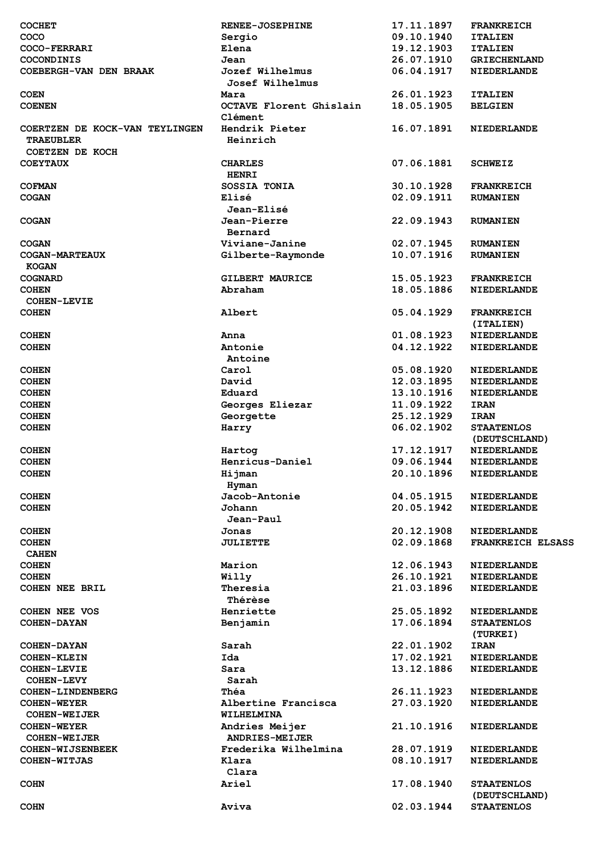| <b>COCHET</b>                                                         | <b>RENEE-JOSEPHINE</b>         | 17.11.1897 | <b>FRANKREICH</b>        |
|-----------------------------------------------------------------------|--------------------------------|------------|--------------------------|
| COCO                                                                  | Sergio                         | 09.10.1940 | <b>ITALIEN</b>           |
| COCO-FERRARI                                                          | Elena                          | 19.12.1903 | <b>ITALIEN</b>           |
| <b>COCONDINIS</b>                                                     | Jean                           | 26.07.1910 | <b>GRIECHENLAND</b>      |
| COEBERGH-VAN DEN BRAAK                                                | Jozef Wilhelmus                | 06.04.1917 | <b>NIEDERLANDE</b>       |
|                                                                       | <b>Josef Wilhelmus</b>         |            |                          |
| <b>COEN</b>                                                           | Mara                           | 26.01.1923 | <b>ITALIEN</b>           |
| <b>COENEN</b>                                                         | <b>OCTAVE Florent Ghislain</b> | 18.05.1905 | <b>BELGIEN</b>           |
|                                                                       | Clément                        |            |                          |
| COERTZEN DE KOCK-VAN TEYLINGEN<br><b>TRAEUBLER</b><br>COETZEN DE KOCH | Hendrik Pieter<br>Heinrich     | 16.07.1891 | <b>NIEDERLANDE</b>       |
| <b>COEYTAUX</b>                                                       | <b>CHARLES</b>                 | 07.06.1881 | <b>SCHWEIZ</b>           |
|                                                                       | <b>HENRI</b>                   |            |                          |
| <b>COFMAN</b>                                                         | SOSSIA TONIA                   | 30.10.1928 | <b>FRANKREICH</b>        |
| <b>COGAN</b>                                                          | Elisé                          | 02.09.1911 |                          |
|                                                                       |                                |            | <b>RUMANIEN</b>          |
|                                                                       | <b>Jean-Elisé</b>              |            |                          |
| <b>COGAN</b>                                                          | Jean-Pierre                    | 22.09.1943 | <b>RUMANIEN</b>          |
|                                                                       | Bernard                        |            |                          |
| <b>COGAN</b>                                                          | Viviane-Janine                 | 02.07.1945 | <b>RUMANIEN</b>          |
| <b>COGAN-MARTEAUX</b>                                                 | Gilberte-Raymonde              | 10.07.1916 | <b>RUMANIEN</b>          |
| <b>KOGAN</b>                                                          |                                |            |                          |
| <b>COGNARD</b>                                                        | <b>GILBERT MAURICE</b>         | 15.05.1923 | <b>FRANKREICH</b>        |
| <b>COHEN</b>                                                          | Abraham                        | 18.05.1886 | <b>NIEDERLANDE</b>       |
| <b>COHEN-LEVIE</b>                                                    |                                |            |                          |
| <b>COHEN</b>                                                          | Albert                         | 05.04.1929 | <b>FRANKREICH</b>        |
|                                                                       |                                |            | (ITALIEN)                |
| <b>COHEN</b>                                                          | Anna                           | 01.08.1923 | <b>NIEDERLANDE</b>       |
| <b>COHEN</b>                                                          | Antonie                        | 04.12.1922 | <b>NIEDERLANDE</b>       |
|                                                                       | Antoine                        |            |                          |
| <b>COHEN</b>                                                          | Carol                          | 05.08.1920 | <b>NIEDERLANDE</b>       |
| <b>COHEN</b>                                                          | David                          | 12.03.1895 | <b>NIEDERLANDE</b>       |
| <b>COHEN</b>                                                          | Eduard                         | 13.10.1916 | <b>NIEDERLANDE</b>       |
| <b>COHEN</b>                                                          | Georges Eliezar                | 11.09.1922 | <b>IRAN</b>              |
| <b>COHEN</b>                                                          | Georgette                      | 25.12.1929 | <b>IRAN</b>              |
|                                                                       |                                |            |                          |
| <b>COHEN</b>                                                          | Harry                          | 06.02.1902 | <b>STAATENLOS</b>        |
|                                                                       |                                |            | (DEUTSCHLAND)            |
| <b>COHEN</b>                                                          | Hartog                         | 17.12.1917 | <b>NIEDERLANDE</b>       |
| <b>COHEN</b>                                                          | Henricus-Daniel                | 09.06.1944 | <b>NIEDERLANDE</b>       |
| <b>COHEN</b>                                                          | Hijman<br>Hyman                | 20.10.1896 | <b>NIEDERLANDE</b>       |
| <b>COHEN</b>                                                          | Jacob-Antonie                  | 04.05.1915 | <b>NIEDERLANDE</b>       |
| <b>COHEN</b>                                                          | Johann                         | 20.05.1942 | <b>NIEDERLANDE</b>       |
|                                                                       | Jean-Paul                      |            |                          |
| <b>COHEN</b>                                                          | Jonas                          | 20.12.1908 | <b>NIEDERLANDE</b>       |
| <b>COHEN</b>                                                          | <b>JULIETTE</b>                | 02.09.1868 | <b>FRANKREICH ELSASS</b> |
| <b>CAHEN</b>                                                          |                                |            |                          |
| <b>COHEN</b>                                                          | Marion                         | 12.06.1943 | <b>NIEDERLANDE</b>       |
| <b>COHEN</b>                                                          | Willy                          | 26.10.1921 | <b>NIEDERLANDE</b>       |
| <b>COHEN NEE BRIL</b>                                                 | Theresia                       | 21.03.1896 | <b>NIEDERLANDE</b>       |
|                                                                       | <b>Thérèse</b>                 |            |                          |
| COHEN NEE VOS                                                         | Henriette                      | 25.05.1892 | <b>NIEDERLANDE</b>       |
| <b>COHEN-DAYAN</b>                                                    | Benjamin                       | 17.06.1894 | <b>STAATENLOS</b>        |
|                                                                       |                                |            |                          |
|                                                                       |                                |            | (TURKEI)                 |
| <b>COHEN-DAYAN</b>                                                    | Sarah                          | 22.01.1902 | <b>IRAN</b>              |
| <b>COHEN-KLEIN</b>                                                    | Ida                            | 17.02.1921 | <b>NIEDERLANDE</b>       |
| <b>COHEN-LEVIE</b>                                                    | Sara                           | 13.12.1886 | <b>NIEDERLANDE</b>       |
| <b>COHEN-LEVY</b>                                                     | Sarah                          |            |                          |
| COHEN-LINDENBERG                                                      | Théa                           | 26.11.1923 | <b>NIEDERLANDE</b>       |
| <b>COHEN-WEYER</b>                                                    | Albertine Francisca            | 27.03.1920 | <b>NIEDERLANDE</b>       |
| <b>COHEN-WEIJER</b>                                                   | WILHELMINA                     |            |                          |
| <b>COHEN-WEYER</b>                                                    | Andries Meijer                 | 21.10.1916 | <b>NIEDERLANDE</b>       |
| <b>COHEN-WEIJER</b>                                                   | <b>ANDRIES-MEIJER</b>          |            |                          |
| <b>COHEN-WIJSENBEEK</b>                                               | Frederika Wilhelmina           | 28.07.1919 | <b>NIEDERLANDE</b>       |
| <b>COHEN-WITJAS</b>                                                   | Klara                          | 08.10.1917 | <b>NIEDERLANDE</b>       |
|                                                                       | Clara                          |            |                          |
| <b>COHN</b>                                                           | <b>Ariel</b>                   | 17.08.1940 | <b>STAATENLOS</b>        |
|                                                                       |                                |            | (DEUTSCHLAND)            |
| <b>COHN</b>                                                           | Aviva                          | 02.03.1944 | <b>STAATENLOS</b>        |
|                                                                       |                                |            |                          |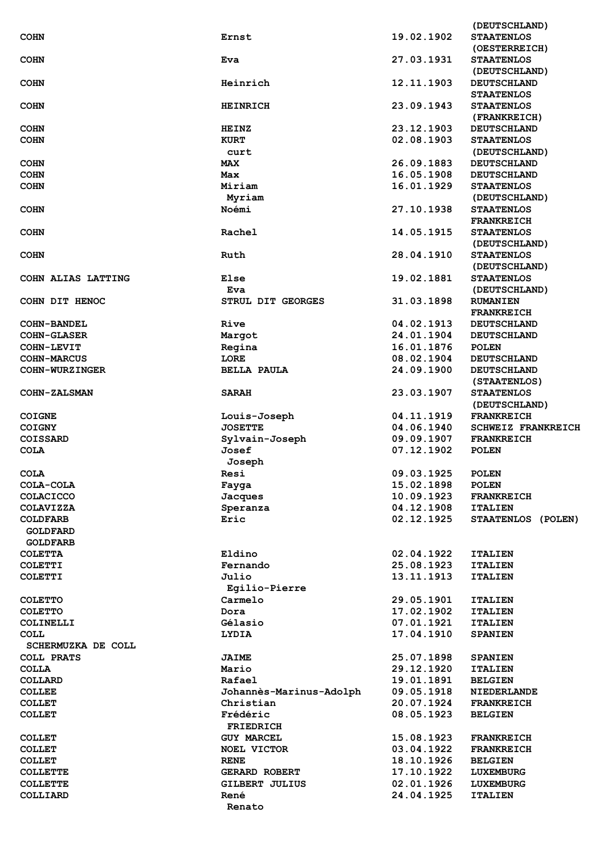|                       |                         |            | (DEUTSCHLAND)             |
|-----------------------|-------------------------|------------|---------------------------|
| <b>COHN</b>           | Ernst                   | 19.02.1902 | <b>STAATENLOS</b>         |
|                       |                         |            | (OESTERREICH)             |
| <b>COHN</b>           | Eva                     | 27.03.1931 | <b>STAATENLOS</b>         |
|                       |                         |            |                           |
|                       |                         |            | (DEUTSCHLAND)             |
| <b>COHN</b>           | Heinrich                | 12.11.1903 | <b>DEUTSCHLAND</b>        |
|                       |                         |            | <b>STAATENLOS</b>         |
| <b>COHN</b>           | <b>HEINRICH</b>         | 23.09.1943 | <b>STAATENLOS</b>         |
|                       |                         |            | (FRANKREICH)              |
| <b>COHN</b>           | <b>HEINZ</b>            | 23.12.1903 | <b>DEUTSCHLAND</b>        |
| <b>COHN</b>           | <b>KURT</b>             | 02.08.1903 | <b>STAATENLOS</b>         |
|                       |                         |            |                           |
|                       | curt                    |            | (DEUTSCHLAND)             |
| <b>COHN</b>           | <b>MAX</b>              | 26.09.1883 | <b>DEUTSCHLAND</b>        |
| <b>COHN</b>           | Max                     | 16.05.1908 | <b>DEUTSCHLAND</b>        |
| <b>COHN</b>           | Miriam                  | 16.01.1929 | <b>STAATENLOS</b>         |
|                       | Myriam                  |            | (DEUTSCHLAND)             |
| <b>COHN</b>           | Noémi                   | 27.10.1938 | <b>STAATENLOS</b>         |
|                       |                         |            |                           |
|                       |                         |            | <b>FRANKREICH</b>         |
| <b>COHN</b>           | Rachel                  | 14.05.1915 | <b>STAATENLOS</b>         |
|                       |                         |            | (DEUTSCHLAND)             |
| <b>COHN</b>           | Ruth                    | 28.04.1910 | <b>STAATENLOS</b>         |
|                       |                         |            | (DEUTSCHLAND)             |
| COHN ALIAS LATTING    | Else                    | 19.02.1881 | <b>STAATENLOS</b>         |
|                       |                         |            |                           |
|                       | Eva                     |            | (DEUTSCHLAND)             |
| COHN DIT HENOC        | STRUL DIT GEORGES       | 31.03.1898 | <b>RUMANIEN</b>           |
|                       |                         |            | <b>FRANKREICH</b>         |
| <b>COHN-BANDEL</b>    | Rive                    | 04.02.1913 | <b>DEUTSCHLAND</b>        |
| <b>COHN-GLASER</b>    | Margot                  | 24.01.1904 | <b>DEUTSCHLAND</b>        |
|                       |                         |            |                           |
| <b>COHN-LEVIT</b>     | Regina                  | 16.01.1876 | <b>POLEN</b>              |
| <b>COHN-MARCUS</b>    | LORE                    | 08.02.1904 | <b>DEUTSCHLAND</b>        |
| <b>COHN-WURZINGER</b> | <b>BELLA PAULA</b>      | 24.09.1900 | <b>DEUTSCHLAND</b>        |
|                       |                         |            | (STAATENLOS)              |
| <b>COHN-ZALSMAN</b>   | <b>SARAH</b>            | 23.03.1907 | <b>STAATENLOS</b>         |
|                       |                         |            | (DEUTSCHLAND)             |
|                       |                         |            |                           |
| <b>COIGNE</b>         | Louis-Joseph            | 04.11.1919 | <b>FRANKREICH</b>         |
| <b>COIGNY</b>         | <b>JOSETTE</b>          | 04.06.1940 | <b>SCHWEIZ FRANKREICH</b> |
| COISSARD              | Sylvain-Joseph          | 09.09.1907 | <b>FRANKREICH</b>         |
| <b>COLA</b>           | Josef                   | 07.12.1902 | <b>POLEN</b>              |
|                       | Joseph                  |            |                           |
|                       |                         | 09.03.1925 |                           |
| <b>COLA</b>           | Resi                    |            | <b>POLEN</b>              |
| COLA-COLA             | Fayga                   | 15.02.1898 | <b>POLEN</b>              |
| <b>COLACICCO</b>      | Jacques                 | 10.09.1923 | <b>FRANKREICH</b>         |
| <b>COLAVIZZA</b>      | Speranza                | 04.12.1908 | <b>ITALIEN</b>            |
| <b>COLDFARB</b>       | Eric                    | 02.12.1925 | STAATENLOS (POLEN)        |
| <b>GOLDFARD</b>       |                         |            |                           |
|                       |                         |            |                           |
| <b>GOLDFARB</b>       |                         |            |                           |
| <b>COLETTA</b>        | Eldino                  | 02.04.1922 | <b>ITALIEN</b>            |
| <b>COLETTI</b>        | Fernando                | 25.08.1923 | <b>ITALIEN</b>            |
| <b>COLETTI</b>        | Julio                   | 13.11.1913 | <b>ITALIEN</b>            |
|                       | Egilio-Pierre           |            |                           |
| <b>COLETTO</b>        | Carmelo                 | 29.05.1901 | <b>ITALIEN</b>            |
|                       |                         |            |                           |
| <b>COLETTO</b>        | Dora                    | 17.02.1902 | <b>ITALIEN</b>            |
| COLINELLI             | Gélasio                 | 07.01.1921 | <b>ITALIEN</b>            |
| COLL                  | <b>LYDIA</b>            | 17.04.1910 | <b>SPANIEN</b>            |
| SCHERMUZKA DE COLL    |                         |            |                           |
| <b>COLL PRATS</b>     | <b>JAIME</b>            | 25.07.1898 | <b>SPANIEN</b>            |
| <b>COLLA</b>          | Mario                   | 29.12.1920 | <b>ITALIEN</b>            |
|                       |                         |            |                           |
| COLLARD               | Rafael                  | 19.01.1891 | <b>BELGIEN</b>            |
| <b>COLLEE</b>         | Johannès-Marinus-Adolph | 09.05.1918 | <b>NIEDERLANDE</b>        |
| <b>COLLET</b>         | Christian               | 20.07.1924 | <b>FRANKREICH</b>         |
| <b>COLLET</b>         | Frédéric                | 08.05.1923 | <b>BELGIEN</b>            |
|                       | <b>FRIEDRICH</b>        |            |                           |
|                       |                         |            |                           |
| <b>COLLET</b>         | <b>GUY MARCEL</b>       | 15.08.1923 | <b>FRANKREICH</b>         |
| <b>COLLET</b>         | <b>NOEL VICTOR</b>      | 03.04.1922 | <b>FRANKREICH</b>         |
| <b>COLLET</b>         | <b>RENE</b>             | 18.10.1926 | <b>BELGIEN</b>            |
| <b>COLLETTE</b>       | <b>GERARD ROBERT</b>    | 17.10.1922 | <b>LUXEMBURG</b>          |
| <b>COLLETTE</b>       | GILBERT JULIUS          | 02.01.1926 | <b>LUXEMBURG</b>          |
| COLLIARD              | René                    | 24.04.1925 |                           |
|                       |                         |            | <b>ITALIEN</b>            |
|                       | Renato                  |            |                           |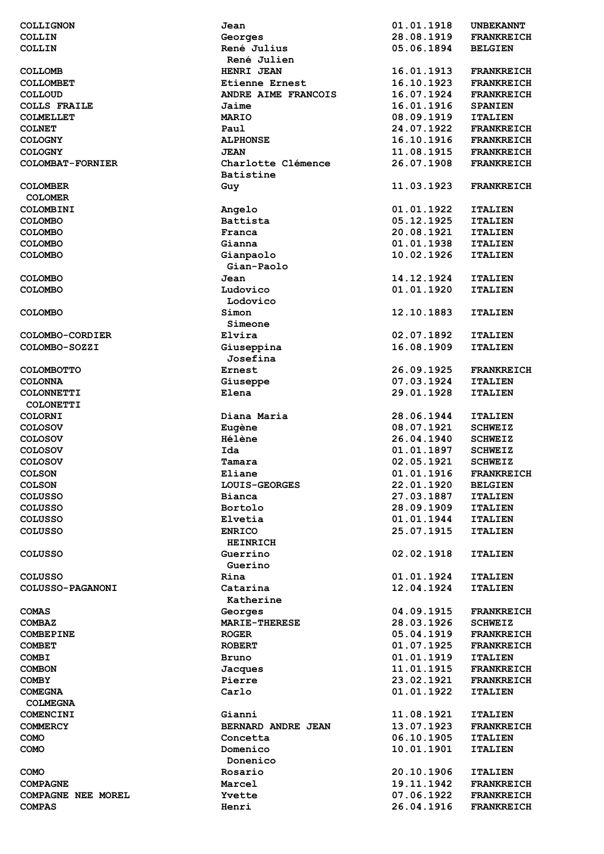| COLLIGNON                 | Jean                  | 01.01.1918 | <b>UNBEKANNT</b>  |
|---------------------------|-----------------------|------------|-------------------|
| <b>COLLIN</b>             | Georges               | 28.08.1919 | <b>FRANKREICH</b> |
| COLLIN                    | René Julius           | 05.06.1894 | <b>BELGIEN</b>    |
|                           | René Julien           |            |                   |
| <b>COLLOMB</b>            | HENRI JEAN            | 16.01.1913 | <b>FRANKREICH</b> |
| <b>COLLOMBET</b>          | <b>Etienne Ernest</b> | 16.10.1923 | <b>FRANKREICH</b> |
|                           | ANDRE AIME FRANCOIS   | 16.07.1924 | <b>FRANKREICH</b> |
| <b>COLLOUD</b>            |                       |            |                   |
| <b>COLLS FRAILE</b>       | Jaime                 | 16.01.1916 | <b>SPANIEN</b>    |
| <b>COLMELLET</b>          | <b>MARIO</b>          | 08.09.1919 | <b>ITALIEN</b>    |
| <b>COLNET</b>             | Paul                  | 24.07.1922 | <b>FRANKREICH</b> |
| <b>COLOGNY</b>            | <b>ALPHONSE</b>       | 16.10.1916 | <b>FRANKREICH</b> |
| <b>COLOGNY</b>            | <b>JEAN</b>           | 11.08.1915 | <b>FRANKREICH</b> |
| COLOMBAT-FORNIER          | Charlotte Clémence    | 26.07.1908 | <b>FRANKREICH</b> |
|                           | <b>Batistine</b>      |            |                   |
| <b>COLOMBER</b>           | Guy                   | 11.03.1923 | <b>FRANKREICH</b> |
| <b>COLOMER</b>            |                       |            |                   |
| COLOMBINI                 | Angelo                | 01.01.1922 | <b>ITALIEN</b>    |
| <b>COLOMBO</b>            | <b>Battista</b>       | 05.12.1925 | <b>ITALIEN</b>    |
| <b>COLOMBO</b>            | Franca                | 20.08.1921 | <b>ITALIEN</b>    |
| <b>COLOMBO</b>            | Gianna                | 01.01.1938 | <b>ITALIEN</b>    |
| <b>COLOMBO</b>            |                       | 10.02.1926 | <b>ITALIEN</b>    |
|                           | Gianpaolo             |            |                   |
|                           | Gian-Paolo            |            |                   |
| <b>COLOMBO</b>            | Jean                  | 14.12.1924 | <b>ITALIEN</b>    |
| <b>COLOMBO</b>            | Ludovico              | 01.01.1920 | <b>ITALIEN</b>    |
|                           | Lodovico              |            |                   |
| <b>COLOMBO</b>            | Simon                 | 12.10.1883 | <b>ITALIEN</b>    |
|                           | Simeone               |            |                   |
| COLOMBO-CORDIER           | Elvira                | 02.07.1892 | <b>ITALIEN</b>    |
| COLOMBO-SOZZI             | Giuseppina            | 16.08.1909 | <b>ITALIEN</b>    |
|                           | Josefina              |            |                   |
| <b>COLOMBOTTO</b>         | Ernest                | 26.09.1925 | <b>FRANKREICH</b> |
| <b>COLONNA</b>            | Giuseppe              | 07.03.1924 | <b>ITALIEN</b>    |
| <b>COLONNETTI</b>         | Elena                 | 29.01.1928 | <b>ITALIEN</b>    |
| <b>COLONETTI</b>          |                       |            |                   |
|                           | Diana Maria           | 28.06.1944 |                   |
| <b>COLORNI</b>            |                       |            | <b>ITALIEN</b>    |
| <b>COLOSOV</b>            | Eugène                | 08.07.1921 | <b>SCHWEIZ</b>    |
| <b>COLOSOV</b>            | Hélène                | 26.04.1940 | <b>SCHWEIZ</b>    |
| <b>COLOSOV</b>            | Ida                   | 01.01.1897 | <b>SCHWEIZ</b>    |
| <b>COLOSOV</b>            | Tamara                | 02.05.1921 | <b>SCHWEIZ</b>    |
| <b>COLSON</b>             | Eliane                | 01.01.1916 | <b>FRANKREICH</b> |
| <b>COLSON</b>             | LOUIS-GEORGES         | 22.01.1920 | <b>BELGIEN</b>    |
| <b>COLUSSO</b>            | Bianca                | 27.03.1887 | <b>ITALIEN</b>    |
| <b>COLUSSO</b>            | Bortolo               | 28.09.1909 | <b>ITALIEN</b>    |
| <b>COLUSSO</b>            | Elvetia               | 01.01.1944 | <b>ITALIEN</b>    |
| <b>COLUSSO</b>            | <b>ENRICO</b>         | 25.07.1915 | <b>ITALIEN</b>    |
|                           | <b>HEINRICH</b>       |            |                   |
| <b>COLUSSO</b>            | Guerrino              | 02.02.1918 | <b>ITALIEN</b>    |
|                           | Guerino               |            |                   |
| <b>COLUSSO</b>            | Rina                  | 01.01.1924 | <b>ITALIEN</b>    |
| <b>COLUSSO-PAGANONI</b>   | Catarina              | 12.04.1924 | <b>ITALIEN</b>    |
|                           | Katherine             |            |                   |
|                           |                       | 04.09.1915 |                   |
| <b>COMAS</b>              | Georges               |            | <b>FRANKREICH</b> |
| <b>COMBAZ</b>             | <b>MARIE-THERESE</b>  | 28.03.1926 | <b>SCHWEIZ</b>    |
| <b>COMBEPINE</b>          | <b>ROGER</b>          | 05.04.1919 | <b>FRANKREICH</b> |
| <b>COMBET</b>             | <b>ROBERT</b>         | 01.07.1925 | <b>FRANKREICH</b> |
| <b>COMBI</b>              | Bruno                 | 01.01.1919 | <b>ITALIEN</b>    |
| <b>COMBON</b>             | Jacques               | 11.01.1915 | <b>FRANKREICH</b> |
| <b>COMBY</b>              | Pierre                | 23.02.1921 | <b>FRANKREICH</b> |
| <b>COMEGNA</b>            | Carlo                 | 01.01.1922 | <b>ITALIEN</b>    |
| <b>COLMEGNA</b>           |                       |            |                   |
| COMENCINI                 | Gianni                | 11.08.1921 | <b>ITALIEN</b>    |
| <b>COMMERCY</b>           | BERNARD ANDRE JEAN    | 13.07.1923 | <b>FRANKREICH</b> |
| COMO                      | Concetta              | 06.10.1905 | <b>ITALIEN</b>    |
| <b>COMO</b>               | Domenico              | 10.01.1901 | <b>ITALIEN</b>    |
|                           | Donenico              |            |                   |
| <b>COMO</b>               | Rosario               | 20.10.1906 | <b>ITALIEN</b>    |
| <b>COMPAGNE</b>           | Marcel                | 19.11.1942 | <b>FRANKREICH</b> |
| <b>COMPAGNE NEE MOREL</b> | Yvette                | 07.06.1922 | <b>FRANKREICH</b> |
|                           |                       |            |                   |
| <b>COMPAS</b>             | Henri                 | 26.04.1916 | <b>FRANKREICH</b> |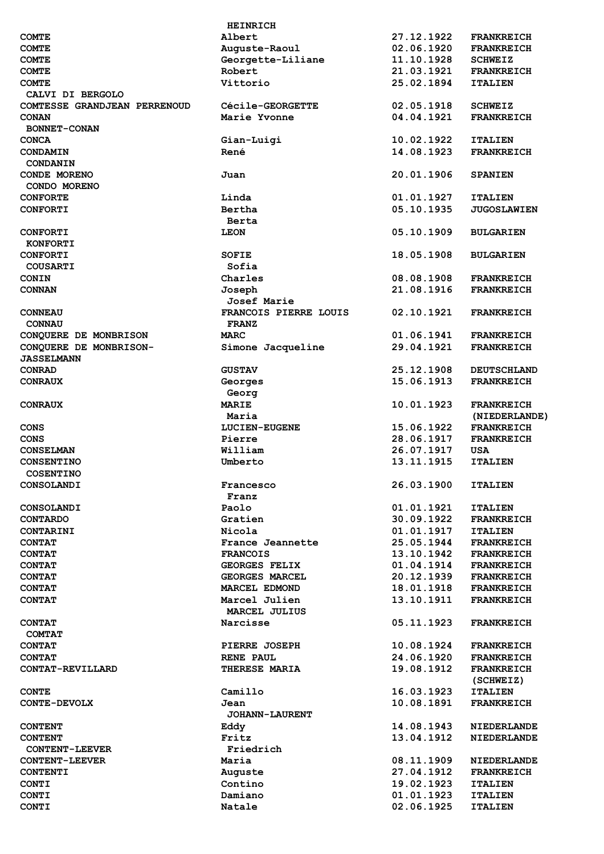|                              | <b>HEINRICH</b>         |            |                    |
|------------------------------|-------------------------|------------|--------------------|
| <b>COMTE</b>                 | Albert                  | 27.12.1922 | <b>FRANKREICH</b>  |
| <b>COMTE</b>                 | Auguste-Raoul           | 02.06.1920 | <b>FRANKREICH</b>  |
| <b>COMTE</b>                 | Georgette-Liliane       | 11.10.1928 | <b>SCHWEIZ</b>     |
| <b>COMTE</b>                 | Robert                  | 21.03.1921 | <b>FRANKREICH</b>  |
| <b>COMTE</b>                 | Vittorio                | 25.02.1894 | <b>ITALIEN</b>     |
| CALVI DI BERGOLO             |                         |            |                    |
| COMTESSE GRANDJEAN PERRENOUD | <b>Cécile-GEORGETTE</b> | 02.05.1918 | <b>SCHWEIZ</b>     |
| <b>CONAN</b>                 | Marie Yvonne            | 04.04.1921 | <b>FRANKREICH</b>  |
| <b>BONNET-CONAN</b>          |                         |            |                    |
|                              |                         |            |                    |
| <b>CONCA</b>                 | Gian-Luigi              | 10.02.1922 | <b>ITALIEN</b>     |
| <b>CONDAMIN</b>              | René                    | 14.08.1923 | <b>FRANKREICH</b>  |
| CONDANIN                     |                         |            |                    |
| <b>CONDE MORENO</b>          | Juan                    | 20.01.1906 | <b>SPANIEN</b>     |
| CONDO MORENO                 |                         |            |                    |
| <b>CONFORTE</b>              | Linda                   | 01.01.1927 | <b>ITALIEN</b>     |
| <b>CONFORTI</b>              | Bertha                  | 05.10.1935 | <b>JUGOSLAWIEN</b> |
|                              | Berta                   |            |                    |
| <b>CONFORTI</b>              | <b>LEON</b>             | 05.10.1909 | <b>BULGARIEN</b>   |
| <b>KONFORTI</b>              |                         |            |                    |
| <b>CONFORTI</b>              | <b>SOFIE</b>            | 18.05.1908 | <b>BULGARIEN</b>   |
| <b>COUSARTI</b>              | Sofia                   |            |                    |
| <b>CONIN</b>                 | Charles                 | 08.08.1908 | <b>FRANKREICH</b>  |
| <b>CONNAN</b>                | Joseph                  | 21.08.1916 | <b>FRANKREICH</b>  |
|                              | <b>Josef Marie</b>      |            |                    |
| <b>CONNEAU</b>               | FRANCOIS PIERRE LOUIS   | 02.10.1921 | <b>FRANKREICH</b>  |
|                              |                         |            |                    |
| <b>CONNAU</b>                | <b>FRANZ</b>            |            |                    |
| CONQUERE DE MONBRISON        | <b>MARC</b>             | 01.06.1941 | <b>FRANKREICH</b>  |
| CONQUERE DE MONBRISON-       | Simone Jacqueline       | 29.04.1921 | <b>FRANKREICH</b>  |
| <b><i>JASSELMANN</i></b>     |                         |            |                    |
| <b>CONRAD</b>                | <b>GUSTAV</b>           | 25.12.1908 | <b>DEUTSCHLAND</b> |
| <b>CONRAUX</b>               | Georges                 | 15.06.1913 | <b>FRANKREICH</b>  |
|                              | Georg                   |            |                    |
| <b>CONRAUX</b>               | <b>MARIE</b>            | 10.01.1923 | <b>FRANKREICH</b>  |
|                              | Maria                   |            | (NIEDERLANDE)      |
| CONS                         | <b>LUCIEN-EUGENE</b>    | 15.06.1922 | <b>FRANKREICH</b>  |
| <b>CONS</b>                  | Pierre                  | 28.06.1917 | <b>FRANKREICH</b>  |
| <b>CONSELMAN</b>             | William                 | 26.07.1917 | USA                |
| <b>CONSENTINO</b>            | Umberto                 | 13.11.1915 | <b>ITALIEN</b>     |
| <b>COSENTINO</b>             |                         |            |                    |
|                              |                         |            |                    |
| <b>CONSOLANDI</b>            | Francesco               | 26.03.1900 | <b>ITALIEN</b>     |
|                              | Franz                   |            |                    |
| <b>CONSOLANDI</b>            | Paolo                   | 01.01.1921 | <b>ITALIEN</b>     |
| <b>CONTARDO</b>              | Gratien                 | 30.09.1922 | <b>FRANKREICH</b>  |
| <b>CONTARINI</b>             | Nicola                  | 01.01.1917 | <b>ITALIEN</b>     |
| <b>CONTAT</b>                | France Jeannette        | 25.05.1944 | <b>FRANKREICH</b>  |
| <b>CONTAT</b>                | <b>FRANCOIS</b>         | 13.10.1942 | <b>FRANKREICH</b>  |
| <b>CONTAT</b>                | <b>GEORGES FELIX</b>    | 01.04.1914 | <b>FRANKREICH</b>  |
| <b>CONTAT</b>                | <b>GEORGES MARCEL</b>   | 20.12.1939 | <b>FRANKREICH</b>  |
| <b>CONTAT</b>                | MARCEL EDMOND           | 18.01.1918 | <b>FRANKREICH</b>  |
| <b>CONTAT</b>                | Marcel Julien           | 13.10.1911 | <b>FRANKREICH</b>  |
|                              | MARCEL JULIUS           |            |                    |
| <b>CONTAT</b>                | Narcisse                | 05.11.1923 | <b>FRANKREICH</b>  |
| <b>COMTAT</b>                |                         |            |                    |
| <b>CONTAT</b>                | <b>PIERRE JOSEPH</b>    | 10.08.1924 |                    |
|                              |                         |            | <b>FRANKREICH</b>  |
| <b>CONTAT</b>                | <b>RENE PAUL</b>        | 24.06.1920 | <b>FRANKREICH</b>  |
| CONTAT-REVILLARD             | THERESE MARIA           | 19.08.1912 | <b>FRANKREICH</b>  |
|                              |                         |            | (SCHWEIZ)          |
| <b>CONTE</b>                 | Camillo                 | 16.03.1923 | <b>ITALIEN</b>     |
| <b>CONTE-DEVOLX</b>          | Jean                    | 10.08.1891 | <b>FRANKREICH</b>  |
|                              | <b>JOHANN-LAURENT</b>   |            |                    |
| <b>CONTENT</b>               | Eddy                    | 14.08.1943 | <b>NIEDERLANDE</b> |
| <b>CONTENT</b>               | Fritz                   | 13.04.1912 | <b>NIEDERLANDE</b> |
| <b>CONTENT-LEEVER</b>        | Friedrich               |            |                    |
| <b>CONTENT-LEEVER</b>        | Maria                   | 08.11.1909 | <b>NIEDERLANDE</b> |
| <b>CONTENTI</b>              | Auguste                 | 27.04.1912 | <b>FRANKREICH</b>  |
| <b>CONTI</b>                 | Contino                 | 19.02.1923 | <b>ITALIEN</b>     |
| <b>CONTI</b>                 | Damiano                 | 01.01.1923 | <b>ITALIEN</b>     |
| <b>CONTI</b>                 | Natale                  | 02.06.1925 | <b>ITALIEN</b>     |
|                              |                         |            |                    |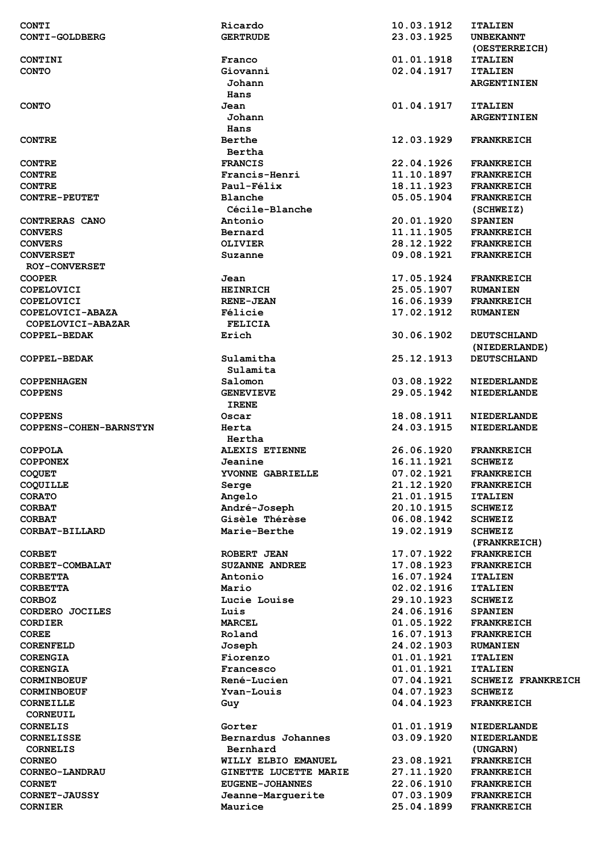| <b>CONTI</b><br>CONTI-GOLDBERG | Ricardo<br><b>GERTRUDE</b> | 10.03.1912<br>23.03.1925 | <b>ITALIEN</b><br><b>UNBEKANNT</b><br>(OESTERREICH) |
|--------------------------------|----------------------------|--------------------------|-----------------------------------------------------|
| CONTINI                        | Franco                     | 01.01.1918               | <b>ITALIEN</b>                                      |
| <b>CONTO</b>                   | Giovanni                   | 02.04.1917               | <b>ITALIEN</b>                                      |
|                                | Johann<br>Hans             |                          | <b>ARGENTINIEN</b>                                  |
| <b>CONTO</b>                   | Jean                       | 01.04.1917               | <b>ITALIEN</b>                                      |
|                                | Johann                     |                          | <b>ARGENTINIEN</b>                                  |
|                                | Hans                       |                          |                                                     |
| <b>CONTRE</b>                  | <b>Berthe</b>              | 12.03.1929               | <b>FRANKREICH</b>                                   |
|                                | Bertha                     |                          |                                                     |
| <b>CONTRE</b>                  | <b>FRANCIS</b>             | 22.04.1926               | <b>FRANKREICH</b>                                   |
| <b>CONTRE</b>                  | Francis-Henri              | 11.10.1897               | <b>FRANKREICH</b>                                   |
| <b>CONTRE</b>                  | Paul-Félix                 | 18.11.1923               | <b>FRANKREICH</b>                                   |
| <b>CONTRE-PEUTET</b>           | Blanche                    | 05.05.1904               | <b>FRANKREICH</b>                                   |
|                                | Cécile-Blanche             |                          | (SCHWEIZ)                                           |
| CONTRERAS CANO                 | Antonio                    | 20.01.1920               | <b>SPANIEN</b>                                      |
| <b>CONVERS</b>                 | Bernard                    | 11.11.1905               | <b>FRANKREICH</b>                                   |
| <b>CONVERS</b>                 | <b>OLIVIER</b>             | 28.12.1922               | <b>FRANKREICH</b>                                   |
| <b>CONVERSET</b>               | Suzanne                    | 09.08.1921               | <b>FRANKREICH</b>                                   |
| <b>ROY-CONVERSET</b>           |                            |                          |                                                     |
| <b>COOPER</b>                  | Jean                       | 17.05.1924               | <b>FRANKREICH</b>                                   |
| <b>COPELOVICI</b>              | <b>HEINRICH</b>            | 25.05.1907               | <b>RUMANIEN</b>                                     |
| <b>COPELOVICI</b>              | <b>RENE-JEAN</b>           | 16.06.1939               | <b>FRANKREICH</b>                                   |
| COPELOVICI-ABAZA               | Félicie                    | 17.02.1912               | <b>RUMANIEN</b>                                     |
| COPELOVICI-ABAZAR              | <b>FELICIA</b>             |                          |                                                     |
| COPPEL-BEDAK                   | Erich                      | 30.06.1902               | <b>DEUTSCHLAND</b>                                  |
|                                |                            |                          | (NIEDERLANDE)                                       |
| <b>COPPEL-BEDAK</b>            | Sulamitha                  | 25.12.1913               | <b>DEUTSCHLAND</b>                                  |
|                                | Sulamita                   |                          |                                                     |
| <b>COPPENHAGEN</b>             | Salomon                    | 03.08.1922               | <b>NIEDERLANDE</b>                                  |
| <b>COPPENS</b>                 | <b>GENEVIEVE</b>           | 29.05.1942               | <b>NIEDERLANDE</b>                                  |
| <b>COPPENS</b>                 | <b>IRENE</b><br>Oscar      | 18.08.1911               | <b>NIEDERLANDE</b>                                  |
| COPPENS-COHEN-BARNSTYN         | Herta                      | 24.03.1915               | <b>NIEDERLANDE</b>                                  |
|                                | Hertha                     |                          |                                                     |
| <b>COPPOLA</b>                 | ALEXIS ETIENNE             | 26.06.1920               | <b>FRANKREICH</b>                                   |
| <b>COPPONEX</b>                | Jeanine                    | 16.11.1921               | <b>SCHWEIZ</b>                                      |
| <b>COQUET</b>                  | YVONNE GABRIELLE           | 07.02.1921               | <b>FRANKREICH</b>                                   |
| COQUILLE                       | Serge                      | 21.12.1920               | <b>FRANKREICH</b>                                   |
| <b>CORATO</b>                  | Angelo                     | 21.01.1915               | <b>ITALIEN</b>                                      |
| <b>CORBAT</b>                  | André-Joseph               | 20.10.1915               | <b>SCHWEIZ</b>                                      |
| <b>CORBAT</b>                  | Gisèle Thérèse             | 06.08.1942               | <b>SCHWEIZ</b>                                      |
| CORBAT-BILLARD                 | Marie-Berthe               | 19.02.1919               | <b>SCHWEIZ</b><br>(FRANKREICH)                      |
| <b>CORBET</b>                  | ROBERT JEAN                | 17.07.1922               | <b>FRANKREICH</b>                                   |
| CORBET-COMBALAT                | <b>SUZANNE ANDREE</b>      | 17.08.1923               | <b>FRANKREICH</b>                                   |
| <b>CORBETTA</b>                | Antonio                    | 16.07.1924               | <b>ITALIEN</b>                                      |
| <b>CORBETTA</b>                | Mario                      | 02.02.1916               | <b>ITALIEN</b>                                      |
| <b>CORBOZ</b>                  | Lucie Louise               | 29.10.1923               | <b>SCHWEIZ</b>                                      |
| CORDERO JOCILES                | Luis                       | 24.06.1916               | <b>SPANIEN</b>                                      |
| <b>CORDIER</b>                 | <b>MARCEL</b>              |                          | <b>FRANKREICH</b>                                   |
| <b>COREE</b>                   |                            | 01.05.1922               |                                                     |
| <b>CORENFELD</b>               | Roland                     | 16.07.1913               | <b>FRANKREICH</b>                                   |
|                                |                            | 24.02.1903               | <b>RUMANIEN</b>                                     |
| <b>CORENGIA</b>                | Joseph<br>Fiorenzo         | 01.01.1921               | <b>ITALIEN</b>                                      |
| <b>CORENGIA</b>                | Francesco                  | 01.01.1921               | <b>ITALIEN</b>                                      |
| <b>CORMINBOEUF</b>             | <b>René-Lucien</b>         | 07.04.1921               | <b>SCHWEIZ FRANKREICH</b>                           |
| <b>CORMINBOEUF</b>             | Yvan-Louis                 | 04.07.1923               | <b>SCHWEIZ</b>                                      |
| <b>CORNEILLE</b>               | Guy                        | 04.04.1923               | <b>FRANKREICH</b>                                   |
| CORNEUIL                       |                            |                          |                                                     |
| <b>CORNELIS</b>                | Gorter                     | 01.01.1919               | <b>NIEDERLANDE</b>                                  |
| <b>CORNELISSE</b>              | Bernardus Johannes         | 03.09.1920               | <b>NIEDERLANDE</b>                                  |
| <b>CORNELIS</b>                | Bernhard                   |                          | (UNGARN)                                            |
| <b>CORNEO</b>                  | WILLY ELBIO EMANUEL        | 23.08.1921               | <b>FRANKREICH</b>                                   |
| CORNEO-LANDRAU                 | GINETTE LUCETTE MARIE      | 27.11.1920               | <b>FRANKREICH</b>                                   |
| <b>CORNET</b>                  | <b>EUGENE-JOHANNES</b>     | 22.06.1910               | <b>FRANKREICH</b>                                   |
| <b>CORNET-JAUSSY</b>           | Jeanne-Marguerite          | 07.03.1909               | <b>FRANKREICH</b>                                   |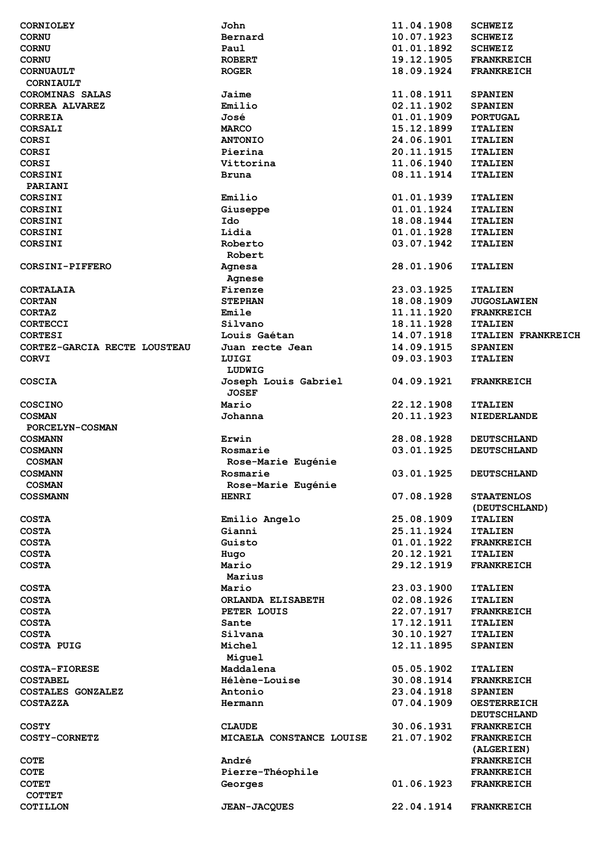| <b>CORNIOLEY</b>                 | John                     | 11.04.1908 | <b>SCHWEIZ</b>            |
|----------------------------------|--------------------------|------------|---------------------------|
| <b>CORNU</b>                     | Bernard                  | 10.07.1923 | <b>SCHWEIZ</b>            |
| <b>CORNU</b>                     | Paul                     | 01.01.1892 | <b>SCHWEIZ</b>            |
| <b>CORNU</b>                     | <b>ROBERT</b>            | 19.12.1905 | <b>FRANKREICH</b>         |
| <b>CORNUAULT</b>                 | <b>ROGER</b>             | 18.09.1924 | <b>FRANKREICH</b>         |
| CORNIAULT                        |                          |            |                           |
| COROMINAS SALAS                  | Jaime                    | 11.08.1911 | <b>SPANIEN</b>            |
| <b>CORREA ALVAREZ</b>            | Emilio                   | 02.11.1902 | <b>SPANIEN</b>            |
|                                  | José                     | 01.01.1909 |                           |
| <b>CORREIA</b>                   |                          |            | <b>PORTUGAL</b>           |
| <b>CORSALI</b>                   | <b>MARCO</b>             | 15.12.1899 | <b>ITALIEN</b>            |
| <b>CORSI</b>                     | <b>ANTONIO</b>           | 24.06.1901 | <b>ITALIEN</b>            |
| <b>CORSI</b>                     | Pierina                  | 20.11.1915 | <b>ITALIEN</b>            |
| <b>CORSI</b>                     | Vittorina                | 11.06.1940 | <b>ITALIEN</b>            |
| <b>CORSINI</b>                   | Bruna                    | 08.11.1914 | <b>ITALIEN</b>            |
| PARIANI                          |                          |            |                           |
| CORSINI                          | Emilio                   | 01.01.1939 | <b>ITALIEN</b>            |
| <b>CORSINI</b>                   | Giuseppe                 | 01.01.1924 | <b>ITALIEN</b>            |
| <b>CORSINI</b>                   | Ido                      | 18.08.1944 | <b>ITALIEN</b>            |
| <b>CORSINI</b>                   | Lidia                    | 01.01.1928 | <b>ITALIEN</b>            |
| <b>CORSINI</b>                   | Roberto                  | 03.07.1942 | <b>ITALIEN</b>            |
|                                  | Robert                   |            |                           |
| CORSINI-PIFFERO                  | Agnesa                   | 28.01.1906 | <b>ITALIEN</b>            |
|                                  | Agnese                   |            |                           |
| CORTALAIA                        | Firenze                  | 23.03.1925 | <b>ITALIEN</b>            |
| <b>CORTAN</b>                    | <b>STEPHAN</b>           | 18.08.1909 | <b>JUGOSLAWIEN</b>        |
| <b>CORTAZ</b>                    | Emile                    | 11.11.1920 | <b>FRANKREICH</b>         |
|                                  | Silvano                  | 18.11.1928 |                           |
| <b>CORTECCI</b>                  |                          |            | <b>ITALIEN</b>            |
| <b>CORTESI</b>                   | Louis Gaétan             | 14.07.1918 | <b>ITALIEN FRANKREICH</b> |
| CORTEZ-GARCIA RECTE LOUSTEAU     | Juan recte Jean          | 14.09.1915 | <b>SPANIEN</b>            |
| <b>CORVI</b>                     | LUIGI                    | 09.03.1903 | <b>ITALIEN</b>            |
|                                  | LUDWIG                   |            |                           |
| <b>COSCIA</b>                    | Joseph Louis Gabriel     | 04.09.1921 | <b>FRANKREICH</b>         |
|                                  | <b>JOSEF</b>             |            |                           |
| <b>COSCINO</b>                   | Mario                    | 22.12.1908 | <b>ITALIEN</b>            |
| <b>COSMAN</b>                    | Johanna                  | 20.11.1923 | <b>NIEDERLANDE</b>        |
| PORCELYN-COSMAN                  |                          |            |                           |
| <b>COSMANN</b>                   | Erwin                    | 28.08.1928 | <b>DEUTSCHLAND</b>        |
| <b>COSMANN</b>                   | Rosmarie                 | 03.01.1925 | <b>DEUTSCHLAND</b>        |
| <b>COSMAN</b>                    | Rose-Marie Eugénie       |            |                           |
| <b>COSMANN</b>                   | Rosmarie                 | 03.01.1925 | <b>DEUTSCHLAND</b>        |
| <b>COSMAN</b>                    | Rose-Marie Eugénie       |            |                           |
| <b>COSSMANN</b>                  | <b>HENRI</b>             | 07.08.1928 | <b>STAATENLOS</b>         |
|                                  |                          |            | (DEUTSCHLAND)             |
| <b>COSTA</b>                     | Emilio Angelo            | 25.08.1909 | <b>ITALIEN</b>            |
|                                  | Gianni                   |            |                           |
| <b>COSTA</b>                     |                          | 25.11.1924 | <b>ITALIEN</b>            |
| <b>COSTA</b>                     | Guisto                   | 01.01.1922 | <b>FRANKREICH</b>         |
| <b>COSTA</b>                     | Hugo                     | 20.12.1921 | <b>ITALIEN</b>            |
| <b>COSTA</b>                     | Mario                    | 29.12.1919 | <b>FRANKREICH</b>         |
|                                  | Marius                   |            |                           |
| <b>COSTA</b>                     | Mario                    | 23.03.1900 | <b>ITALIEN</b>            |
| <b>COSTA</b>                     |                          |            |                           |
|                                  | ORLANDA ELISABETH        | 02.08.1926 | <b>ITALIEN</b>            |
| <b>COSTA</b>                     | PETER LOUIS              | 22.07.1917 | <b>FRANKREICH</b>         |
| <b>COSTA</b>                     | Sante                    | 17.12.1911 | <b>ITALIEN</b>            |
| <b>COSTA</b>                     | Silvana                  | 30.10.1927 | <b>ITALIEN</b>            |
| <b>COSTA PUIG</b>                | Michel                   | 12.11.1895 | <b>SPANIEN</b>            |
|                                  | Miguel                   |            |                           |
| <b>COSTA-FIORESE</b>             | Maddalena                | 05.05.1902 | <b>ITALIEN</b>            |
|                                  |                          |            |                           |
| <b>COSTABEL</b>                  | Hélène-Louise            | 30.08.1914 | <b>FRANKREICH</b>         |
| COSTALES GONZALEZ                | Antonio                  | 23.04.1918 | <b>SPANIEN</b>            |
| <b>COSTAZZA</b>                  | Hermann                  | 07.04.1909 | <b>OESTERREICH</b>        |
|                                  |                          |            | <b>DEUTSCHLAND</b>        |
| <b>COSTY</b>                     | <b>CLAUDE</b>            | 30.06.1931 | <b>FRANKREICH</b>         |
| <b>COSTY-CORNETZ</b>             | MICAELA CONSTANCE LOUISE | 21.07.1902 | <b>FRANKREICH</b>         |
|                                  |                          |            | (ALGERIEN)                |
| <b>COTE</b>                      | André                    |            | <b>FRANKREICH</b>         |
| <b>COTE</b>                      | Pierre-Théophile         |            | <b>FRANKREICH</b>         |
| <b>COTET</b>                     | Georges                  | 01.06.1923 | <b>FRANKREICH</b>         |
| <b>COTTET</b><br><b>COTILLON</b> | <b>JEAN-JACQUES</b>      | 22.04.1914 | <b>FRANKREICH</b>         |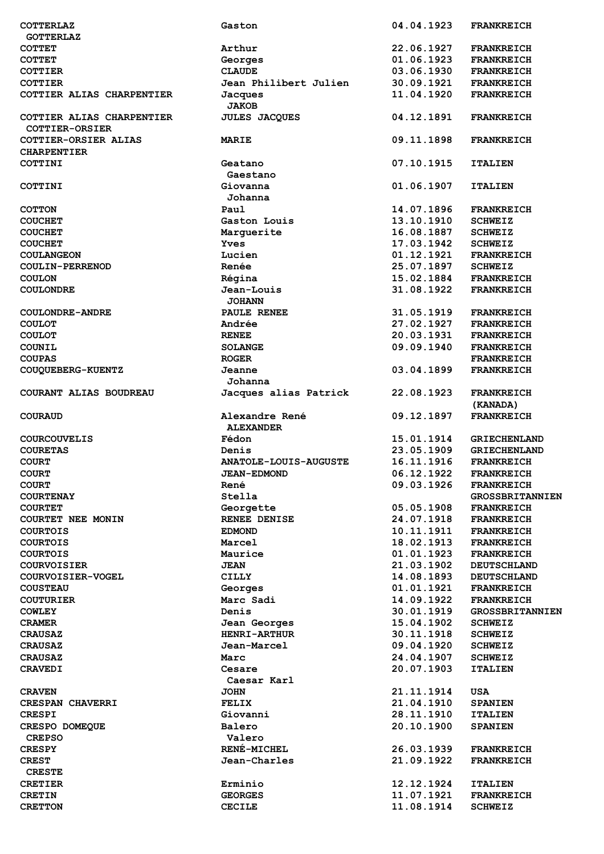| <b>COTTERLAZ</b>                                   | Gaston                             | 04.04.1923 | <b>FRANKREICH</b>             |
|----------------------------------------------------|------------------------------------|------------|-------------------------------|
| <b>GOTTERLAZ</b>                                   |                                    |            |                               |
| <b>COTTET</b>                                      | Arthur                             | 22.06.1927 | <b>FRANKREICH</b>             |
|                                                    |                                    |            |                               |
| <b>COTTET</b>                                      | Georges                            | 01.06.1923 | <b>FRANKREICH</b>             |
| <b>COTTIER</b>                                     | <b>CLAUDE</b>                      | 03.06.1930 | <b>FRANKREICH</b>             |
| <b>COTTIER</b>                                     | Jean Philibert Julien              | 30.09.1921 | <b>FRANKREICH</b>             |
| COTTIER ALIAS CHARPENTIER                          | Jacques<br><b>JAKOB</b>            | 11.04.1920 | <b>FRANKREICH</b>             |
| COTTIER ALIAS CHARPENTIER<br><b>COTTIER-ORSIER</b> | <b>JULES JACQUES</b>               | 04.12.1891 | <b>FRANKREICH</b>             |
| COTTIER-ORSIER ALIAS<br><b>CHARPENTIER</b>         | MARIE                              | 09.11.1898 | <b>FRANKREICH</b>             |
| COTTINI                                            | Geatano<br>Gaestano                | 07.10.1915 | <b>ITALIEN</b>                |
| COTTINI                                            | Giovanna<br>Johanna                | 01.06.1907 | <b>ITALIEN</b>                |
| <b>COTTON</b>                                      | Paul                               | 14.07.1896 | <b>FRANKREICH</b>             |
|                                                    | Gaston Louis                       |            |                               |
| <b>COUCHET</b>                                     |                                    | 13.10.1910 | <b>SCHWEIZ</b>                |
| <b>COUCHET</b>                                     | Marquerite                         | 16.08.1887 | <b>SCHWEIZ</b>                |
| <b>COUCHET</b>                                     | <b>Yves</b>                        | 17.03.1942 | <b>SCHWEIZ</b>                |
| <b>COULANGEON</b>                                  | Lucien                             | 01.12.1921 | <b>FRANKREICH</b>             |
|                                                    | Renée                              | 25.07.1897 | <b>SCHWEIZ</b>                |
| <b>COULIN-PERRENOD</b>                             |                                    |            |                               |
| <b>COULON</b>                                      | Régina                             | 15.02.1884 | <b>FRANKREICH</b>             |
| <b>COULONDRE</b>                                   | Jean-Louis                         | 31.08.1922 | <b>FRANKREICH</b>             |
|                                                    | <b>JOHANN</b>                      |            |                               |
| COULONDRE-ANDRE                                    | PAULE RENEE                        | 31.05.1919 | <b>FRANKREICH</b>             |
|                                                    |                                    |            |                               |
| <b>COULOT</b>                                      | Andrée                             | 27.02.1927 | <b>FRANKREICH</b>             |
| <b>COULOT</b>                                      | <b>RENEE</b>                       | 20.03.1931 | <b>FRANKREICH</b>             |
| COUNIL                                             | <b>SOLANGE</b>                     | 09.09.1940 | <b>FRANKREICH</b>             |
| <b>COUPAS</b>                                      | <b>ROGER</b>                       |            | <b>FRANKREICH</b>             |
|                                                    |                                    |            |                               |
| COUQUEBERG-KUENTZ                                  | Jeanne<br>Johanna                  | 03.04.1899 | <b>FRANKREICH</b>             |
| COURANT ALIAS BOUDREAU                             | Jacques alias Patrick              | 22.08.1923 | <b>FRANKREICH</b><br>(KANADA) |
| <b>COURAUD</b>                                     | Alexandre René<br><b>ALEXANDER</b> | 09.12.1897 | <b>FRANKREICH</b>             |
| <b>COURCOUVELIS</b>                                | Fédon                              | 15.01.1914 | <b>GRIECHENLAND</b>           |
|                                                    | Denis                              | 23.05.1909 |                               |
| <b>COURETAS</b>                                    |                                    |            | <b>GRIECHENLAND</b>           |
| <b>COURT</b>                                       | <b>ANATOLE-LOUIS-AUGUSTE</b>       | 16.11.1916 | <b>FRANKREICH</b>             |
| <b>COURT</b>                                       | <b>JEAN-EDMOND</b>                 | 06.12.1922 | FRANKREICH                    |
| <b>COURT</b>                                       | René                               | 09.03.1926 | <b>FRANKREICH</b>             |
| <b>COURTENAY</b>                                   | Stella                             |            | <b>GROSSBRITANNIEN</b>        |
|                                                    |                                    |            |                               |
| <b>COURTET</b>                                     | Georgette                          | 05.05.1908 | <b>FRANKREICH</b>             |
| COURTET NEE MONIN                                  | RENEE DENISE                       | 24.07.1918 | <b>FRANKREICH</b>             |
| <b>COURTOIS</b>                                    | <b>EDMOND</b>                      | 10.11.1911 | <b>FRANKREICH</b>             |
| <b>COURTOIS</b>                                    | Marcel                             | 18.02.1913 | <b>FRANKREICH</b>             |
|                                                    |                                    |            |                               |
| <b>COURTOIS</b>                                    | Maurice                            | 01.01.1923 | <b>FRANKREICH</b>             |
| <b>COURVOISIER</b>                                 | <b>JEAN</b>                        | 21.03.1902 | <b>DEUTSCHLAND</b>            |
| COURVOISIER-VOGEL                                  | <b>CILLY</b>                       | 14.08.1893 | <b>DEUTSCHLAND</b>            |
| <b>COUSTEAU</b>                                    | Georges                            | 01.01.1921 | <b>FRANKREICH</b>             |
| <b>COUTURIER</b>                                   | Marc Sadi                          | 14.09.1922 | <b>FRANKREICH</b>             |
|                                                    |                                    |            |                               |
| <b>COWLEY</b>                                      | Denis                              | 30.01.1919 | <b>GROSSBRITANNIEN</b>        |
| <b>CRAMER</b>                                      | Jean Georges                       | 15.04.1902 | <b>SCHWEIZ</b>                |
| <b>CRAUSAZ</b>                                     | <b>HENRI-ARTHUR</b>                | 30.11.1918 | <b>SCHWEIZ</b>                |
| <b>CRAUSAZ</b>                                     | Jean-Marcel                        | 09.04.1920 | <b>SCHWEIZ</b>                |
|                                                    |                                    |            |                               |
| <b>CRAUSAZ</b>                                     | Marc                               | 24.04.1907 | <b>SCHWEIZ</b>                |
| <b>CRAVEDI</b>                                     | Cesare<br>Caesar Karl              | 20.07.1903 | <b>ITALIEN</b>                |
| <b>CRAVEN</b>                                      | <b>JOHN</b>                        | 21.11.1914 | USA                           |
| <b>CRESPAN CHAVERRI</b>                            | <b>FELIX</b>                       | 21.04.1910 | <b>SPANIEN</b>                |
| <b>CRESPI</b>                                      | Giovanni                           | 28.11.1910 | <b>ITALIEN</b>                |
|                                                    |                                    |            |                               |
| CRESPO DOMEQUE                                     | Balero                             | 20.10.1900 | <b>SPANIEN</b>                |
| <b>CREPSO</b>                                      | Valero                             |            |                               |
| <b>CRESPY</b>                                      | <b>RENÉ-MICHEL</b>                 | 26.03.1939 | <b>FRANKREICH</b>             |
| <b>CREST</b>                                       | Jean-Charles                       | 21.09.1922 | <b>FRANKREICH</b>             |
|                                                    |                                    |            |                               |
| <b>CRESTE</b>                                      |                                    |            |                               |
| <b>CRETIER</b>                                     | Erminio                            | 12.12.1924 | <b>ITALIEN</b>                |
| <b>CRETIN</b>                                      | <b>GEORGES</b>                     | 11.07.1921 | <b>FRANKREICH</b>             |
| <b>CRETTON</b>                                     | <b>CECILE</b>                      | 11.08.1914 | <b>SCHWEIZ</b>                |
|                                                    |                                    |            |                               |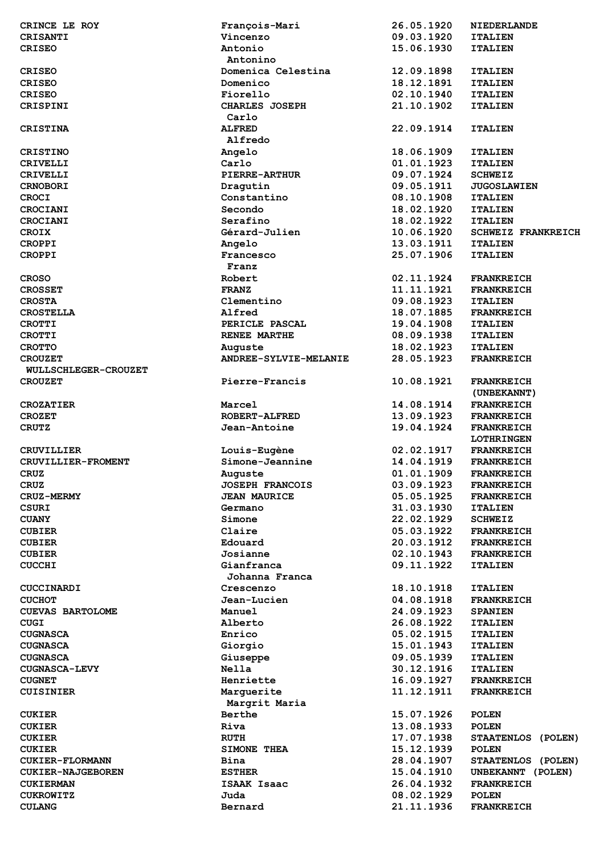| CRINCE LE ROY            | François-Mari          | 26.05.1920 | <b>NIEDERLANDE</b>        |
|--------------------------|------------------------|------------|---------------------------|
| CRISANTI                 | Vincenzo               | 09.03.1920 | <b>ITALIEN</b>            |
| <b>CRISEO</b>            | Antonio                | 15.06.1930 | <b>ITALIEN</b>            |
|                          | Antonino               |            |                           |
| <b>CRISEO</b>            | Domenica Celestina     | 12.09.1898 | <b>ITALIEN</b>            |
| <b>CRISEO</b>            | Domenico               | 18.12.1891 | <b>ITALIEN</b>            |
| <b>CRISEO</b>            | Fiorello               | 02.10.1940 | <b>ITALIEN</b>            |
| CRISPINI                 | CHARLES JOSEPH         | 21.10.1902 | <b>ITALIEN</b>            |
|                          | Carlo                  |            |                           |
| <b>CRISTINA</b>          | <b>ALFRED</b>          | 22.09.1914 | <b>ITALIEN</b>            |
|                          | Alfredo                |            |                           |
| <b>CRISTINO</b>          | Angelo                 | 18.06.1909 | <b>ITALIEN</b>            |
|                          |                        |            |                           |
| <b>CRIVELLI</b>          | Carlo                  | 01.01.1923 | <b>ITALIEN</b>            |
| <b>CRIVELLI</b>          | <b>PIERRE-ARTHUR</b>   | 09.07.1924 | <b>SCHWEIZ</b>            |
| <b>CRNOBORI</b>          | Dragutin               | 09.05.1911 | <b>JUGOSLAWIEN</b>        |
| <b>CROCI</b>             | Constantino            | 08.10.1908 | <b>ITALIEN</b>            |
| CROCIANI                 | Secondo                | 18.02.1920 | <b>ITALIEN</b>            |
| CROCIANI                 | Serafino               | 18.02.1922 | <b>ITALIEN</b>            |
| <b>CROIX</b>             | Gérard-Julien          | 10.06.1920 | <b>SCHWEIZ FRANKREICH</b> |
| <b>CROPPI</b>            | Angelo                 | 13.03.1911 | <b>ITALIEN</b>            |
| <b>CROPPI</b>            | Francesco              | 25.07.1906 | <b>ITALIEN</b>            |
|                          | Franz                  |            |                           |
| <b>CROSO</b>             | Robert                 | 02.11.1924 | <b>FRANKREICH</b>         |
| <b>CROSSET</b>           | <b>FRANZ</b>           | 11.11.1921 | <b>FRANKREICH</b>         |
| <b>CROSTA</b>            | Clementino             | 09.08.1923 | <b>ITALIEN</b>            |
| <b>CROSTELLA</b>         | Alfred                 | 18.07.1885 | <b>FRANKREICH</b>         |
| <b>CROTTI</b>            | PERICLE PASCAL         | 19.04.1908 | <b>ITALIEN</b>            |
| <b>CROTTI</b>            | RENEE MARTHE           | 08.09.1938 | <b>ITALIEN</b>            |
| <b>CROTTO</b>            | Auguste                | 18.02.1923 | <b>ITALIEN</b>            |
| <b>CROUZET</b>           | ANDREE-SYLVIE-MELANIE  | 28.05.1923 | <b>FRANKREICH</b>         |
|                          |                        |            |                           |
| WULLSCHLEGER-CROUZET     |                        |            |                           |
| <b>CROUZET</b>           | Pierre-Francis         | 10.08.1921 | <b>FRANKREICH</b>         |
|                          |                        |            | (UNBEKANNT)               |
| <b>CROZATIER</b>         | Marcel                 | 14.08.1914 | <b>FRANKREICH</b>         |
| <b>CROZET</b>            | <b>ROBERT-ALFRED</b>   | 13.09.1923 | <b>FRANKREICH</b>         |
| <b>CRUTZ</b>             | Jean-Antoine           | 19.04.1924 | <b>FRANKREICH</b>         |
|                          |                        |            | <b>LOTHRINGEN</b>         |
| <b>CRUVILLIER</b>        | Louis-Eugène           | 02.02.1917 | <b>FRANKREICH</b>         |
| CRUVILLIER-FROMENT       | Simone-Jeannine        | 14.04.1919 | <b>FRANKREICH</b>         |
| <b>CRUZ</b>              | Auguste                | 01.01.1909 | <b>FRANKREICH</b>         |
| <b>CRUZ</b>              | <b>JOSEPH FRANCOIS</b> | 03.09.1923 | <b>FRANKREICH</b>         |
| <b>CRUZ-MERMY</b>        | <b>JEAN MAURICE</b>    | 05.05.1925 | <b>FRANKREICH</b>         |
| <b>CSURI</b>             | Germano                | 31.03.1930 | <b>ITALIEN</b>            |
| <b>CUANY</b>             | Simone                 | 22.02.1929 | <b>SCHWEIZ</b>            |
| <b>CUBIER</b>            | Claire                 | 05.03.1922 | <b>FRANKREICH</b>         |
| <b>CUBIER</b>            | Edouard                | 20.03.1912 | <b>FRANKREICH</b>         |
| <b>CUBIER</b>            | Josianne               | 02.10.1943 | <b>FRANKREICH</b>         |
| <b>CUCCHI</b>            | Gianfranca             | 09.11.1922 | <b>ITALIEN</b>            |
|                          | Johanna Franca         |            |                           |
|                          |                        |            |                           |
| <b>CUCCINARDI</b>        | Crescenzo              | 18.10.1918 | <b>ITALIEN</b>            |
| <b>CUCHOT</b>            | Jean-Lucien            | 04.08.1918 | <b>FRANKREICH</b>         |
| <b>CUEVAS BARTOLOME</b>  | Manuel                 | 24.09.1923 | <b>SPANIEN</b>            |
| <b>CUGI</b>              | Alberto                | 26.08.1922 | <b>ITALIEN</b>            |
| <b>CUGNASCA</b>          | Enrico                 | 05.02.1915 | <b>ITALIEN</b>            |
| <b>CUGNASCA</b>          | Giorgio                | 15.01.1943 | <b>ITALIEN</b>            |
| <b>CUGNASCA</b>          | Giuseppe               | 09.05.1939 | <b>ITALIEN</b>            |
| <b>CUGNASCA-LEVY</b>     | <b>Nella</b>           | 30.12.1916 | <b>ITALIEN</b>            |
| <b>CUGNET</b>            | Henriette              | 16.09.1927 | <b>FRANKREICH</b>         |
| <b>CUISINIER</b>         | Marguerite             | 11.12.1911 | <b>FRANKREICH</b>         |
|                          | Margrit Maria          |            |                           |
| <b>CUKIER</b>            | Berthe                 | 15.07.1926 | <b>POLEN</b>              |
| <b>CUKIER</b>            | Riva                   | 13.08.1933 | <b>POLEN</b>              |
| <b>CUKIER</b>            | <b>RUTH</b>            | 17.07.1938 | STAATENLOS (POLEN)        |
| <b>CUKIER</b>            | <b>SIMONE THEA</b>     | 15.12.1939 | <b>POLEN</b>              |
| <b>CUKIER-FLORMANN</b>   | Bina                   | 28.04.1907 | STAATENLOS (POLEN)        |
| <b>CUKIER-NAJGEBOREN</b> | <b>ESTHER</b>          | 15.04.1910 | UNBEKANNT (POLEN)         |
|                          |                        |            |                           |
| <b>CUKIERMAN</b>         | ISAAK Isaac            | 26.04.1932 | <b>FRANKREICH</b>         |
| <b>CUKROWITZ</b>         | Juda                   | 08.02.1929 | <b>POLEN</b>              |
| <b>CULANG</b>            | Bernard                | 21.11.1936 | <b>FRANKREICH</b>         |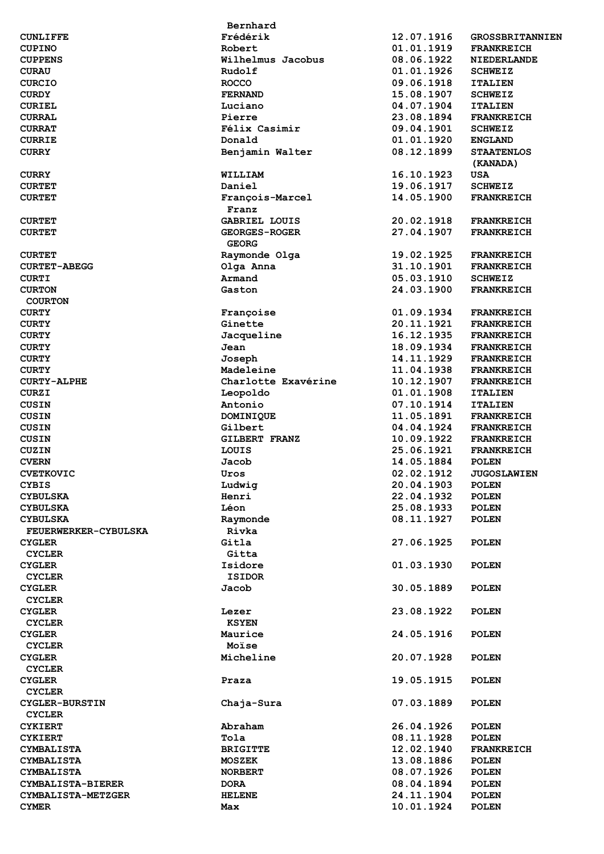|                                    | Bernhard             |            |                        |
|------------------------------------|----------------------|------------|------------------------|
| <b>CUNLIFFE</b>                    | Frédérik             | 12.07.1916 | <b>GROSSBRITANNIEN</b> |
| <b>CUPINO</b>                      | Robert               | 01.01.1919 | <b>FRANKREICH</b>      |
| <b>CUPPENS</b>                     | Wilhelmus Jacobus    | 08.06.1922 | <b>NIEDERLANDE</b>     |
| <b>CURAU</b>                       | Rudolf               | 01.01.1926 | <b>SCHWEIZ</b>         |
| <b>CURCIO</b>                      | <b>ROCCO</b>         | 09.06.1918 | <b>ITALIEN</b>         |
| <b>CURDY</b>                       | <b>FERNAND</b>       | 15.08.1907 | <b>SCHWEIZ</b>         |
| <b>CURIEL</b>                      | Luciano              | 04.07.1904 | <b>ITALIEN</b>         |
| <b>CURRAL</b>                      | Pierre               | 23.08.1894 | <b>FRANKREICH</b>      |
| <b>CURRAT</b>                      | Félix Casimir        | 09.04.1901 | <b>SCHWEIZ</b>         |
| <b>CURRIE</b>                      | Donald               | 01.01.1920 | <b>ENGLAND</b>         |
| <b>CURRY</b>                       | Benjamin Walter      | 08.12.1899 | <b>STAATENLOS</b>      |
|                                    |                      |            | (KANADA)               |
| <b>CURRY</b>                       | WILLIAM              | 16.10.1923 | <b>USA</b>             |
| <b>CURTET</b>                      | Daniel               | 19.06.1917 | <b>SCHWEIZ</b>         |
| <b>CURTET</b>                      | François-Marcel      | 14.05.1900 | <b>FRANKREICH</b>      |
|                                    | Franz                |            |                        |
| <b>CURTET</b>                      | <b>GABRIEL LOUIS</b> | 20.02.1918 | <b>FRANKREICH</b>      |
| <b>CURTET</b>                      | <b>GEORGES-ROGER</b> | 27.04.1907 | <b>FRANKREICH</b>      |
|                                    | <b>GEORG</b>         |            |                        |
| <b>CURTET</b>                      | Raymonde Olga        | 19.02.1925 | <b>FRANKREICH</b>      |
| <b>CURTET-ABEGG</b>                | Olga Anna            | 31.10.1901 | <b>FRANKREICH</b>      |
| <b>CURTI</b>                       | Armand               | 05.03.1910 | <b>SCHWEIZ</b>         |
| <b>CURTON</b>                      | Gaston               | 24.03.1900 | <b>FRANKREICH</b>      |
| <b>COURTON</b>                     |                      |            |                        |
| <b>CURTY</b>                       | Francoise            | 01.09.1934 | <b>FRANKREICH</b>      |
| <b>CURTY</b>                       | Ginette              | 20.11.1921 | <b>FRANKREICH</b>      |
| <b>CURTY</b>                       | Jacqueline           | 16.12.1935 | <b>FRANKREICH</b>      |
| <b>CURTY</b>                       | Jean                 | 18.09.1934 | <b>FRANKREICH</b>      |
| <b>CURTY</b>                       | Joseph               | 14.11.1929 | <b>FRANKREICH</b>      |
|                                    | Madeleine            | 11.04.1938 | <b>FRANKREICH</b>      |
| <b>CURTY</b><br><b>CURTY-ALPHE</b> | Charlotte Exavérine  | 10.12.1907 |                        |
|                                    |                      |            | <b>FRANKREICH</b>      |
| <b>CURZI</b>                       | Leopoldo             | 01.01.1908 | <b>ITALIEN</b>         |
| <b>CUSIN</b>                       | Antonio              | 07.10.1914 | <b>ITALIEN</b>         |
| <b>CUSIN</b>                       | DOMINIQUE            | 11.05.1891 | <b>FRANKREICH</b>      |
| <b>CUSIN</b>                       | Gilbert              | 04.04.1924 | <b>FRANKREICH</b>      |
| <b>CUSIN</b>                       | <b>GILBERT FRANZ</b> | 10.09.1922 | <b>FRANKREICH</b>      |
| CUZIN                              | LOUIS                | 25.06.1921 | <b>FRANKREICH</b>      |
| <b>CVERN</b>                       | Jacob                | 14.05.1884 | <b>POLEN</b>           |
| <b>CVETKOVIC</b>                   | Uros                 | 02.02.1912 | <b>JUGOSLAWIEN</b>     |
| <b>CYBIS</b>                       | Ludwig               | 20.04.1903 | <b>POLEN</b>           |
| <b>CYBULSKA</b>                    | Henri                | 22.04.1932 | <b>POLEN</b>           |
| <b>CYBULSKA</b>                    | Léon                 | 25.08.1933 | <b>POLEN</b>           |
| <b>CYBULSKA</b>                    | Raymonde             | 08.11.1927 | <b>POLEN</b>           |
| FEUERWERKER-CYBULSKA               | Rivka                |            |                        |
| <b>CYGLER</b>                      | Gitla                | 27.06.1925 | <b>POLEN</b>           |
| <b>CYCLER</b>                      | Gitta                |            |                        |
| <b>CYGLER</b>                      | Isidore              | 01.03.1930 | <b>POLEN</b>           |
| <b>CYCLER</b>                      | <b>ISIDOR</b>        |            |                        |
| <b>CYGLER</b>                      | Jacob                | 30.05.1889 | <b>POLEN</b>           |
| <b>CYCLER</b>                      |                      |            |                        |
| <b>CYGLER</b>                      | Lezer                | 23.08.1922 | <b>POLEN</b>           |
| <b>CYCLER</b>                      | <b>KSYEN</b>         |            |                        |
| <b>CYGLER</b>                      | Maurice              | 24.05.1916 | <b>POLEN</b>           |
| <b>CYCLER</b>                      | Moïse                |            |                        |
| <b>CYGLER</b>                      | Micheline            | 20.07.1928 | <b>POLEN</b>           |
| <b>CYCLER</b>                      |                      |            |                        |
| <b>CYGLER</b>                      | Praza                | 19.05.1915 | <b>POLEN</b>           |
| <b>CYCLER</b>                      |                      |            |                        |
| <b>CYGLER-BURSTIN</b>              | Chaja-Sura           | 07.03.1889 | <b>POLEN</b>           |
| <b>CYCLER</b>                      |                      |            |                        |
| <b>CYKIERT</b>                     | Abraham              | 26.04.1926 | <b>POLEN</b>           |
| <b>CYKIERT</b>                     | Tola                 | 08.11.1928 | <b>POLEN</b>           |
| <b>CYMBALISTA</b>                  | <b>BRIGITTE</b>      | 12.02.1940 | <b>FRANKREICH</b>      |
| <b>CYMBALISTA</b>                  | <b>MOSZEK</b>        | 13.08.1886 | <b>POLEN</b>           |
| <b>CYMBALISTA</b>                  | <b>NORBERT</b>       | 08.07.1926 | <b>POLEN</b>           |
| CYMBALISTA-BIERER                  | <b>DORA</b>          | 08.04.1894 | <b>POLEN</b>           |
| CYMBALISTA-METZGER                 | <b>HELENE</b>        | 24.11.1904 | <b>POLEN</b>           |
| <b>CYMER</b>                       | Max                  | 10.01.1924 | <b>POLEN</b>           |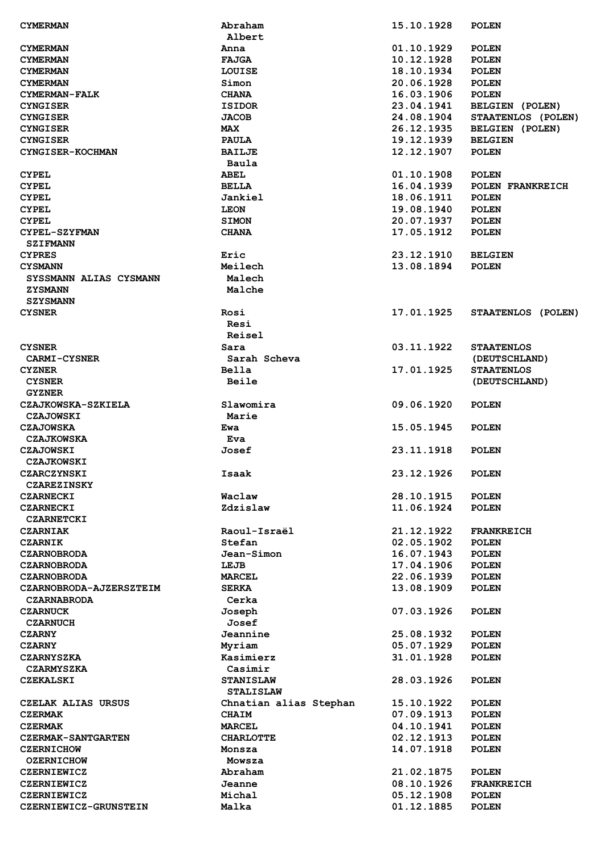| <b>CYMERMAN</b>                             | Abraham                | 15.10.1928               | <b>POLEN</b>                 |
|---------------------------------------------|------------------------|--------------------------|------------------------------|
|                                             | Albert                 |                          |                              |
| <b>CYMERMAN</b>                             | Anna                   | 01.10.1929               | <b>POLEN</b>                 |
| <b>CYMERMAN</b>                             | <b>FAJGA</b>           | 10.12.1928               | <b>POLEN</b>                 |
| <b>CYMERMAN</b>                             | LOUISE                 | 18.10.1934               | <b>POLEN</b>                 |
|                                             |                        |                          |                              |
| <b>CYMERMAN</b>                             | Simon                  | 20.06.1928               | <b>POLEN</b>                 |
| CYMERMAN-FALK                               | <b>CHANA</b>           | 16.03.1906               | <b>POLEN</b>                 |
| <b>CYNGISER</b>                             | <b>ISIDOR</b>          | 23.04.1941               | BELGIEN (POLEN)              |
| <b>CYNGISER</b>                             | <b>JACOB</b>           | 24.08.1904               | STAATENLOS (POLEN)           |
| <b>CYNGISER</b>                             | <b>MAX</b>             | 26.12.1935               | BELGIEN (POLEN)              |
| <b>CYNGISER</b>                             | <b>PAULA</b>           | 19.12.1939               | <b>BELGIEN</b>               |
| <b>CYNGISER-KOCHMAN</b>                     | <b>BAILJE</b>          | 12.12.1907               | <b>POLEN</b>                 |
|                                             |                        |                          |                              |
|                                             | Baula                  |                          |                              |
| <b>CYPEL</b>                                | <b>ABEL</b>            | 01.10.1908               | <b>POLEN</b>                 |
| <b>CYPEL</b>                                | <b>BELLA</b>           | 16.04.1939               | POLEN FRANKREICH             |
| <b>CYPEL</b>                                | Jankiel                | 18.06.1911               | <b>POLEN</b>                 |
| <b>CYPEL</b>                                | <b>LEON</b>            | 19.08.1940               | <b>POLEN</b>                 |
| <b>CYPEL</b>                                | <b>SIMON</b>           | 20.07.1937               | <b>POLEN</b>                 |
| CYPEL-SZYFMAN                               | <b>CHANA</b>           | 17.05.1912               | <b>POLEN</b>                 |
|                                             |                        |                          |                              |
| <b>SZIFMANN</b>                             |                        |                          |                              |
| <b>CYPRES</b>                               | Eric                   | 23.12.1910               | <b>BELGIEN</b>               |
| <b>CYSMANN</b>                              | Meilech                | 13.08.1894               | <b>POLEN</b>                 |
| SYSSMANN ALIAS CYSMANN                      | Malech                 |                          |                              |
| <b>ZYSMANN</b>                              | Malche                 |                          |                              |
| <b>SZYSMANN</b>                             |                        |                          |                              |
| <b>CYSNER</b>                               | Rosi                   | 17.01.1925               | STAATENLOS (POLEN)           |
|                                             |                        |                          |                              |
|                                             | Resi                   |                          |                              |
|                                             | Reisel                 |                          |                              |
| <b>CYSNER</b>                               | Sara                   | 03.11.1922               | <b>STAATENLOS</b>            |
| <b>CARMI-CYSNER</b>                         | Sarah Scheva           |                          | (DEUTSCHLAND)                |
| <b>CYZNER</b>                               | <b>Bella</b>           | 17.01.1925               | <b>STAATENLOS</b>            |
| <b>CYSNER</b>                               | <b>Beile</b>           |                          | (DEUTSCHLAND)                |
| <b>GYZNER</b>                               |                        |                          |                              |
|                                             |                        |                          |                              |
| CZAJKOWSKA-SZKIELA                          | Slawomira              | 09.06.1920               | <b>POLEN</b>                 |
| <b>CZAJOWSKI</b>                            | Marie                  |                          |                              |
| <b>CZAJOWSKA</b>                            | Ewa                    | 15.05.1945               | <b>POLEN</b>                 |
| <b>CZAJKOWSKA</b>                           | Eva                    |                          |                              |
| <b>CZAJOWSKI</b>                            | Josef                  | 23.11.1918               | <b>POLEN</b>                 |
| <b>CZAJKOWSKI</b>                           |                        |                          |                              |
|                                             |                        |                          |                              |
| CZARCZYNSKI                                 | Isaak                  | 23.12.1926               | <b>POLEN</b>                 |
| <b>CZAREZINSKY</b>                          |                        |                          |                              |
| <b>CZARNECKI</b>                            | Waclaw                 | 28.10.1915               | <b>POLEN</b>                 |
| <b>CZARNECKI</b>                            | Zdzislaw               | 11.06.1924               | <b>POLEN</b>                 |
| <b>CZARNETCKI</b>                           |                        |                          |                              |
| <b>CZARNIAK</b>                             | Raoul-Israël           | 21.12.1922               | <b>FRANKREICH</b>            |
| <b>CZARNIK</b>                              | Stefan                 | 02.05.1902               | <b>POLEN</b>                 |
|                                             |                        |                          |                              |
| <b>CZARNOBRODA</b>                          | Jean-Simon             | 16.07.1943               | <b>POLEN</b>                 |
| <b>CZARNOBRODA</b>                          | LEJB                   | 17.04.1906               | <b>POLEN</b>                 |
| <b>CZARNOBRODA</b>                          | <b>MARCEL</b>          | 22.06.1939               | <b>POLEN</b>                 |
| CZARNOBRODA-AJZERSZTEIM                     | <b>SERKA</b>           | 13.08.1909               | <b>POLEN</b>                 |
| <b>CZARNABRODA</b>                          | Cerka                  |                          |                              |
| <b>CZARNUCK</b>                             | Joseph                 | 07.03.1926               | <b>POLEN</b>                 |
| <b>CZARNUCH</b>                             | Josef                  |                          |                              |
|                                             |                        |                          |                              |
| <b>CZARNY</b>                               | Jeannine               | 25.08.1932               | <b>POLEN</b>                 |
| <b>CZARNY</b>                               | Myriam                 | 05.07.1929               | <b>POLEN</b>                 |
| <b>CZARNYSZKA</b>                           | Kasimierz              | 31.01.1928               | <b>POLEN</b>                 |
| <b>CZARMYSZKA</b>                           | Casimir                |                          |                              |
| CZEKALSKI                                   | <b>STANISLAW</b>       | 28.03.1926               | <b>POLEN</b>                 |
|                                             | <b>STALISLAW</b>       |                          |                              |
| CZELAK ALIAS URSUS                          | Chnatian alias Stephan | 15.10.1922               | <b>POLEN</b>                 |
|                                             |                        |                          |                              |
| <b>CZERMAK</b>                              | <b>CHAIM</b>           | 07.09.1913               | <b>POLEN</b>                 |
| <b>CZERMAK</b>                              | <b>MARCEL</b>          | 04.10.1941               | <b>POLEN</b>                 |
| <b>CZERMAK-SANTGARTEN</b>                   | <b>CHARLOTTE</b>       | 02.12.1913               | <b>POLEN</b>                 |
| <b>CZERNICHOW</b>                           | Monsza                 | 14.07.1918               | <b>POLEN</b>                 |
| <b>OZERNICHOW</b>                           | Mowsza                 |                          |                              |
| <b>CZERNIEWICZ</b>                          | Abraham                | 21.02.1875               | <b>POLEN</b>                 |
| <b>CZERNIEWICZ</b>                          |                        |                          |                              |
|                                             |                        |                          |                              |
|                                             | Jeanne                 | 08.10.1926               | <b>FRANKREICH</b>            |
| <b>CZERNIEWICZ</b><br>CZERNIEWICZ-GRUNSTEIN | Michal<br>Malka        | 05.12.1908<br>01.12.1885 | <b>POLEN</b><br><b>POLEN</b> |